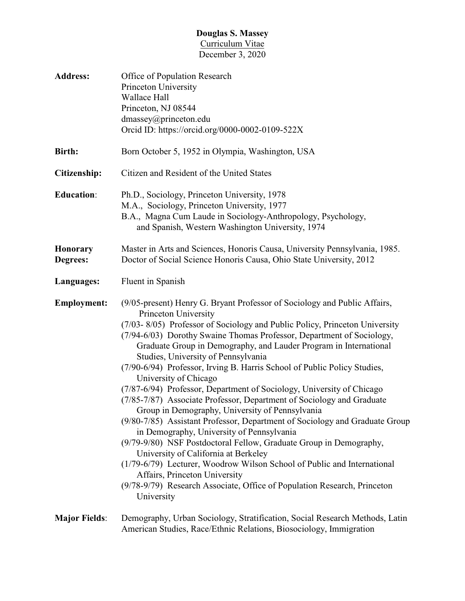## **Douglas S. Massey** Curriculum Vitae December 3, 2020

| <b>Address:</b>             | Office of Population Research<br>Princeton University<br>Wallace Hall<br>Princeton, NJ 08544<br>dmassey@princeton.edu<br>Orcid ID: https://orcid.org/0000-0002-0109-522X                                                                                                                                                                                                                                                                                                                                                                                                                                                                                                                                                                                                                                                                                                                                                                                                                                                                                                                                                       |
|-----------------------------|--------------------------------------------------------------------------------------------------------------------------------------------------------------------------------------------------------------------------------------------------------------------------------------------------------------------------------------------------------------------------------------------------------------------------------------------------------------------------------------------------------------------------------------------------------------------------------------------------------------------------------------------------------------------------------------------------------------------------------------------------------------------------------------------------------------------------------------------------------------------------------------------------------------------------------------------------------------------------------------------------------------------------------------------------------------------------------------------------------------------------------|
| Birth:                      | Born October 5, 1952 in Olympia, Washington, USA                                                                                                                                                                                                                                                                                                                                                                                                                                                                                                                                                                                                                                                                                                                                                                                                                                                                                                                                                                                                                                                                               |
| Citizenship:                | Citizen and Resident of the United States                                                                                                                                                                                                                                                                                                                                                                                                                                                                                                                                                                                                                                                                                                                                                                                                                                                                                                                                                                                                                                                                                      |
| <b>Education:</b>           | Ph.D., Sociology, Princeton University, 1978<br>M.A., Sociology, Princeton University, 1977<br>B.A., Magna Cum Laude in Sociology-Anthropology, Psychology,<br>and Spanish, Western Washington University, 1974                                                                                                                                                                                                                                                                                                                                                                                                                                                                                                                                                                                                                                                                                                                                                                                                                                                                                                                |
| <b>Honorary</b><br>Degrees: | Master in Arts and Sciences, Honoris Causa, University Pennsylvania, 1985.<br>Doctor of Social Science Honoris Causa, Ohio State University, 2012                                                                                                                                                                                                                                                                                                                                                                                                                                                                                                                                                                                                                                                                                                                                                                                                                                                                                                                                                                              |
| Languages:                  | Fluent in Spanish                                                                                                                                                                                                                                                                                                                                                                                                                                                                                                                                                                                                                                                                                                                                                                                                                                                                                                                                                                                                                                                                                                              |
| <b>Employment:</b>          | (9/05-present) Henry G. Bryant Professor of Sociology and Public Affairs,<br>Princeton University<br>(7/03-8/05) Professor of Sociology and Public Policy, Princeton University<br>(7/94-6/03) Dorothy Swaine Thomas Professor, Department of Sociology,<br>Graduate Group in Demography, and Lauder Program in International<br>Studies, University of Pennsylvania<br>(7/90-6/94) Professor, Irving B. Harris School of Public Policy Studies,<br>University of Chicago<br>(7/87-6/94) Professor, Department of Sociology, University of Chicago<br>(7/85-7/87) Associate Professor, Department of Sociology and Graduate<br>Group in Demography, University of Pennsylvania<br>(9/80-7/85) Assistant Professor, Department of Sociology and Graduate Group<br>in Demography, University of Pennsylvania<br>(9/79-9/80) NSF Postdoctoral Fellow, Graduate Group in Demography,<br>University of California at Berkeley<br>(1/79-6/79) Lecturer, Woodrow Wilson School of Public and International<br>Affairs, Princeton University<br>(9/78-9/79) Research Associate, Office of Population Research, Princeton<br>University |
| <b>Major Fields:</b>        | Demography, Urban Sociology, Stratification, Social Research Methods, Latin<br>American Studies, Race/Ethnic Relations, Biosociology, Immigration                                                                                                                                                                                                                                                                                                                                                                                                                                                                                                                                                                                                                                                                                                                                                                                                                                                                                                                                                                              |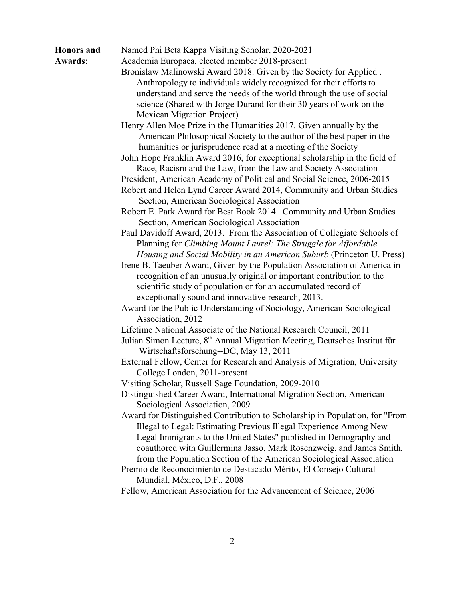## **Honors and** Named Phi Beta Kappa Visiting Scholar, 2020-2021

**Awards**: Academia Europaea, elected member 2018-present

Bronislaw Malinowski Award 2018. Given by the Society for Applied . Anthropology to individuals widely recognized for their efforts to understand and serve the needs of the world through the use of social science (Shared with Jorge Durand for their 30 years of work on the Mexican Migration Project)

Henry Allen Moe Prize in the Humanities 2017. Given annually by the American Philosophical Society to the author of the best paper in the humanities or jurisprudence read at a meeting of the Society

John Hope Franklin Award 2016, for exceptional scholarship in the field of Race, Racism and the Law, from the Law and Society Association

- President, American Academy of Political and Social Science, 2006-2015
- Robert and Helen Lynd Career Award 2014, Community and Urban Studies Section, American Sociological Association

Robert E. Park Award for Best Book 2014. Community and Urban Studies Section, American Sociological Association

- Paul Davidoff Award, 2013. From the Association of Collegiate Schools of Planning for *Climbing Mount Laurel: The Struggle for Affordable Housing and Social Mobility in an American Suburb* (Princeton U. Press)
- Irene B. Taeuber Award, Given by the Population Association of America in recognition of an unusually original or important contribution to the scientific study of population or for an accumulated record of exceptionally sound and innovative research, 2013.
- Award for the Public Understanding of Sociology, American Sociological Association, 2012
- Lifetime National Associate of the National Research Council, 2011
- Julian Simon Lecture, 8<sup>th</sup> Annual Migration Meeting, Deutsches Institut für Wirtschaftsforschung--DC, May 13, 2011

External Fellow, Center for Research and Analysis of Migration, University College London, 2011-present

Visiting Scholar, Russell Sage Foundation, 2009-2010

Distinguished Career Award, International Migration Section, American Sociological Association, 2009

- Award for Distinguished Contribution to Scholarship in Population, for "From Illegal to Legal: Estimating Previous Illegal Experience Among New Legal Immigrants to the United States" published in Demography and coauthored with Guillermina Jasso, Mark Rosenzweig, and James Smith, from the Population Section of the American Sociological Association
- Premio de Reconocimiento de Destacado Mérito, El Consejo Cultural Mundial, México, D.F., 2008

Fellow, American Association for the Advancement of Science, 2006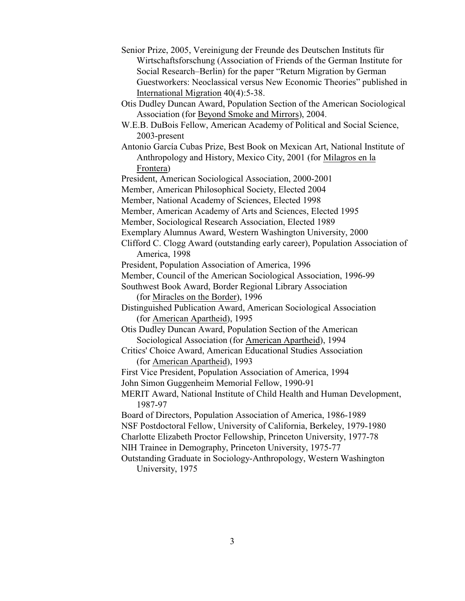- Senior Prize, 2005, Vereinigung der Freunde des Deutschen Instituts für Wirtschaftsforschung (Association of Friends of the German Institute for Social Research–Berlin) for the paper "Return Migration by German Guestworkers: Neoclassical versus New Economic Theories" published in International Migration 40(4):5-38.
- Otis Dudley Duncan Award, Population Section of the American Sociological Association (for Beyond Smoke and Mirrors), 2004.
- W.E.B. DuBois Fellow, American Academy of Political and Social Science, 2003-present
- Antonio García Cubas Prize, Best Book on Mexican Art, National Institute of Anthropology and History, Mexico City, 2001 (for Milagros en la Frontera)
- President, American Sociological Association, 2000-2001
- Member, American Philosophical Society, Elected 2004
- Member, National Academy of Sciences, Elected 1998
- Member, American Academy of Arts and Sciences, Elected 1995
- Member, Sociological Research Association, Elected 1989
- Exemplary Alumnus Award, Western Washington University, 2000
- Clifford C. Clogg Award (outstanding early career), Population Association of America, 1998
- President, Population Association of America, 1996
- Member, Council of the American Sociological Association, 1996-99
- Southwest Book Award, Border Regional Library Association (for Miracles on the Border), 1996
- Distinguished Publication Award, American Sociological Association (for American Apartheid), 1995
- Otis Dudley Duncan Award, Population Section of the American Sociological Association (for American Apartheid), 1994
- Critics' Choice Award, American Educational Studies Association (for American Apartheid), 1993
- First Vice President, Population Association of America, 1994
- John Simon Guggenheim Memorial Fellow, 1990-91

MERIT Award, National Institute of Child Health and Human Development, 1987-97

- Board of Directors, Population Association of America, 1986-1989 NSF Postdoctoral Fellow, University of California, Berkeley, 1979-1980 Charlotte Elizabeth Proctor Fellowship, Princeton University, 1977-78
- NIH Trainee in Demography, Princeton University, 1975-77
- Outstanding Graduate in Sociology-Anthropology, Western Washington University, 1975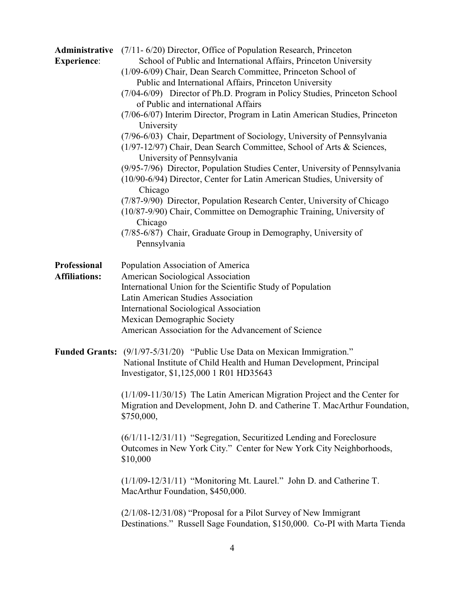| Administrative<br><b>Experience:</b> | $(7/11 - 6/20)$ Director, Office of Population Research, Princeton<br>School of Public and International Affairs, Princeton University<br>(1/09-6/09) Chair, Dean Search Committee, Princeton School of<br>Public and International Affairs, Princeton University<br>(7/04-6/09) Director of Ph.D. Program in Policy Studies, Princeton School<br>of Public and international Affairs<br>(7/06-6/07) Interim Director, Program in Latin American Studies, Princeton<br>University |
|--------------------------------------|-----------------------------------------------------------------------------------------------------------------------------------------------------------------------------------------------------------------------------------------------------------------------------------------------------------------------------------------------------------------------------------------------------------------------------------------------------------------------------------|
|                                      | (7/96-6/03) Chair, Department of Sociology, University of Pennsylvania<br>(1/97-12/97) Chair, Dean Search Committee, School of Arts & Sciences,<br>University of Pennsylvania<br>(9/95-7/96) Director, Population Studies Center, University of Pennsylvania<br>(10/90-6/94) Director, Center for Latin American Studies, University of<br>Chicago<br>(7/87-9/90) Director, Population Research Center, University of Chicago                                                     |
|                                      | (10/87-9/90) Chair, Committee on Demographic Training, University of<br>Chicago<br>(7/85-6/87) Chair, Graduate Group in Demography, University of<br>Pennsylvania                                                                                                                                                                                                                                                                                                                 |
| Professional<br><b>Affiliations:</b> | Population Association of America<br>American Sociological Association<br>International Union for the Scientific Study of Population<br>Latin American Studies Association<br><b>International Sociological Association</b><br>Mexican Demographic Society<br>American Association for the Advancement of Science                                                                                                                                                                 |
|                                      | <b>Funded Grants:</b> (9/1/97-5/31/20) "Public Use Data on Mexican Immigration."<br>National Institute of Child Health and Human Development, Principal<br>Investigator, \$1,125,000 1 R01 HD35643                                                                                                                                                                                                                                                                                |
|                                      | $(1/1/09 - 11/30/15)$ The Latin American Migration Project and the Center for<br>Migration and Development, John D. and Catherine T. MacArthur Foundation,<br>\$750,000,                                                                                                                                                                                                                                                                                                          |
|                                      | (6/1/11-12/31/11) "Segregation, Securitized Lending and Foreclosure<br>Outcomes in New York City." Center for New York City Neighborhoods,<br>\$10,000                                                                                                                                                                                                                                                                                                                            |
|                                      | $(1/1/09 - 12/31/11)$ "Monitoring Mt. Laurel." John D. and Catherine T.<br>MacArthur Foundation, \$450,000.                                                                                                                                                                                                                                                                                                                                                                       |
|                                      | $(2/1/08 - 12/31/08)$ "Proposal for a Pilot Survey of New Immigrant<br>Destinations." Russell Sage Foundation, \$150,000. Co-PI with Marta Tienda                                                                                                                                                                                                                                                                                                                                 |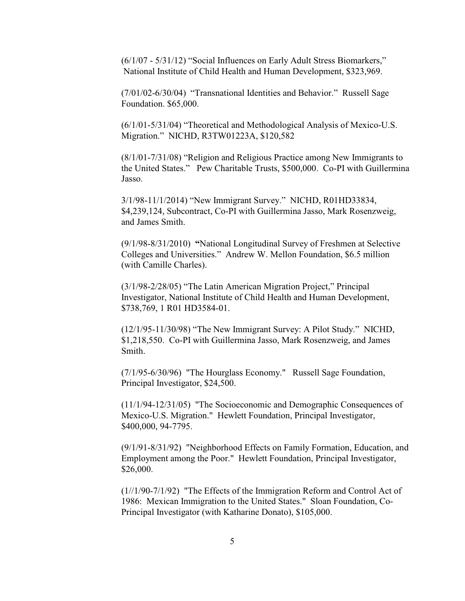(6/1/07 - 5/31/12) "Social Influences on Early Adult Stress Biomarkers," National Institute of Child Health and Human Development, \$323,969.

(7/01/02-6/30/04) "Transnational Identities and Behavior." Russell Sage Foundation. \$65,000.

(6/1/01-5/31/04) "Theoretical and Methodological Analysis of Mexico-U.S. Migration." NICHD, R3TW01223A, \$120,582

(8/1/01-7/31/08) "Religion and Religious Practice among New Immigrants to the United States." Pew Charitable Trusts, \$500,000. Co-PI with Guillermina Jasso.

3/1/98-11/1/2014) "New Immigrant Survey." NICHD, R01HD33834, \$4,239,124, Subcontract, Co-PI with Guillermina Jasso, Mark Rosenzweig, and James Smith.

(9/1/98-8/31/2010) **"**National Longitudinal Survey of Freshmen at Selective Colleges and Universities." Andrew W. Mellon Foundation, \$6.5 million (with Camille Charles).

(3/1/98-2/28/05) "The Latin American Migration Project," Principal Investigator, National Institute of Child Health and Human Development, \$738,769, 1 R01 HD3584-01.

(12/1/95-11/30/98) "The New Immigrant Survey: A Pilot Study." NICHD, \$1,218,550. Co-PI with Guillermina Jasso, Mark Rosenzweig, and James Smith.

(7/1/95-6/30/96) "The Hourglass Economy." Russell Sage Foundation, Principal Investigator, \$24,500.

(11/1/94-12/31/05) "The Socioeconomic and Demographic Consequences of Mexico-U.S. Migration." Hewlett Foundation, Principal Investigator, \$400,000, 94-7795.

 (9/1/91-8/31/92) "Neighborhood Effects on Family Formation, Education, and Employment among the Poor." Hewlett Foundation, Principal Investigator, \$26,000.

(1//1/90-7/1/92) "The Effects of the Immigration Reform and Control Act of 1986: Mexican Immigration to the United States." Sloan Foundation, Co-Principal Investigator (with Katharine Donato), \$105,000.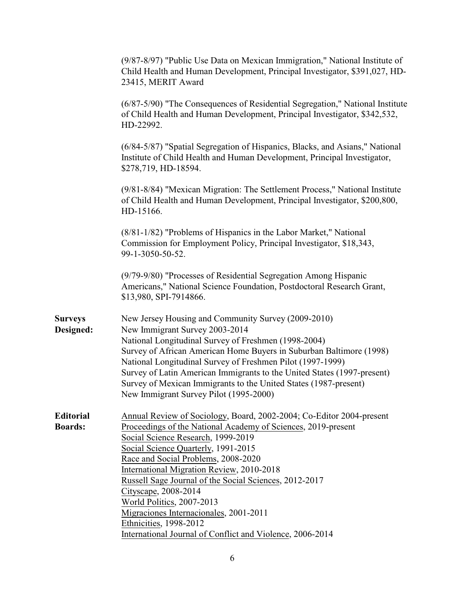| (9/87-8/97) "Public Use Data on Mexican Immigration," National Institute of<br>Child Health and Human Development, Principal Investigator, \$391,027, HD-<br>23415, MERIT Award                                                                                                                                                                                                                                                                                                                                                                               |
|---------------------------------------------------------------------------------------------------------------------------------------------------------------------------------------------------------------------------------------------------------------------------------------------------------------------------------------------------------------------------------------------------------------------------------------------------------------------------------------------------------------------------------------------------------------|
| (6/87-5/90) "The Consequences of Residential Segregation," National Institute<br>of Child Health and Human Development, Principal Investigator, \$342,532,<br>HD-22992.                                                                                                                                                                                                                                                                                                                                                                                       |
| (6/84-5/87) "Spatial Segregation of Hispanics, Blacks, and Asians," National<br>Institute of Child Health and Human Development, Principal Investigator,<br>\$278,719, HD-18594.                                                                                                                                                                                                                                                                                                                                                                              |
| (9/81-8/84) "Mexican Migration: The Settlement Process," National Institute<br>of Child Health and Human Development, Principal Investigator, \$200,800,<br>HD-15166.                                                                                                                                                                                                                                                                                                                                                                                         |
| (8/81-1/82) "Problems of Hispanics in the Labor Market," National<br>Commission for Employment Policy, Principal Investigator, \$18,343,<br>99-1-3050-50-52.                                                                                                                                                                                                                                                                                                                                                                                                  |
| (9/79-9/80) "Processes of Residential Segregation Among Hispanic<br>Americans," National Science Foundation, Postdoctoral Research Grant,<br>\$13,980, SPI-7914866.                                                                                                                                                                                                                                                                                                                                                                                           |
| New Jersey Housing and Community Survey (2009-2010)<br>New Immigrant Survey 2003-2014<br>National Longitudinal Survey of Freshmen (1998-2004)<br>Survey of African American Home Buyers in Suburban Baltimore (1998)<br>National Longitudinal Survey of Freshmen Pilot (1997-1999)<br>Survey of Latin American Immigrants to the United States (1997-present)<br>Survey of Mexican Immigrants to the United States (1987-present)<br>New Immigrant Survey Pilot (1995-2000)                                                                                   |
| Annual Review of Sociology, Board, 2002-2004; Co-Editor 2004-present<br>Proceedings of the National Academy of Sciences, 2019-present<br>Social Science Research, 1999-2019<br>Social Science Quarterly, 1991-2015<br>Race and Social Problems, 2008-2020<br><b>International Migration Review, 2010-2018</b><br>Russell Sage Journal of the Social Sciences, 2012-2017<br>Cityscape, 2008-2014<br>World Politics, 2007-2013<br>Migraciones Internacionales, 2001-2011<br>Ethnicities, 1998-2012<br>International Journal of Conflict and Violence, 2006-2014 |
|                                                                                                                                                                                                                                                                                                                                                                                                                                                                                                                                                               |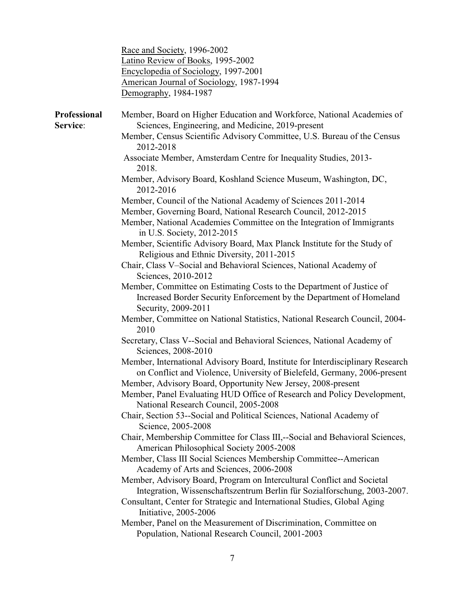|                          | Race and Society, 1996-2002<br>Latino Review of Books, 1995-2002<br>Encyclopedia of Sociology, 1997-2001<br>American Journal of Sociology, 1987-1994<br>Demography, 1984-1987                                                  |
|--------------------------|--------------------------------------------------------------------------------------------------------------------------------------------------------------------------------------------------------------------------------|
| Professional<br>Service: | Member, Board on Higher Education and Workforce, National Academies of<br>Sciences, Engineering, and Medicine, 2019-present                                                                                                    |
|                          | Member, Census Scientific Advisory Committee, U.S. Bureau of the Census<br>2012-2018                                                                                                                                           |
|                          | Associate Member, Amsterdam Centre for Inequality Studies, 2013-<br>2018.                                                                                                                                                      |
|                          | Member, Advisory Board, Koshland Science Museum, Washington, DC,<br>2012-2016                                                                                                                                                  |
|                          | Member, Council of the National Academy of Sciences 2011-2014                                                                                                                                                                  |
|                          | Member, Governing Board, National Research Council, 2012-2015                                                                                                                                                                  |
|                          | Member, National Academies Committee on the Integration of Immigrants<br>in U.S. Society, 2012-2015                                                                                                                            |
|                          | Member, Scientific Advisory Board, Max Planck Institute for the Study of<br>Religious and Ethnic Diversity, 2011-2015                                                                                                          |
|                          | Chair, Class V-Social and Behavioral Sciences, National Academy of<br>Sciences, 2010-2012                                                                                                                                      |
|                          | Member, Committee on Estimating Costs to the Department of Justice of<br>Increased Border Security Enforcement by the Department of Homeland<br>Security, 2009-2011                                                            |
|                          | Member, Committee on National Statistics, National Research Council, 2004-<br>2010                                                                                                                                             |
|                          | Secretary, Class V--Social and Behavioral Sciences, National Academy of<br>Sciences, 2008-2010                                                                                                                                 |
|                          | Member, International Advisory Board, Institute for Interdisciplinary Research<br>on Conflict and Violence, University of Bielefeld, Germany, 2006-present                                                                     |
|                          | Member, Advisory Board, Opportunity New Jersey, 2008-present                                                                                                                                                                   |
|                          | Member, Panel Evaluating HUD Office of Research and Policy Development,<br>National Research Council, 2005-2008                                                                                                                |
|                          | Chair, Section 53--Social and Political Sciences, National Academy of<br>Science, 2005-2008                                                                                                                                    |
|                          | Chair, Membership Committee for Class III,--Social and Behavioral Sciences,<br>American Philosophical Society 2005-2008                                                                                                        |
|                          | Member, Class III Social Sciences Membership Committee--American<br>Academy of Arts and Sciences, 2006-2008                                                                                                                    |
|                          | Member, Advisory Board, Program on Intercultural Conflict and Societal<br>Integration, Wissenschaftszentrum Berlin für Sozialforschung, 2003-2007.<br>Consultant, Center for Strategic and International Studies, Global Aging |
|                          | Initiative, 2005-2006<br>Member, Panel on the Measurement of Discrimination, Committee on<br>Population, National Research Council, 2001-2003                                                                                  |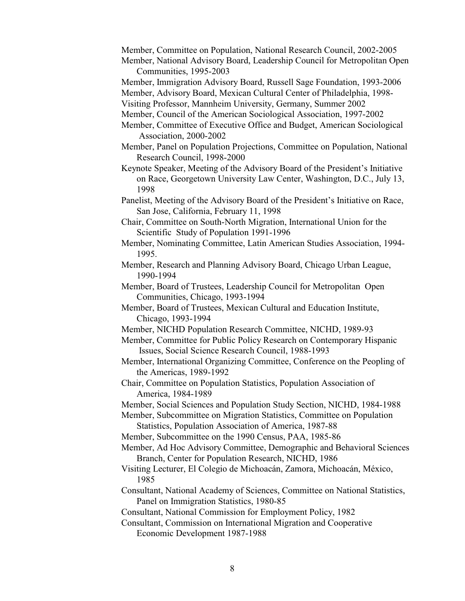- Member, Committee on Population, National Research Council, 2002-2005
- Member, National Advisory Board, Leadership Council for Metropolitan Open Communities, 1995-2003
- Member, Immigration Advisory Board, Russell Sage Foundation, 1993-2006

Member, Advisory Board, Mexican Cultural Center of Philadelphia, 1998-

- Visiting Professor, Mannheim University, Germany, Summer 2002
- Member, Council of the American Sociological Association, 1997-2002
- Member, Committee of Executive Office and Budget, American Sociological Association, 2000-2002
- Member, Panel on Population Projections, Committee on Population, National Research Council, 1998-2000
- Keynote Speaker, Meeting of the Advisory Board of the President's Initiative on Race, Georgetown University Law Center, Washington, D.C., July 13, 1998
- Panelist, Meeting of the Advisory Board of the President's Initiative on Race, San Jose, California, February 11, 1998

Chair, Committee on South-North Migration, International Union for the Scientific Study of Population 1991-1996

- Member, Nominating Committee, Latin American Studies Association, 1994- 1995.
- Member, Research and Planning Advisory Board, Chicago Urban League, 1990-1994
- Member, Board of Trustees, Leadership Council for Metropolitan Open Communities, Chicago, 1993-1994
- Member, Board of Trustees, Mexican Cultural and Education Institute, Chicago, 1993-1994
- Member, NICHD Population Research Committee, NICHD, 1989-93

Member, Committee for Public Policy Research on Contemporary Hispanic Issues, Social Science Research Council, 1988-1993

Member, International Organizing Committee, Conference on the Peopling of the Americas, 1989-1992

- Chair, Committee on Population Statistics, Population Association of America, 1984-1989
- Member, Social Sciences and Population Study Section, NICHD, 1984-1988

Member, Subcommittee on Migration Statistics, Committee on Population Statistics, Population Association of America, 1987-88

- Member, Subcommittee on the 1990 Census, PAA, 1985-86
- Member, Ad Hoc Advisory Committee, Demographic and Behavioral Sciences Branch, Center for Population Research, NICHD, 1986
- Visiting Lecturer, El Colegio de Michoacán, Zamora, Michoacán, México, 1985
- Consultant, National Academy of Sciences, Committee on National Statistics, Panel on Immigration Statistics, 1980-85
- Consultant, National Commission for Employment Policy, 1982
- Consultant, Commission on International Migration and Cooperative Economic Development 1987-1988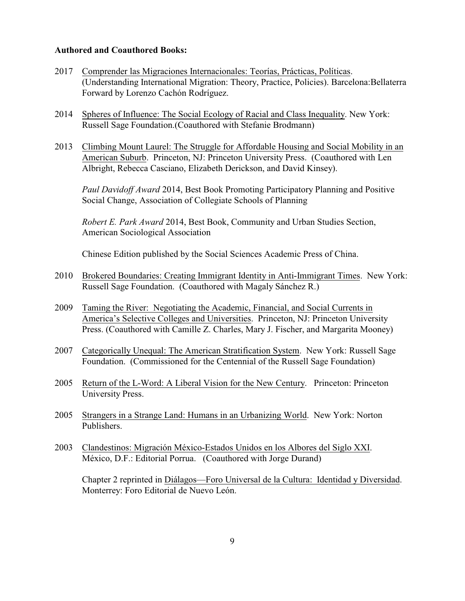## **Authored and Coauthored Books:**

- 2017 Comprender las Migraciones Internacionales: Teorías, Prácticas, Políticas. (Understanding International Migration: Theory, Practice, Policies). Barcelona:Bellaterra Forward by Lorenzo Cachón Rodríguez.
- 2014 Spheres of Influence: The Social Ecology of Racial and Class Inequality. New York: Russell Sage Foundation.(Coauthored with Stefanie Brodmann)
- 2013 Climbing Mount Laurel: The Struggle for Affordable Housing and Social Mobility in an American Suburb. Princeton, NJ: Princeton University Press. (Coauthored with Len Albright, Rebecca Casciano, Elizabeth Derickson, and David Kinsey).

*Paul Davidoff Award* 2014, Best Book Promoting Participatory Planning and Positive Social Change, Association of Collegiate Schools of Planning

*Robert E. Park Award* 2014, Best Book, Community and Urban Studies Section, American Sociological Association

Chinese Edition published by the Social Sciences Academic Press of China.

- 2010 Brokered Boundaries: Creating Immigrant Identity in Anti-Immigrant Times. New York: Russell Sage Foundation. (Coauthored with Magaly Sánchez R.)
- 2009 Taming the River: Negotiating the Academic, Financial, and Social Currents in America's Selective Colleges and Universities. Princeton, NJ: Princeton University Press. (Coauthored with Camille Z. Charles, Mary J. Fischer, and Margarita Mooney)
- 2007 Categorically Unequal: The American Stratification System. New York: Russell Sage Foundation. (Commissioned for the Centennial of the Russell Sage Foundation)
- 2005 Return of the L-Word: A Liberal Vision for the New Century. Princeton: Princeton University Press.
- 2005 Strangers in a Strange Land: Humans in an Urbanizing World. New York: Norton Publishers.
- 2003 Clandestinos: Migración México-Estados Unidos en los Albores del Siglo XXI. México, D.F.: Editorial Porrua. (Coauthored with Jorge Durand)

Chapter 2 reprinted in Diálagos—Foro Universal de la Cultura: Identidad y Diversidad. Monterrey: Foro Editorial de Nuevo León.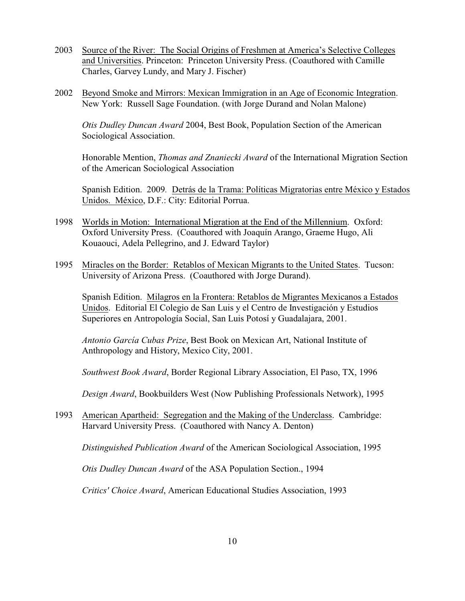- 2003 Source of the River: The Social Origins of Freshmen at America's Selective Colleges and Universities. Princeton: Princeton University Press. (Coauthored with Camille Charles, Garvey Lundy, and Mary J. Fischer)
- 2002 Beyond Smoke and Mirrors: Mexican Immigration in an Age of Economic Integration. New York: Russell Sage Foundation. (with Jorge Durand and Nolan Malone)

*Otis Dudley Duncan Award* 2004, Best Book, Population Section of the American Sociological Association.

Honorable Mention, *Thomas and Znaniecki Award* of the International Migration Section of the American Sociological Association

Spanish Edition. 2009*.* Detrás de la Trama: Políticas Migratorias entre México y Estados Unidos. México, D.F.: City: Editorial Porrua.

- 1998 Worlds in Motion: International Migration at the End of the Millennium. Oxford: Oxford University Press. (Coauthored with Joaquín Arango, Graeme Hugo, Ali Kouaouci, Adela Pellegrino, and J. Edward Taylor)
- 1995 Miracles on the Border: Retablos of Mexican Migrants to the United States. Tucson: University of Arizona Press. (Coauthored with Jorge Durand).

Spanish Edition. Milagros en la Frontera: Retablos de Migrantes Mexicanos a Estados Unidos. Editorial El Colegio de San Luis y el Centro de Investigación y Estudios Superiores en Antropología Social, San Luis Potosí y Guadalajara, 2001.

*Antonio García Cubas Prize*, Best Book on Mexican Art, National Institute of Anthropology and History, Mexico City, 2001.

*Southwest Book Award*, Border Regional Library Association, El Paso, TX, 1996

*Design Award*, Bookbuilders West (Now Publishing Professionals Network), 1995

1993 American Apartheid: Segregation and the Making of the Underclass. Cambridge: Harvard University Press. (Coauthored with Nancy A. Denton)

*Distinguished Publication Award* of the American Sociological Association, 1995

*Otis Dudley Duncan Award* of the ASA Population Section., 1994

*Critics' Choice Award*, American Educational Studies Association, 1993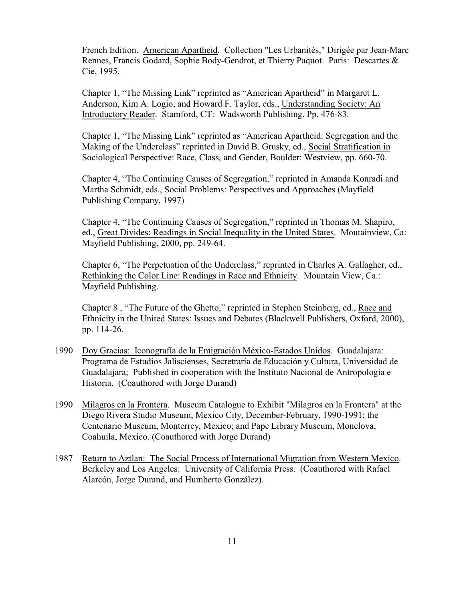French Edition. American Apartheid. Collection "Les Urbanités," Dirigée par Jean-Marc Rennes, Francis Godard, Sophie Body-Gendrot, et Thierry Paquot. Paris: Descartes & Cie, 1995.

Chapter 1, "The Missing Link" reprinted as "American Apartheid" in Margaret L. Anderson, Kim A. Logio, and Howard F. Taylor, eds., Understanding Society: An Introductory Reader. Stamford, CT: Wadsworth Publishing. Pp. 476-83.

Chapter 1, "The Missing Link" reprinted as "American Apartheid: Segregation and the Making of the Underclass" reprinted in David B. Grusky, ed., Social Stratification in Sociological Perspective: Race, Class, and Gender, Boulder: Westview, pp. 660-70.

Chapter 4, "The Continuing Causes of Segregation," reprinted in Amanda Konradi and Martha Schmidt, eds., Social Problems: Perspectives and Approaches (Mayfield Publishing Company, 1997)

Chapter 4, "The Continuing Causes of Segregation," reprinted in Thomas M. Shapiro, ed., Great Divides: Readings in Social Inequality in the United States. Moutainview, Ca: Mayfield Publishing, 2000, pp. 249-64.

Chapter 6, "The Perpetuation of the Underclass," reprinted in Charles A. Gallagher, ed., Rethinking the Color Line: Readings in Race and Ethnicity. Mountain View, Ca.: Mayfield Publishing.

Chapter 8 , "The Future of the Ghetto," reprinted in Stephen Steinberg, ed., Race and Ethnicity in the United States: Issues and Debates (Blackwell Publishers, Oxford, 2000), pp. 114-26.

- 1990 Doy Gracias: Iconografía de la Emigración México-Estados Unidos. Guadalajara: Programa de Estudios Jaliscienses, Secretraría de Educación y Cultura, Universidad de Guadalajara; Published in cooperation with the Instituto Nacional de Antropología e Historia. (Coauthored with Jorge Durand)
- 1990 Milagros en la Frontera. Museum Catalogue to Exhibit "Milagros en la Frontera" at the Diego Rivera Studio Museum, Mexico City, December-February, 1990-1991; the Centenario Museum, Monterrey, Mexico; and Pape Library Museum, Monclova, Coahuila, Mexico. (Coauthored with Jorge Durand)
- 1987 Return to Aztlan: The Social Process of International Migration from Western Mexico. Berkeley and Los Angeles: University of California Press. (Coauthored with Rafael Alarcón, Jorge Durand, and Humberto González).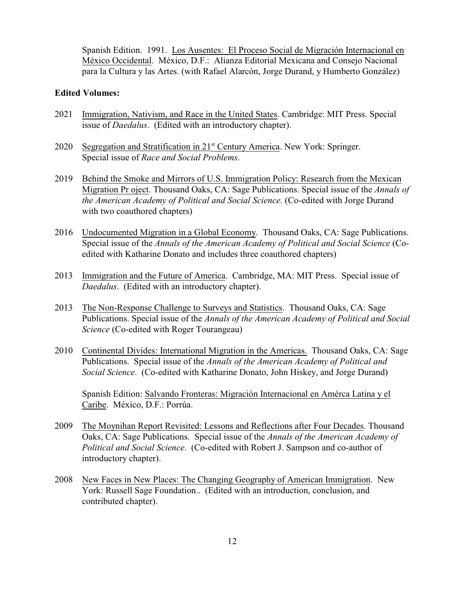Spanish Edition. 1991. Los Ausentes: El Proceso Social de Migración Internacional en México Occidental. México, D.F.: Alianza Editorial Mexicana and Consejo Nacional para la Cultura y las Artes. (with Rafael Alarcón, Jorge Durand, y Humberto González)

## **Edited Volumes:**

- 2021 Immigration, Nativism, and Race in the United States. Cambridge: MIT Press. Special issue of *Daedalus*. (Edited with an introductory chapter).
- 2020 Segregation and Stratification in  $21<sup>st</sup>$  Century America. New York: Springer. Special issue of *Race and Social Problems*.
- 2019 Behind the Smoke and Mirrors of U.S. Immigration Policy: Research from the Mexican Migration Pr oject. Thousand Oaks, CA: Sage Publications. Special issue of the *Annals of the American Academy of Political and Social Science.* (Co-edited with Jorge Durand with two coauthored chapters)
- 2016 Undocumented Migration in a Global Economy. Thousand Oaks, CA: Sage Publications. Special issue of the *Annals of the American Academy of Political and Social Science* (Coedited with Katharine Donato and includes three coauthored chapters)
- 2013 Immigration and the Future of America. Cambridge, MA: MIT Press. Special issue of *Daedalus*. (Edited with an introductory chapter).
- 2013 The Non-Response Challenge to Surveys and Statistics. Thousand Oaks, CA: Sage Publications. Special issue of the *Annals of the American Academy of Political and Social Science* (Co-edited with Roger Tourangeau)
- 2010 Continental Divides: International Migration in the Americas. Thousand Oaks, CA: Sage Publications. Special issue of the *Annals of the American Academy of Political and Social Science*. (Co-edited with Katharine Donato, John Hiskey, and Jorge Durand)

Spanish Edition: Salvando Fronteras: Migración Internacional en Amérca Latina y el Caribe. México, D.F.: Porrúa.

- 2009 The Moynihan Report Revisited: Lessons and Reflections after Four Decades. Thousand Oaks, CA: Sage Publications. Special issue of the *Annals of the American Academy of Political and Social Science*. (Co-edited with Robert J. Sampson and co-author of introductory chapter).
- 2008 New Faces in New Places: The Changing Geography of American Immigration. New York: Russell Sage Foundation.. (Edited with an introduction, conclusion, and contributed chapter).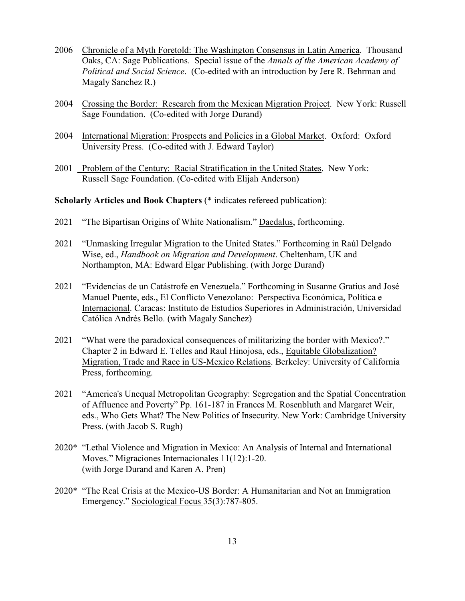- 2006 Chronicle of a Myth Foretold: The Washington Consensus in Latin America. Thousand Oaks, CA: Sage Publications. Special issue of the *Annals of the American Academy of Political and Social Science*. (Co-edited with an introduction by Jere R. Behrman and Magaly Sanchez R.)
- 2004 Crossing the Border: Research from the Mexican Migration Project. New York: Russell Sage Foundation. (Co-edited with Jorge Durand)
- 2004 International Migration: Prospects and Policies in a Global Market. Oxford: Oxford University Press. (Co-edited with J. Edward Taylor)
- 2001 Problem of the Century: Racial Stratification in the United States. New York: Russell Sage Foundation. (Co-edited with Elijah Anderson)

**Scholarly Articles and Book Chapters** (\* indicates refereed publication):

- 2021 "The Bipartisan Origins of White Nationalism." Daedalus, forthcoming.
- 2021 "Unmasking Irregular Migration to the United States." Forthcoming in Raúl Delgado Wise, ed., *Handbook on Migration and Development*. Cheltenham, UK and Northampton, MA: Edward Elgar Publishing. (with Jorge Durand)
- 2021 "Evidencias de un Catástrofe en Venezuela." Forthcoming in Susanne Gratius and José Manuel Puente, eds., El Conflicto Venezolano: Perspectiva Económica, Política e Internacional. Caracas: Instituto de Estudios Superiores in Administración, Universidad Católica Andrés Bello. (with Magaly Sanchez)
- 2021 "What were the paradoxical consequences of militarizing the border with Mexico?." Chapter 2 in Edward E. Telles and Raul Hinojosa, eds., Equitable Globalization? Migration, Trade and Race in US-Mexico Relations. Berkeley: University of California Press, forthcoming.
- 2021 "America's Unequal Metropolitan Geography: Segregation and the Spatial Concentration of Affluence and Poverty" Pp. 161-187 in Frances M. Rosenbluth and Margaret Weir, eds., Who Gets What? The New Politics of Insecurity. New York: Cambridge University Press. (with Jacob S. Rugh)
- 2020\* "Lethal Violence and Migration in Mexico: An Analysis of Internal and International Moves." Migraciones Internacionales 11(12):1-20. (with Jorge Durand and Karen A. Pren)
- 2020\* "The Real Crisis at the Mexico-US Border: A Humanitarian and Not an Immigration Emergency." Sociological Focus 35(3):787-805.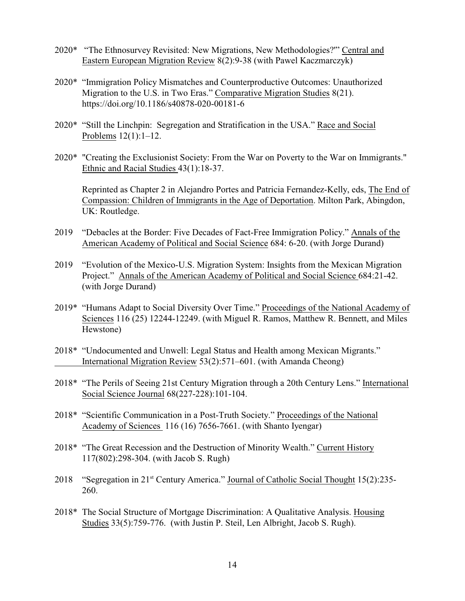- 2020\* "The Ethnosurvey Revisited: New Migrations, New Methodologies?'" Central and Eastern European Migration Review 8(2):9-38 (with Pawel Kaczmarczyk)
- 2020\* "Immigration Policy Mismatches and Counterproductive Outcomes: Unauthorized Migration to the U.S. in Two Eras." Comparative Migration Studies 8(21). https://doi.org/10.1186/s40878-020-00181-6
- 2020\* "Still the Linchpin: Segregation and Stratification in the USA." Race and Social Problems 12(1):1–12.
- 2020\* "Creating the Exclusionist Society: From the War on Poverty to the War on Immigrants." Ethnic and Racial Studies 43(1):18-37.

Reprinted as Chapter 2 in Alejandro Portes and Patricia Fernandez-Kelly, eds, The End of Compassion: Children of Immigrants in the Age of Deportation. Milton Park, Abingdon, UK: Routledge.

- 2019 "Debacles at the Border: Five Decades of Fact-Free Immigration Policy." Annals of the American Academy of Political and Social Science 684: 6-20. (with Jorge Durand)
- 2019 "Evolution of the Mexico-U.S. Migration System: Insights from the Mexican Migration Project." Annals of the American Academy of Political and Social Science 684:21-42. (with Jorge Durand)
- 2019\* "Humans Adapt to Social Diversity Over Time." Proceedings of the National Academy of Sciences 116 (25) 12244-12249. (with Miguel R. Ramos, Matthew R. Bennett, and Miles Hewstone)
- 2018\* "Undocumented and Unwell: Legal Status and Health among Mexican Migrants." International Migration Review 53(2):571–601. (with Amanda Cheong)
- 2018\* "The Perils of Seeing 21st Century Migration through a 20th Century Lens." International Social Science Journal 68(227-228):101-104.
- 2018\* "Scientific Communication in a Post-Truth Society." Proceedings of the National Academy of Sciences 116 (16) 7656-7661. (with Shanto Iyengar)
- 2018\* "The Great Recession and the Destruction of Minority Wealth." Current History 117(802):298-304. (with Jacob S. Rugh)
- 2018 "Segregation in  $21^{st}$  Century America." Journal of Catholic Social Thought 15(2):235-260.
- 2018\* The Social Structure of Mortgage Discrimination: A Qualitative Analysis. Housing Studies 33(5):759-776. (with Justin P. Steil, Len Albright, Jacob S. Rugh).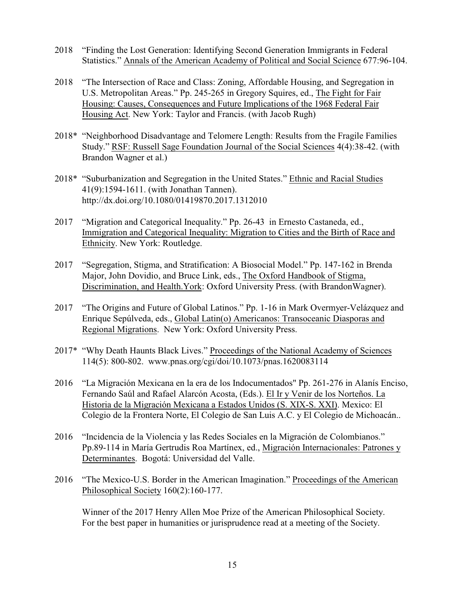- 2018 "Finding the Lost Generation: Identifying Second Generation Immigrants in Federal Statistics." Annals of the American Academy of Political and Social Science 677:96-104.
- 2018 "The Intersection of Race and Class: Zoning, Affordable Housing, and Segregation in U.S. Metropolitan Areas." Pp. 245-265 in Gregory Squires, ed., The Fight for Fair Housing: Causes, Consequences and Future Implications of the 1968 Federal Fair Housing Act. New York: Taylor and Francis. (with Jacob Rugh)
- 2018\* "Neighborhood Disadvantage and Telomere Length: Results from the Fragile Families Study." RSF: Russell Sage Foundation Journal of the Social Sciences 4(4):38-42. (with Brandon Wagner et al.)
- 2018\* "Suburbanization and Segregation in the United States." Ethnic and Racial Studies 41(9):1594-1611. (with Jonathan Tannen). http://dx.doi.org/10.1080/01419870.2017.1312010
- 2017 "Migration and Categorical Inequality." Pp. 26-43 in Ernesto Castaneda, ed., Immigration and Categorical Inequality: Migration to Cities and the Birth of Race and Ethnicity. New York: Routledge.
- 2017 "Segregation, Stigma, and Stratification: A Biosocial Model." Pp. 147-162 in Brenda Major, John Dovidio, and Bruce Link, eds., The Oxford Handbook of Stigma, Discrimination, and Health.York: Oxford University Press. (with BrandonWagner).
- 2017 "The Origins and Future of Global Latinos." Pp. 1-16 in Mark Overmyer-Velázquez and Enrique Sepúlveda, eds., Global Latin(o) Americanos: Transoceanic Diasporas and Regional Migrations. New York: Oxford University Press.
- 2017\* "Why Death Haunts Black Lives." Proceedings of the National Academy of Sciences 114(5): 800-802. www.pnas.org/cgi/doi/10.1073/pnas.1620083114
- 2016 "La Migración Mexicana en la era de los Indocumentados" Pp. 261-276 in Alanís Enciso, Fernando Saúl and Rafael Alarcón Acosta, (Eds.). El Ir y Venir de los Norteños. La Historia de la Migración Mexicana a Estados Unidos (S. XIX-S. XXI). Mexico: El Colegio de la Frontera Norte, El Colegio de San Luis A.C. y El Colegio de Michoacán..
- 2016 "Incidencia de la Violencia y las Redes Sociales en la Migración de Colombianos." Pp.89-114 in María Gertrudis Roa Martínex, ed., Migración Internacionales: Patrones y Determinantes. Bogotá: Universidad del Valle.
- 2016 "The Mexico-U.S. Border in the American Imagination." Proceedings of the American Philosophical Society 160(2):160-177.

Winner of the 2017 Henry Allen Moe Prize of the American Philosophical Society. For the best paper in humanities or jurisprudence read at a meeting of the Society.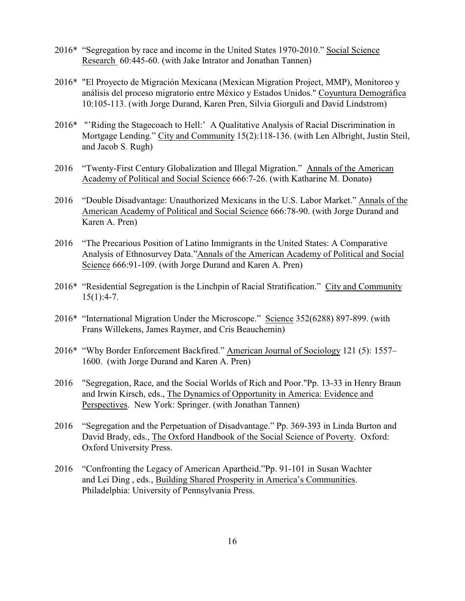- 2016\* "Segregation by race and income in the United States 1970-2010." Social Science Research 60:445-60. (with Jake Intrator and Jonathan Tannen)
- 2016\* "El Proyecto de Migración Mexicana (Mexican Migration Project, MMP), Monitoreo y análisis del proceso migratorio entre México y Estados Unidos." Coyuntura Demográfica 10:105-113. (with Jorge Durand, Karen Pren, Silvia Giorguli and David Lindstrom)
- 2016\* "'Riding the Stagecoach to Hell:' A Qualitative Analysis of Racial Discrimination in Mortgage Lending." City and Community 15(2):118-136. (with Len Albright, Justin Steil, and Jacob S. Rugh)
- 2016 "Twenty-First Century Globalization and Illegal Migration." Annals of the American Academy of Political and Social Science 666:7-26. (with Katharine M. Donato)
- 2016 "Double Disadvantage: Unauthorized Mexicans in the U.S. Labor Market." Annals of the American Academy of Political and Social Science 666:78-90. (with Jorge Durand and Karen A. Pren)
- 2016 "The Precarious Position of Latino Immigrants in the United States: A Comparative Analysis of Ethnosurvey Data."Annals of the American Academy of Political and Social Science 666:91-109. (with Jorge Durand and Karen A. Pren)
- 2016\* "Residential Segregation is the Linchpin of Racial Stratification." City and Community  $15(1):4-7.$
- 2016\* "International Migration Under the Microscope." Science 352(6288) 897-899. (with Frans Willekens, James Raymer, and Cris Beauchemin)
- 2016\* "Why Border Enforcement Backfired." American Journal of Sociology 121 (5): 1557– 1600. (with Jorge Durand and Karen A. Pren)
- 2016 "Segregation, Race, and the Social Worlds of Rich and Poor."Pp. 13-33 in Henry Braun and Irwin Kirsch, eds., The Dynamics of Opportunity in America: Evidence and Perspectives. New York: Springer. (with Jonathan Tannen)
- 2016 "Segregation and the Perpetuation of Disadvantage." Pp. 369-393 in Linda Burton and David Brady, eds., The Oxford Handbook of the Social Science of Poverty. Oxford: Oxford University Press.
- 2016 "Confronting the Legacy of American Apartheid."Pp. 91-101 in Susan Wachter and Lei Ding , eds., Building Shared Prosperity in America's Communities. Philadelphia: University of Pennsylvania Press.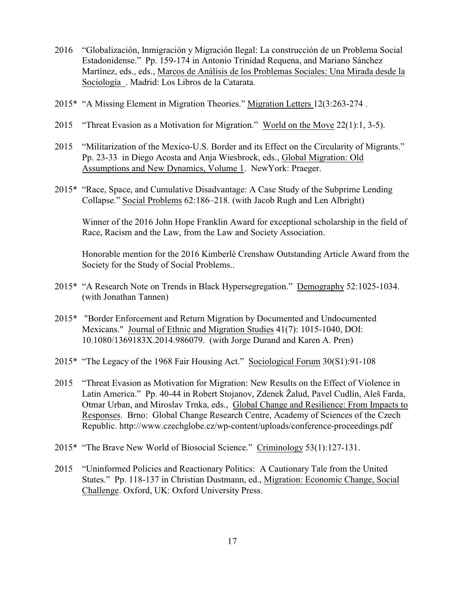- 2016 "Globalización, Inmigración y Migración Ilegal: La construcción de un Problema Social Estadonidense." Pp. 159-174 in Antonio Trinidad Requena, and Mariano Sánchez Martínez, eds., eds., Marcos de Análisis de los Problemas Sociales: Una Mirada desde la Sociología . Madrid: Los Libros de la Catarata.
- 2015\* "A Missing Element in Migration Theories." Migration Letters 12(3:263-274 .
- 2015 "Threat Evasion as a Motivation for Migration." World on the Move 22(1):1, 3-5).
- 2015 "Militarization of the Mexico-U.S. Border and its Effect on the Circularity of Migrants." Pp. 23-33 in Diego Acosta and Anja Wiesbrock, eds., Global Migration: Old Assumptions and New Dynamics, Volume 1. NewYork: Praeger.
- 2015\* "Race, Space, and Cumulative Disadvantage: A Case Study of the Subprime Lending Collapse." Social Problems 62:186–218. (with Jacob Rugh and Len Albright)

Winner of the 2016 John Hope Franklin Award for exceptional scholarship in the field of Race, Racism and the Law, from the Law and Society Association.

Honorable mention for the 2016 Kimberlé Crenshaw Outstanding Article Award from the Society for the Study of Social Problems..

- 2015\* "A Research Note on Trends in Black Hypersegregation." Demography 52:1025-1034. (with Jonathan Tannen)
- 2015\* "Border Enforcement and Return Migration by Documented and Undocumented Mexicans." Journal of Ethnic and Migration Studies 41(7): 1015-1040, DOI: 10.1080/1369183X.2014.986079. (with Jorge Durand and Karen A. Pren)
- 2015\* "The Legacy of the 1968 Fair Housing Act." Sociological Forum 30(S1):91-108
- 2015 "Threat Evasion as Motivation for Migration: New Results on the Effect of Violence in Latin America." Pp. 40-44 in Robert Stojanov, Zdenek Žalud, Pavel Cudlín, Aleš Farda, Otmar Urban, and Miroslav Trnka, eds., Global Change and Resilience: From Impacts to Responses. Brno: Global Change Research Centre, Academy of Sciences of the Czech Republic. http://www.czechglobe.cz/wp-content/uploads/conference-proceedings.pdf
- 2015\* "The Brave New World of Biosocial Science." Criminology 53(1):127-131.
- 2015 "Uninformed Policies and Reactionary Politics: A Cautionary Tale from the United States." Pp. 118-137 in Christian Dustmann, ed., Migration: Economic Change, Social Challenge. Oxford, UK: Oxford University Press.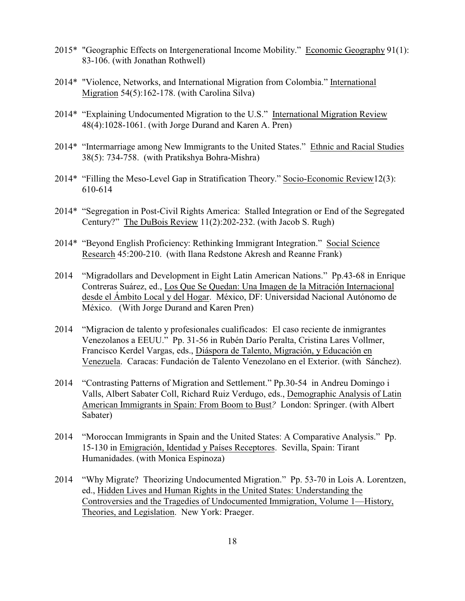- 2015\* "Geographic Effects on Intergenerational Income Mobility." Economic Geography 91(1): 83-106. (with Jonathan Rothwell)
- 2014\* "Violence, Networks, and International Migration from Colombia." International Migration 54(5):162-178. (with Carolina Silva)
- 2014\* "Explaining Undocumented Migration to the U.S." International Migration Review 48(4):1028-1061. (with Jorge Durand and Karen A. Pren)
- 2014\* "Intermarriage among New Immigrants to the United States." Ethnic and Racial Studies 38(5): 734-758. (with Pratikshya Bohra-Mishra)
- 2014\* "Filling the Meso-Level Gap in Stratification Theory." Socio-Economic Review12(3): 610-614
- 2014\* "Segregation in Post-Civil Rights America: Stalled Integration or End of the Segregated Century?" The DuBois Review 11(2):202-232. (with Jacob S. Rugh)
- 2014\* "Beyond English Proficiency: Rethinking Immigrant Integration." Social Science Research 45:200-210. (with Ilana Redstone Akresh and Reanne Frank)
- 2014 "Migradollars and Development in Eight Latin American Nations." Pp.43-68 in Enrique Contreras Suárez, ed., Los Que Se Quedan: Una Imagen de la Mitración Internacional desde el Ámbito Local y del Hogar. México, DF: Universidad Nacional Autónomo de México. (With Jorge Durand and Karen Pren)
- 2014 "Migracion de talento y profesionales cualificados: El caso reciente de inmigrantes Venezolanos a EEUU." Pp. 31-56 in Rubén Darío Peralta, Cristina Lares Vollmer, Francisco Kerdel Vargas, eds., Diáspora de Talento, Migración, y Educación en Venezuela. Caracas: Fundación de Talento Venezolano en el Exterior. (with Sánchez).
- 2014 "Contrasting Patterns of Migration and Settlement." Pp.30-54 in Andreu Domingo i Valls, Albert Sabater Coll, Richard Ruiz Verdugo, eds., Demographic Analysis of Latin American Immigrants in Spain: From Boom to Bust*?* London: Springer. (with Albert Sabater)
- 2014 "Moroccan Immigrants in Spain and the United States: A Comparative Analysis." Pp. 15-130 in Emigración, Identidad y Países Receptores. Sevilla, Spain: Tirant Humanidades. (with Monica Espinoza)
- 2014 "Why Migrate? Theorizing Undocumented Migration." Pp. 53-70 in Lois A. Lorentzen, ed., Hidden Lives and Human Rights in the United States: Understanding the Controversies and the Tragedies of Undocumented Immigration, Volume 1—History, Theories, and Legislation. New York: Praeger.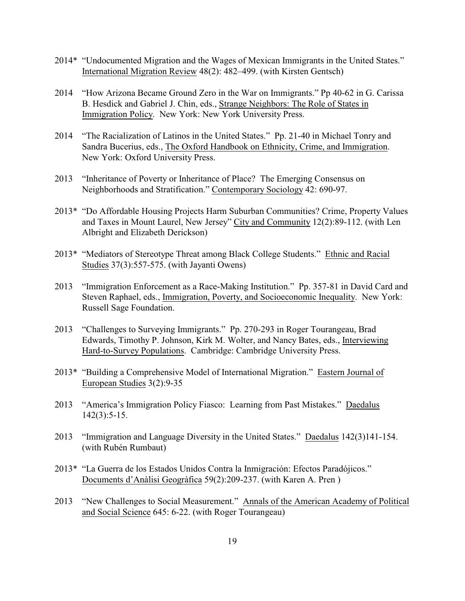- 2014\* "Undocumented Migration and the Wages of Mexican Immigrants in the United States." International Migration Review 48(2): 482–499. (with Kirsten Gentsch)
- 2014 "How Arizona Became Ground Zero in the War on Immigrants." Pp 40-62 in G. Carissa B. Hesdick and Gabriel J. Chin, eds., Strange Neighbors: The Role of States in Immigration Policy. New York: New York University Press.
- 2014 "The Racialization of Latinos in the United States." Pp. 21-40 in Michael Tonry and Sandra Bucerius, eds., The Oxford Handbook on Ethnicity, Crime, and Immigration. New York: Oxford University Press.
- 2013 "Inheritance of Poverty or Inheritance of Place? The Emerging Consensus on Neighborhoods and Stratification." Contemporary Sociology 42: 690-97.
- 2013\* "Do Affordable Housing Projects Harm Suburban Communities? Crime, Property Values and Taxes in Mount Laurel, New Jersey" City and Community 12(2):89-112. (with Len Albright and Elizabeth Derickson)
- 2013\* "Mediators of Stereotype Threat among Black College Students." Ethnic and Racial Studies 37(3):557-575. (with Jayanti Owens)
- 2013 "Immigration Enforcement as a Race-Making Institution." Pp. 357-81 in David Card and Steven Raphael, eds., Immigration, Poverty, and Socioeconomic Inequality. New York: Russell Sage Foundation.
- 2013 "Challenges to Surveying Immigrants." Pp. 270-293 in Roger Tourangeau, Brad Edwards, Timothy P. Johnson, Kirk M. Wolter, and Nancy Bates, eds., Interviewing Hard-to-Survey Populations. Cambridge: Cambridge University Press.
- 2013\* "Building a Comprehensive Model of International Migration." Eastern Journal of European Studies 3(2):9-35
- 2013 "America's Immigration Policy Fiasco: Learning from Past Mistakes." Daedalus 142(3):5-15.
- 2013 "Immigration and Language Diversity in the United States." Daedalus 142(3)141-154. (with Rubén Rumbaut)
- 2013\* "La Guerra de los Estados Unidos Contra la Inmigración: Efectos Paradójicos." Documents d'Anàlisi Geogràfica 59(2):209-237. (with Karen A. Pren )
- 2013 "New Challenges to Social Measurement." Annals of the American Academy of Political and Social Science 645: 6-22. (with Roger Tourangeau)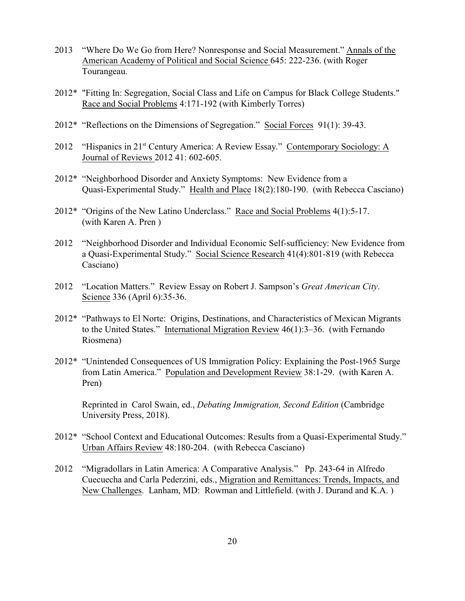- 2013 "Where Do We Go from Here? Nonresponse and Social Measurement." Annals of the American Academy of Political and Social Science 645: 222-236. (with Roger Tourangeau.
- 2012\* "Fitting In: Segregation, Social Class and Life on Campus for Black College Students." Race and Social Problems 4:171-192 (with Kimberly Torres)
- 2012\* "Reflections on the Dimensions of Segregation." Social Forces 91(1): 39-43.
- 2012 "Hispanics in  $21<sup>st</sup>$  Century America: A Review Essay." Contemporary Sociology: A Journal of Reviews 2012 41: 602-605.
- 2012\* "Neighborhood Disorder and Anxiety Symptoms: New Evidence from a Quasi-Experimental Study." Health and Place 18(2):180-190. (with Rebecca Casciano)
- 2012\* "Origins of the New Latino Underclass." Race and Social Problems 4(1):5-17. (with Karen A. Pren )
- 2012 "Neighborhood Disorder and Individual Economic Self-sufficiency: New Evidence from a Quasi-Experimental Study." Social Science Research 41(4):801-819 (with Rebecca Casciano)
- 2012 "Location Matters." Review Essay on Robert J. Sampson's *Great American City*. Science 336 (April 6):35-36.
- 2012\* "Pathways to El Norte: Origins, Destinations, and Characteristics of Mexican Migrants to the United States." International Migration Review 46(1):3–36. (with Fernando Riosmena)
- 2012\* "Unintended Consequences of US Immigration Policy: Explaining the Post-1965 Surge from Latin America." Population and Development Review 38:1-29. (with Karen A. Pren)

Reprinted in Carol Swain, ed., *Debating Immigration, Second Edition* (Cambridge University Press, 2018).

- 2012\* "School Context and Educational Outcomes: Results from a Quasi-Experimental Study." Urban Affairs Review 48:180-204. (with Rebecca Casciano)
- 2012 "Migradollars in Latin America: A Comparative Analysis." Pp. 243-64 in Alfredo Cuecuecha and Carla Pederzini, eds., Migration and Remittances: Trends, Impacts, and New Challenges. Lanham, MD: Rowman and Littlefield. (with J. Durand and K.A. )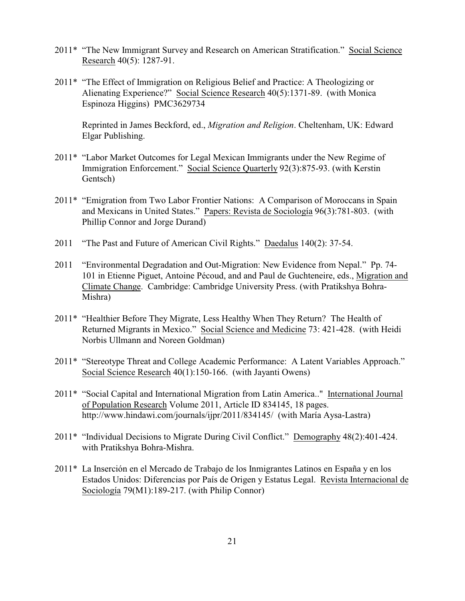- 2011\* "The New Immigrant Survey and Research on American Stratification." Social Science Research 40(5): 1287-91.
- 2011\* "The Effect of Immigration on Religious Belief and Practice: A Theologizing or Alienating Experience?" Social Science Research 40(5):1371-89. (with Monica Espinoza Higgins) PMC3629734

Reprinted in James Beckford, ed., *Migration and Religion*. Cheltenham, UK: Edward Elgar Publishing.

- 2011\* "Labor Market Outcomes for Legal Mexican Immigrants under the New Regime of Immigration Enforcement." Social Science Quarterly 92(3):875-93. (with Kerstin Gentsch)
- 2011\* "Emigration from Two Labor Frontier Nations: A Comparison of Moroccans in Spain and Mexicans in United States." Papers: Revista de Sociología 96(3):781-803. (with Phillip Connor and Jorge Durand)
- 2011 "The Past and Future of American Civil Rights." Daedalus 140(2): 37-54.
- 2011 "Environmental Degradation and Out-Migration: New Evidence from Nepal." Pp. 74- 101 in Etienne Piguet, Antoine Pécoud, and and Paul de Guchteneire, eds., Migration and Climate Change. Cambridge: Cambridge University Press. (with Pratikshya Bohra-Mishra)
- 2011\* "Healthier Before They Migrate, Less Healthy When They Return? The Health of Returned Migrants in Mexico." Social Science and Medicine 73: 421-428. (with Heidi Norbis Ullmann and Noreen Goldman)
- 2011\* "Stereotype Threat and College Academic Performance: A Latent Variables Approach." Social Science Research 40(1):150-166. (with Jayanti Owens)
- 2011\* "Social Capital and International Migration from Latin America.." International Journal of Population Research Volume 2011, Article ID 834145, 18 pages. http://www.hindawi.com/journals/ijpr/2011/834145/ (with María Aysa-Lastra)
- 2011\* "Individual Decisions to Migrate During Civil Conflict." Demography 48(2):401-424. with Pratikshya Bohra-Mishra.
- 2011\* La Inserción en el Mercado de Trabajo de los Inmigrantes Latinos en España y en los Estados Unidos: Diferencias por País de Origen y Estatus Legal. Revista Internacional de Sociología 79(M1):189-217. (with Philip Connor)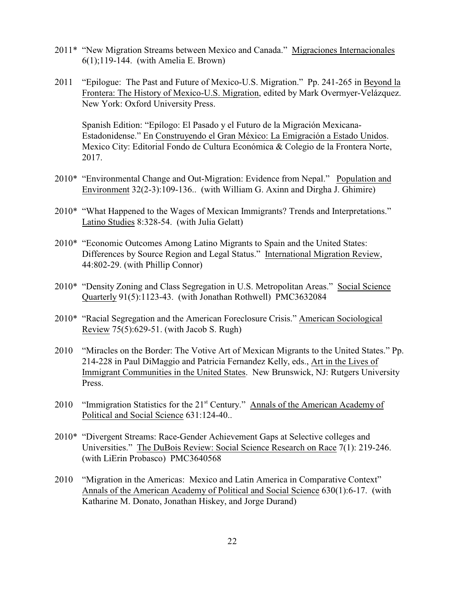- 2011\* "New Migration Streams between Mexico and Canada." Migraciones Internacionales 6(1);119-144. (with Amelia E. Brown)
- 2011 "Epilogue: The Past and Future of Mexico-U.S. Migration." Pp. 241-265 in Beyond la Frontera: The History of Mexico-U.S. Migration, edited by Mark Overmyer-Velázquez. New York: Oxford University Press.

Spanish Edition: "Epílogo: El Pasado y el Futuro de la Migración Mexicana-Estadonidense." En Construyendo el Gran México: La Emigración a Estado Unidos. Mexico City: Editorial Fondo de Cultura Económica & Colegio de la Frontera Norte, 2017.

- 2010\* "Environmental Change and Out-Migration: Evidence from Nepal." Population and Environment 32(2-3):109-136.. (with William G. Axinn and Dirgha J. Ghimire)
- 2010\* "What Happened to the Wages of Mexican Immigrants? Trends and Interpretations." Latino Studies 8:328-54. (with Julia Gelatt)
- 2010\* "Economic Outcomes Among Latino Migrants to Spain and the United States: Differences by Source Region and Legal Status." International Migration Review, 44:802-29. (with Phillip Connor)
- 2010\* "Density Zoning and Class Segregation in U.S. Metropolitan Areas." Social Science Quarterly 91(5):1123-43. (with Jonathan Rothwell) PMC3632084
- 2010\* "Racial Segregation and the American Foreclosure Crisis." American Sociological Review 75(5):629-51. (with Jacob S. Rugh)
- 2010 "Miracles on the Border: The Votive Art of Mexican Migrants to the United States." Pp. 214-228 in Paul DiMaggio and Patricia Fernandez Kelly, eds., Art in the Lives of Immigrant Communities in the United States. New Brunswick, NJ: Rutgers University Press.
- 2010 "Immigration Statistics for the  $21<sup>st</sup>$  Century." Annals of the American Academy of Political and Social Science 631:124-40..
- 2010\* "Divergent Streams: Race-Gender Achievement Gaps at Selective colleges and Universities." The DuBois Review: Social Science Research on Race 7(1): 219-246. (with LiErin Probasco) PMC3640568
- 2010 "Migration in the Americas: Mexico and Latin America in Comparative Context" Annals of the American Academy of Political and Social Science 630(1):6-17. (with Katharine M. Donato, Jonathan Hiskey, and Jorge Durand)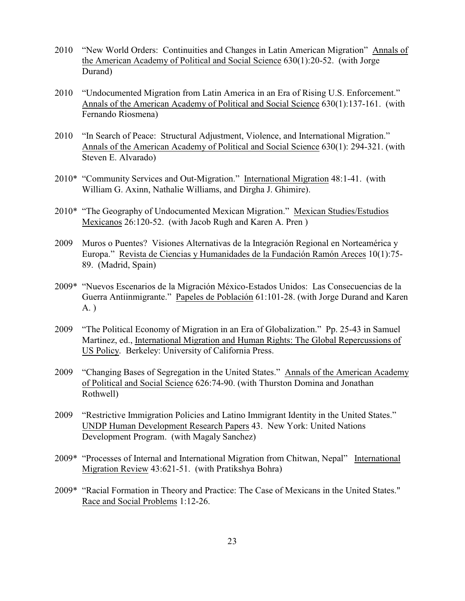- 2010 "New World Orders: Continuities and Changes in Latin American Migration" Annals of the American Academy of Political and Social Science 630(1):20-52. (with Jorge Durand)
- 2010 "Undocumented Migration from Latin America in an Era of Rising U.S. Enforcement." Annals of the American Academy of Political and Social Science 630(1):137-161. (with Fernando Riosmena)
- 2010 "In Search of Peace: Structural Adjustment, Violence, and International Migration." Annals of the American Academy of Political and Social Science 630(1): 294-321. (with Steven E. Alvarado)
- 2010\* "Community Services and Out-Migration." International Migration 48:1-41. (with William G. Axinn, Nathalie Williams, and Dirgha J. Ghimire).
- 2010\* "The Geography of Undocumented Mexican Migration." Mexican Studies/Estudios Mexicanos 26:120-52. (with Jacob Rugh and Karen A. Pren )
- 2009 Muros o Puentes? Visiones Alternativas de la Integración Regional en Norteamérica y Europa." Revista de Ciencias y Humanidades de la Fundación Ramón Areces 10(1):75- 89. (Madrid, Spain)
- 2009\* "Nuevos Escenarios de la Migración México-Estados Unidos: Las Consecuencias de la Guerra Antiinmigrante." Papeles de Población 61:101-28. (with Jorge Durand and Karen A. )
- 2009 "The Political Economy of Migration in an Era of Globalization." Pp. 25-43 in Samuel Martinez, ed., International Migration and Human Rights: The Global Repercussions of US Policy. Berkeley: University of California Press.
- 2009 "Changing Bases of Segregation in the United States." Annals of the American Academy of Political and Social Science 626:74-90. (with Thurston Domina and Jonathan Rothwell)
- 2009 "Restrictive Immigration Policies and Latino Immigrant Identity in the United States." UNDP Human Development Research Papers 43. New York: United Nations Development Program. (with Magaly Sanchez)
- 2009\* "Processes of Internal and International Migration from Chitwan, Nepal" International Migration Review 43:621-51. (with Pratikshya Bohra)
- 2009\* "Racial Formation in Theory and Practice: The Case of Mexicans in the United States." Race and Social Problems 1:12-26.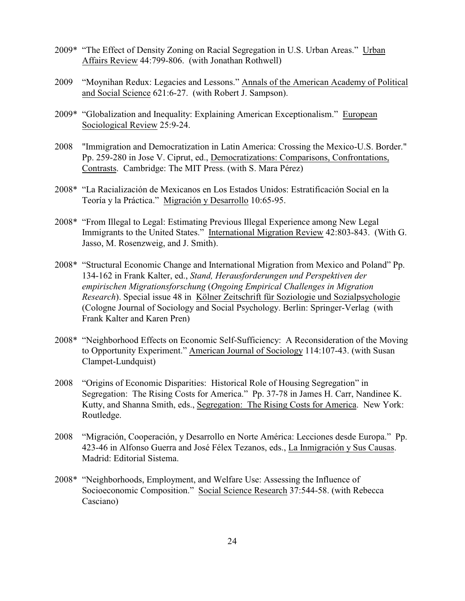- 2009\* "The Effect of Density Zoning on Racial Segregation in U.S. Urban Areas." Urban Affairs Review 44:799-806. (with Jonathan Rothwell)
- 2009 "Moynihan Redux: Legacies and Lessons." Annals of the American Academy of Political and Social Science 621:6-27. (with Robert J. Sampson).
- 2009\* "Globalization and Inequality: Explaining American Exceptionalism." European Sociological Review 25:9-24.
- 2008 "Immigration and Democratization in Latin America: Crossing the Mexico-U.S. Border." Pp. 259-280 in Jose V. Ciprut, ed., Democratizations: Comparisons, Confrontations, Contrasts. Cambridge: The MIT Press. (with S. Mara Pérez)
- 2008\* "La Racialización de Mexicanos en Los Estados Unidos: Estratificación Social en la Teoría y la Práctica." Migración y Desarrollo 10:65-95.
- 2008\* "From Illegal to Legal: Estimating Previous Illegal Experience among New Legal Immigrants to the United States." International Migration Review 42:803-843. (With G. Jasso, M. Rosenzweig, and J. Smith).
- 2008\* "Structural Economic Change and International Migration from Mexico and Poland" Pp. 134-162 in Frank Kalter, ed., *Stand, Herausforderungen und Perspektiven der empirischen Migrationsforschung* (*Ongoing Empirical Challenges in Migration Research*). Special issue 48 in Kölner Zeitschrift für Soziologie und Sozialpsychologie (Cologne Journal of Sociology and Social Psychology. Berlin: Springer-Verlag (with Frank Kalter and Karen Pren)
- 2008\* "Neighborhood Effects on Economic Self-Sufficiency: A Reconsideration of the Moving to Opportunity Experiment." American Journal of Sociology 114:107-43. (with Susan Clampet-Lundquist)
- 2008 "Origins of Economic Disparities: Historical Role of Housing Segregation" in Segregation: The Rising Costs for America." Pp. 37-78 in James H. Carr, Nandinee K. Kutty, and Shanna Smith, eds., Segregation: The Rising Costs for America. New York: Routledge.
- 2008 "Migración, Cooperación, y Desarrollo en Norte América: Lecciones desde Europa." Pp. 423-46 in Alfonso Guerra and José Félex Tezanos, eds., La Inmigración y Sus Causas. Madrid: Editorial Sistema.
- 2008\* "Neighborhoods, Employment, and Welfare Use: Assessing the Influence of Socioeconomic Composition." Social Science Research 37:544-58. (with Rebecca Casciano)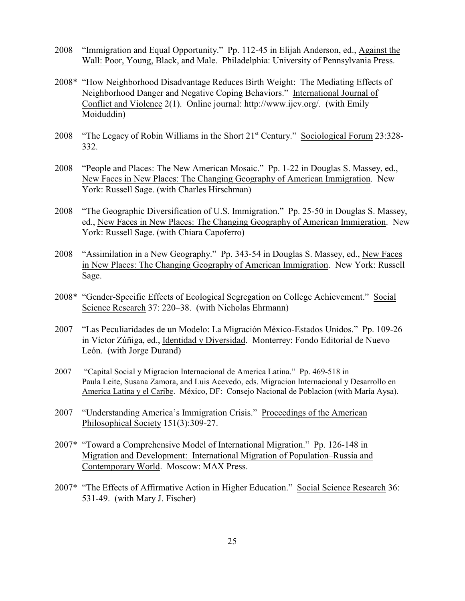- 2008 "Immigration and Equal Opportunity." Pp. 112-45 in Elijah Anderson, ed., Against the Wall: Poor, Young, Black, and Male. Philadelphia: University of Pennsylvania Press.
- 2008\* "How Neighborhood Disadvantage Reduces Birth Weight: The Mediating Effects of Neighborhood Danger and Negative Coping Behaviors." International Journal of Conflict and Violence 2(1). Online journal: http://www.ijcv.org/. (with Emily Moiduddin)
- 2008 "The Legacy of Robin Williams in the Short 21<sup>st</sup> Century." Sociological Forum 23:328-332.
- 2008 "People and Places: The New American Mosaic." Pp. 1-22 in Douglas S. Massey, ed., New Faces in New Places: The Changing Geography of American Immigration. New York: Russell Sage. (with Charles Hirschman)
- 2008 "The Geographic Diversification of U.S. Immigration." Pp. 25-50 in Douglas S. Massey, ed., New Faces in New Places: The Changing Geography of American Immigration. New York: Russell Sage. (with Chiara Capoferro)
- 2008 "Assimilation in a New Geography." Pp. 343-54 in Douglas S. Massey, ed., New Faces in New Places: The Changing Geography of American Immigration. New York: Russell Sage.
- 2008\* "Gender-Specific Effects of Ecological Segregation on College Achievement." Social Science Research 37: 220–38. (with Nicholas Ehrmann)
- 2007 "Las Peculiaridades de un Modelo: La Migración México-Estados Unidos." Pp. 109-26 in Víctor Zúñiga, ed., Identidad y Diversidad. Monterrey: Fondo Editorial de Nuevo León. (with Jorge Durand)
- 2007 "Capital Social y Migracion Internacional de America Latina." Pp. 469-518 in Paula Leite, Susana Zamora, and Luis Acevedo, eds. Migracion Internacional y Desarrollo en America Latina y el Caribe. México, DF: Consejo Nacional de Poblacion (with María Aysa).
- 2007 "Understanding America's Immigration Crisis." Proceedings of the American Philosophical Society 151(3):309-27.
- 2007\* "Toward a Comprehensive Model of International Migration." Pp. 126-148 in Migration and Development: International Migration of Population–Russia and Contemporary World. Moscow: MAX Press.
- 2007\* "The Effects of Affirmative Action in Higher Education." Social Science Research 36: 531-49. (with Mary J. Fischer)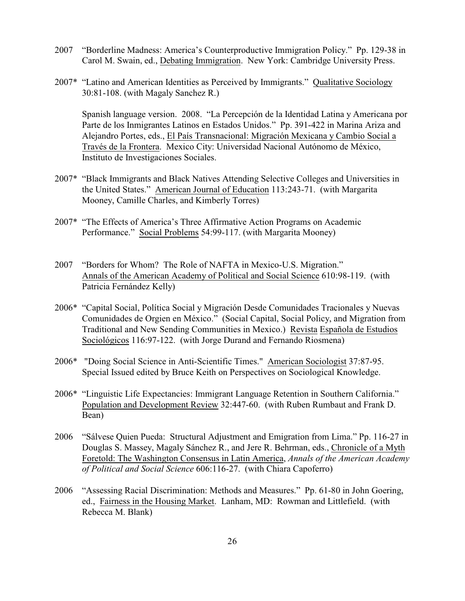- 2007 "Borderline Madness: America's Counterproductive Immigration Policy." Pp. 129-38 in Carol M. Swain, ed., Debating Immigration. New York: Cambridge University Press.
- 2007\* "Latino and American Identities as Perceived by Immigrants." Qualitative Sociology 30:81-108. (with Magaly Sanchez R.)

Spanish language version. 2008. "La Percepción de la Identidad Latina y Americana por Parte de los Inmigrantes Latinos en Estados Unidos." Pp. 391-422 in Marina Ariza and Alejandro Portes, eds., El País Transnacional: Migración Mexicana y Cambio Social a Través de la Frontera. Mexico City: Universidad Nacional Autónomo de México, Instituto de Investigaciones Sociales.

- 2007\* "Black Immigrants and Black Natives Attending Selective Colleges and Universities in the United States." American Journal of Education 113:243-71. (with Margarita Mooney, Camille Charles, and Kimberly Torres)
- 2007\* "The Effects of America's Three Affirmative Action Programs on Academic Performance." Social Problems 54:99-117. (with Margarita Mooney)
- 2007 "Borders for Whom? The Role of NAFTA in Mexico-U.S. Migration." Annals of the American Academy of Political and Social Science 610:98-119. (with Patricia Fernández Kelly)
- 2006\* "Capital Social, Política Social y Migración Desde Comunidades Tracionales y Nuevas Comunidades de Orgien en México." (Social Capital, Social Policy, and Migration from Traditional and New Sending Communities in Mexico.) Revista Española de Estudios Sociológicos 116:97-122. (with Jorge Durand and Fernando Riosmena)
- 2006\* "Doing Social Science in Anti-Scientific Times." American Sociologist 37:87-95. Special Issued edited by Bruce Keith on Perspectives on Sociological Knowledge.
- 2006\* "Linguistic Life Expectancies: Immigrant Language Retention in Southern California." Population and Development Review 32:447-60. (with Ruben Rumbaut and Frank D. Bean)
- 2006 "Sálvese Quien Pueda: Structural Adjustment and Emigration from Lima." Pp. 116-27 in Douglas S. Massey, Magaly Sánchez R., and Jere R. Behrman, eds., Chronicle of a Myth Foretold: The Washington Consensus in Latin America, *Annals of the American Academy of Political and Social Science* 606:116-27. (with Chiara Capoferro)
- 2006 "Assessing Racial Discrimination: Methods and Measures." Pp. 61-80 in John Goering, ed., Fairness in the Housing Market. Lanham, MD: Rowman and Littlefield. (with Rebecca M. Blank)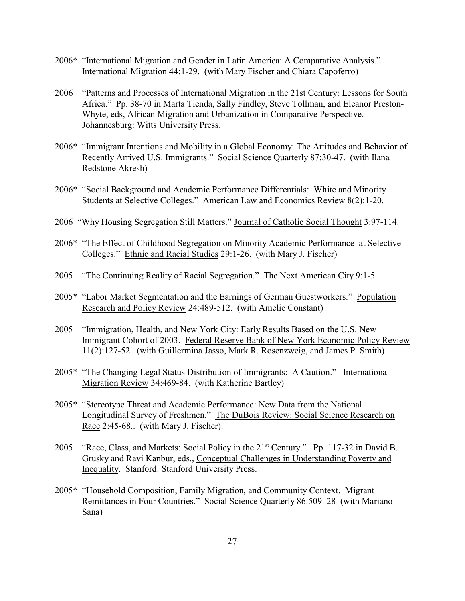- 2006\* "International Migration and Gender in Latin America: A Comparative Analysis." International Migration 44:1-29. (with Mary Fischer and Chiara Capoferro)
- 2006 "Patterns and Processes of International Migration in the 21st Century: Lessons for South Africa." Pp. 38-70 in Marta Tienda, Sally Findley, Steve Tollman, and Eleanor Preston-Whyte, eds, African Migration and Urbanization in Comparative Perspective. Johannesburg: Witts University Press.
- 2006\* "Immigrant Intentions and Mobility in a Global Economy: The Attitudes and Behavior of Recently Arrived U.S. Immigrants." Social Science Quarterly 87:30-47. (with Ilana Redstone Akresh)
- 2006\* "Social Background and Academic Performance Differentials: White and Minority Students at Selective Colleges." American Law and Economics Review 8(2):1-20.
- 2006 "Why Housing Segregation Still Matters." Journal of Catholic Social Thought 3:97-114.
- 2006\* "The Effect of Childhood Segregation on Minority Academic Performance at Selective Colleges." Ethnic and Racial Studies 29:1-26. (with Mary J. Fischer)
- 2005 "The Continuing Reality of Racial Segregation." The Next American City 9:1-5.
- 2005\* "Labor Market Segmentation and the Earnings of German Guestworkers." Population Research and Policy Review 24:489-512. (with Amelie Constant)
- 2005 "Immigration, Health, and New York City: Early Results Based on the U.S. New Immigrant Cohort of 2003. Federal Reserve Bank of New York Economic Policy Review 11(2):127-52. (with Guillermina Jasso, Mark R. Rosenzweig, and James P. Smith)
- 2005\* "The Changing Legal Status Distribution of Immigrants: A Caution." International Migration Review 34:469-84. (with Katherine Bartley)
- 2005\* "Stereotype Threat and Academic Performance: New Data from the National Longitudinal Survey of Freshmen." The DuBois Review: Social Science Research on Race 2:45-68.. (with Mary J. Fischer).
- 2005 "Race, Class, and Markets: Social Policy in the 21<sup>st</sup> Century." Pp. 117-32 in David B. Grusky and Ravi Kanbur, eds., Conceptual Challenges in Understanding Poverty and Inequality. Stanford: Stanford University Press.
- 2005\* "Household Composition, Family Migration, and Community Context. Migrant Remittances in Four Countries." Social Science Quarterly 86:509–28 (with Mariano Sana)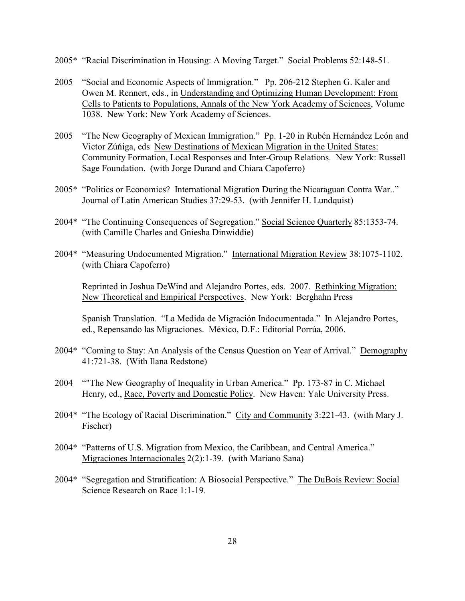- 2005\* "Racial Discrimination in Housing: A Moving Target." Social Problems 52:148-51.
- 2005 "Social and Economic Aspects of Immigration." Pp. 206-212 Stephen G. Kaler and Owen M. Rennert, eds., in Understanding and Optimizing Human Development: From Cells to Patients to Populations, Annals of the New York Academy of Sciences, Volume 1038. New York: New York Academy of Sciences.
- 2005 "The New Geography of Mexican Immigration." Pp. 1-20 in Rubén Hernández León and Victor Zúňiga, eds New Destinations of Mexican Migration in the United States: Community Formation, Local Responses and Inter-Group Relations. New York: Russell Sage Foundation. (with Jorge Durand and Chiara Capoferro)
- 2005\* "Politics or Economics? International Migration During the Nicaraguan Contra War.." Journal of Latin American Studies 37:29-53. (with Jennifer H. Lundquist)
- 2004\* "The Continuing Consequences of Segregation." Social Science Quarterly 85:1353-74. (with Camille Charles and Gniesha Dinwiddie)
- 2004\* "Measuring Undocumented Migration." International Migration Review 38:1075-1102. (with Chiara Capoferro)

Reprinted in Joshua DeWind and Alejandro Portes, eds. 2007. Rethinking Migration: New Theoretical and Empirical Perspectives. New York: Berghahn Press

Spanish Translation. "La Medida de Migración Indocumentada." In Alejandro Portes, ed., Repensando las Migraciones. México, D.F.: Editorial Porrúa, 2006.

- 2004\* "Coming to Stay: An Analysis of the Census Question on Year of Arrival." Demography 41:721-38. (With Ilana Redstone)
- 2004 ""The New Geography of Inequality in Urban America." Pp. 173-87 in C. Michael Henry, ed., Race, Poverty and Domestic Policy. New Haven: Yale University Press.
- 2004\* "The Ecology of Racial Discrimination." City and Community 3:221-43. (with Mary J. Fischer)
- 2004\* "Patterns of U.S. Migration from Mexico, the Caribbean, and Central America." Migraciones Internacionales 2(2):1-39. (with Mariano Sana)
- 2004\* "Segregation and Stratification: A Biosocial Perspective." The DuBois Review: Social Science Research on Race 1:1-19.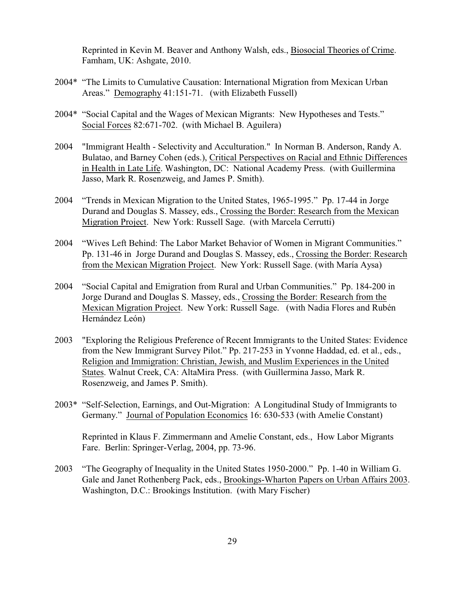Reprinted in Kevin M. Beaver and Anthony Walsh, eds., Biosocial Theories of Crime. Famham, UK: Ashgate, 2010.

- 2004\* "The Limits to Cumulative Causation: International Migration from Mexican Urban Areas." Demography 41:151-71. (with Elizabeth Fussell)
- 2004\* "Social Capital and the Wages of Mexican Migrants: New Hypotheses and Tests." Social Forces 82:671-702. (with Michael B. Aguilera)
- 2004 "Immigrant Health Selectivity and Acculturation." In Norman B. Anderson, Randy A. Bulatao, and Barney Cohen (eds.), Critical Perspectives on Racial and Ethnic Differences in Health in Late Life. Washington, DC: National Academy Press. (with Guillermina Jasso, Mark R. Rosenzweig, and James P. Smith).
- 2004 "Trends in Mexican Migration to the United States, 1965-1995." Pp. 17-44 in Jorge Durand and Douglas S. Massey, eds., Crossing the Border: Research from the Mexican Migration Project. New York: Russell Sage. (with Marcela Cerrutti)
- 2004 "Wives Left Behind: The Labor Market Behavior of Women in Migrant Communities." Pp. 131-46 in Jorge Durand and Douglas S. Massey, eds., Crossing the Border: Research from the Mexican Migration Project. New York: Russell Sage. (with María Aysa)
- 2004 "Social Capital and Emigration from Rural and Urban Communities." Pp. 184-200 in Jorge Durand and Douglas S. Massey, eds., Crossing the Border: Research from the Mexican Migration Project. New York: Russell Sage. (with Nadia Flores and Rubén Hernández León)
- 2003 "Exploring the Religious Preference of Recent Immigrants to the United States: Evidence from the New Immigrant Survey Pilot." Pp. 217-253 in Yvonne Haddad, ed. et al., eds., Religion and Immigration: Christian, Jewish, and Muslim Experiences in the United States. Walnut Creek, CA: AltaMira Press. (with Guillermina Jasso, Mark R. Rosenzweig, and James P. Smith).
- 2003\* "Self-Selection, Earnings, and Out-Migration: A Longitudinal Study of Immigrants to Germany." Journal of Population Economics 16: 630-533 (with Amelie Constant)

Reprinted in Klaus F. Zimmermann and Amelie Constant, eds., How Labor Migrants Fare. Berlin: Springer-Verlag, 2004, pp. 73-96.

2003 "The Geography of Inequality in the United States 1950-2000." Pp. 1-40 in William G. Gale and Janet Rothenberg Pack, eds., Brookings-Wharton Papers on Urban Affairs 2003. Washington, D.C.: Brookings Institution. (with Mary Fischer)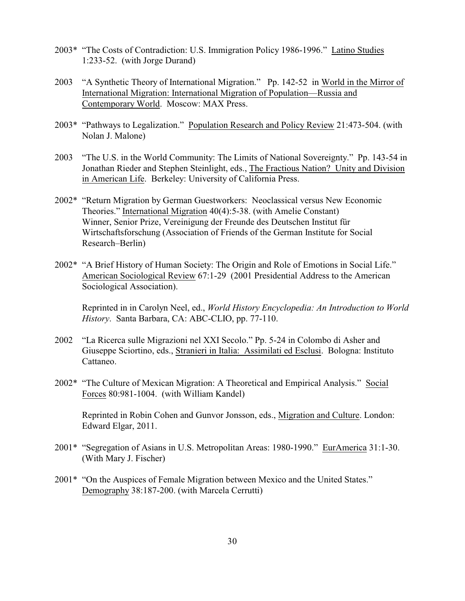- 2003\* "The Costs of Contradiction: U.S. Immigration Policy 1986-1996." Latino Studies 1:233-52. (with Jorge Durand)
- 2003 "A Synthetic Theory of International Migration." Pp. 142-52 in World in the Mirror of International Migration: International Migration of Population—Russia and Contemporary World. Moscow: MAX Press.
- 2003\* "Pathways to Legalization." Population Research and Policy Review 21:473-504. (with Nolan J. Malone)
- 2003 "The U.S. in the World Community: The Limits of National Sovereignty." Pp. 143-54 in Jonathan Rieder and Stephen Steinlight, eds., The Fractious Nation? Unity and Division in American Life. Berkeley: University of California Press.
- 2002\* "Return Migration by German Guestworkers: Neoclassical versus New Economic Theories." International Migration 40(4):5-38. (with Amelie Constant) Winner, Senior Prize, Vereinigung der Freunde des Deutschen Institut für Wirtschaftsforschung (Association of Friends of the German Institute for Social Research–Berlin)
- 2002\* "A Brief History of Human Society: The Origin and Role of Emotions in Social Life." American Sociological Review 67:1-29 (2001 Presidential Address to the American Sociological Association).

Reprinted in in Carolyn Neel, ed., *World History Encyclopedia: An Introduction to World History*. Santa Barbara, CA: ABC-CLIO, pp. 77-110.

- 2002 "La Ricerca sulle Migrazioni nel XXI Secolo." Pp. 5-24 in Colombo di Asher and Giuseppe Sciortino, eds., Stranieri in Italia: Assimilati ed Esclusi. Bologna: Instituto Cattaneo.
- 2002\* "The Culture of Mexican Migration: A Theoretical and Empirical Analysis." Social Forces 80:981-1004. (with William Kandel)

Reprinted in Robin Cohen and Gunvor Jonsson, eds., Migration and Culture. London: Edward Elgar, 2011.

- 2001\* "Segregation of Asians in U.S. Metropolitan Areas: 1980-1990." EurAmerica 31:1-30. (With Mary J. Fischer)
- 2001\* "On the Auspices of Female Migration between Mexico and the United States." Demography 38:187-200. (with Marcela Cerrutti)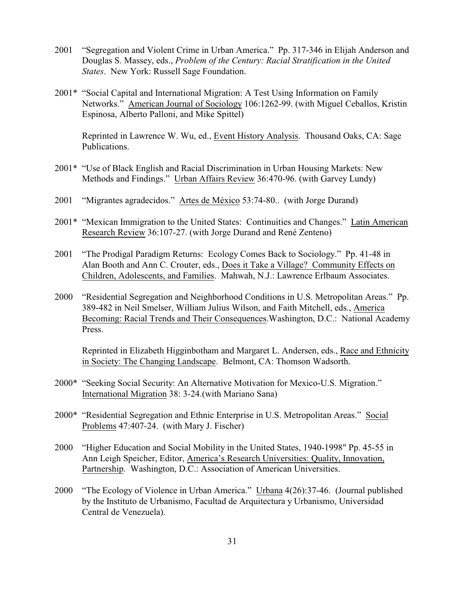- 2001 "Segregation and Violent Crime in Urban America." Pp. 317-346 in Elijah Anderson and Douglas S. Massey, eds., *Problem of the Century: Racial Stratification in the United States*. New York: Russell Sage Foundation.
- 2001\* "Social Capital and International Migration: A Test Using Information on Family Networks." American Journal of Sociology 106:1262-99. (with Miguel Ceballos, Kristin Espinosa, Alberto Palloni, and Mike Spittel)

Reprinted in Lawrence W. Wu, ed., Event History Analysis. Thousand Oaks, CA: Sage Publications.

- 2001\* "Use of Black English and Racial Discrimination in Urban Housing Markets: New Methods and Findings." Urban Affairs Review 36:470-96. (with Garvey Lundy)
- 2001 "Migrantes agradecidos." Artes de México 53:74-80.. (with Jorge Durand)
- 2001\* "Mexican Immigration to the United States: Continuities and Changes." Latin American Research Review 36:107-27. (with Jorge Durand and René Zenteno)
- 2001 "The Prodigal Paradigm Returns: Ecology Comes Back to Sociology." Pp. 41-48 in Alan Booth and Ann C. Crouter, eds., Does it Take a Village? Community Effects on Children, Adolescents, and Families. Mahwah, N.J.: Lawrence Erlbaum Associates.
- 2000 "Residential Segregation and Neighborhood Conditions in U.S. Metropolitan Areas." Pp. 389-482 in Neil Smelser, William Julius Wilson, and Faith Mitchell, eds., America Becoming: Racial Trends and Their Consequences.Washington, D.C.: National Academy Press.

Reprinted in Elizabeth Higginbotham and Margaret L. Andersen, eds., Race and Ethnicity in Society: The Changing Landscape. Belmont, CA: Thomson Wadsorth.

- 2000\* "Seeking Social Security: An Alternative Motivation for Mexico-U.S. Migration." International Migration 38: 3-24.(with Mariano Sana)
- 2000\* "Residential Segregation and Ethnic Enterprise in U.S. Metropolitan Areas." Social Problems 47:407-24. (with Mary J. Fischer)
- 2000 "Higher Education and Social Mobility in the United States, 1940-1998" Pp. 45-55 in Ann Leigh Speicher, Editor, America's Research Universities: Quality, Innovation, Partnership. Washington, D.C.: Association of American Universities.
- 2000 "The Ecology of Violence in Urban America." Urbana 4(26):37-46. (Journal published by the Instituto de Urbanismo, Facultad de Arquitectura y Urbanismo, Universidad Central de Venezuela).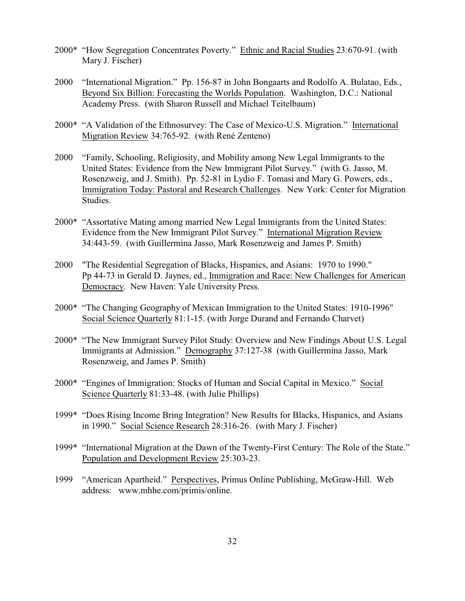- 2000\* "How Segregation Concentrates Poverty." Ethnic and Racial Studies 23:670-91. (with Mary J. Fischer)
- 2000 "International Migration." Pp. 156-87 in John Bongaarts and Rodolfo A. Bulatao, Eds., Beyond Six Billion: Forecasting the Worlds Population. Washington, D.C.: National Academy Press. (with Sharon Russell and Michael Teitelbaum)
- 2000\* "A Validation of the Ethnosurvey: The Case of Mexico-U.S. Migration." International Migration Review 34:765-92. (with René Zenteno)
- 2000 "Family, Schooling, Religiosity, and Mobility among New Legal Immigrants to the United States: Evidence from the New Immigrant Pilot Survey." (with G. Jasso, M. Rosenzweig, and J. Smith). Pp. 52-81 in Lydio F. Tomasi and Mary G. Powers, eds., Immigration Today: Pastoral and Research Challenges. New York: Center for Migration Studies.
- 2000\* "Assortative Mating among married New Legal Immigrants from the United States: Evidence from the New Immigrant Pilot Survey." International Migration Review 34:443-59. (with Guillermina Jasso, Mark Rosenzweig and James P. Smith)
- 2000 "The Residential Segregation of Blacks, Hispanics, and Asians: 1970 to 1990." Pp 44-73 in Gerald D. Jaynes, ed., Immigration and Race: New Challenges for American Democracy. New Haven: Yale University Press.
- 2000\* "The Changing Geography of Mexican Immigration to the United States: 1910-1996" Social Science Quarterly 81:1-15. (with Jorge Durand and Fernando Charvet)
- 2000\* "The New Immigrant Survey Pilot Study: Overview and New Findings About U.S. Legal Immigrants at Admission." Demography 37:127-38 (with Guillermina Jasso, Mark Rosenzweig, and James P. Smith)
- 2000\* "Engines of Immigration: Stocks of Human and Social Capital in Mexico." Social Science Quarterly 81:33-48. (with Julie Phillips)
- 1999\* "Does Rising Income Bring Integration? New Results for Blacks, Hispanics, and Asians in 1990." Social Science Research 28:316-26. (with Mary J. Fischer)
- 1999\* "International Migration at the Dawn of the Twenty-First Century: The Role of the State." Population and Development Review 25:303-23.
- 1999 "American Apartheid." Perspectives, Primus Online Publishing, McGraw-Hill. Web address: www.mhhe.com/primis/online.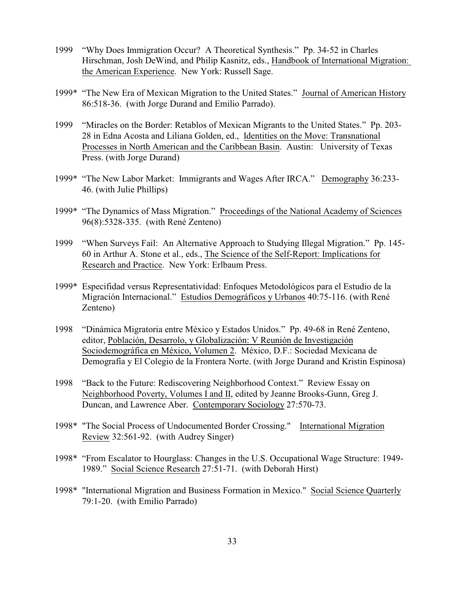- 1999 "Why Does Immigration Occur? A Theoretical Synthesis." Pp. 34-52 in Charles Hirschman, Josh DeWind, and Philip Kasnitz, eds., Handbook of International Migration: the American Experience. New York: Russell Sage.
- 1999\* "The New Era of Mexican Migration to the United States." Journal of American History 86:518-36. (with Jorge Durand and Emilio Parrado).
- 1999 "Miracles on the Border: Retablos of Mexican Migrants to the United States." Pp. 203- 28 in Edna Acosta and Liliana Golden, ed., Identities on the Move: Transnational Processes in North American and the Caribbean Basin. Austin: University of Texas Press. (with Jorge Durand)
- 1999\* "The New Labor Market: Immigrants and Wages After IRCA." Demography 36:233- 46. (with Julie Phillips)
- 1999\* "The Dynamics of Mass Migration." Proceedings of the National Academy of Sciences 96(8):5328-335. (with René Zenteno)
- 1999 "When Surveys Fail: An Alternative Approach to Studying Illegal Migration." Pp. 145- 60 in Arthur A. Stone et al., eds., The Science of the Self-Report: Implications for Research and Practice. New York: Erlbaum Press.
- 1999\* Especifidad versus Representatividad: Enfoques Metodológicos para el Estudio de la Migración Internacional." Estudios Demográficos y Urbanos 40:75-116. (with René Zenteno)
- 1998 "Dinámica Migratoria entre México y Estados Unidos." Pp. 49-68 in René Zenteno, editor, Población, Desarrolo, y Globalización: V Reunión de Investigación Sociodemográfica en México, Volumen 2. México, D.F.: Sociedad Mexicana de Demografía y El Colegio de la Frontera Norte. (with Jorge Durand and Kristin Espinosa)
- 1998 "Back to the Future: Rediscovering Neighborhood Context." Review Essay on Neighborhood Poverty, Volumes I and II, edited by Jeanne Brooks-Gunn, Greg J. Duncan, and Lawrence Aber. Contemporary Sociology 27:570-73.
- 1998\* "The Social Process of Undocumented Border Crossing." International Migration Review 32:561-92. (with Audrey Singer)
- 1998\* "From Escalator to Hourglass: Changes in the U.S. Occupational Wage Structure: 1949- 1989." Social Science Research 27:51-71. (with Deborah Hirst)
- 1998\* "International Migration and Business Formation in Mexico." Social Science Quarterly 79:1-20. (with Emilio Parrado)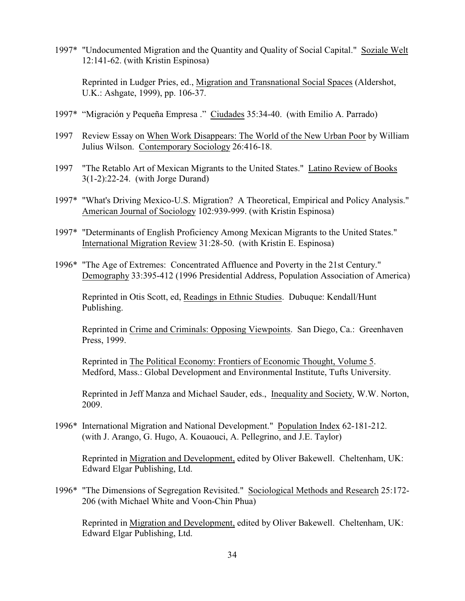1997\* "Undocumented Migration and the Quantity and Quality of Social Capital." Soziale Welt 12:141-62. (with Kristin Espinosa)

Reprinted in Ludger Pries, ed., Migration and Transnational Social Spaces (Aldershot, U.K.: Ashgate, 1999), pp. 106-37.

- 1997\* "Migración y Pequeña Empresa ." Ciudades 35:34-40. (with Emilio A. Parrado)
- 1997 Review Essay on When Work Disappears: The World of the New Urban Poor by William Julius Wilson. Contemporary Sociology 26:416-18.
- 1997 "The Retablo Art of Mexican Migrants to the United States." Latino Review of Books 3(1-2):22-24. (with Jorge Durand)
- 1997\* "What's Driving Mexico-U.S. Migration? A Theoretical, Empirical and Policy Analysis." American Journal of Sociology 102:939-999. (with Kristin Espinosa)
- 1997\* "Determinants of English Proficiency Among Mexican Migrants to the United States." International Migration Review 31:28-50. (with Kristin E. Espinosa)
- 1996\* "The Age of Extremes: Concentrated Affluence and Poverty in the 21st Century." Demography 33:395-412 (1996 Presidential Address, Population Association of America)

Reprinted in Otis Scott, ed, Readings in Ethnic Studies. Dubuque: Kendall/Hunt Publishing.

Reprinted in Crime and Criminals: Opposing Viewpoints. San Diego, Ca.: Greenhaven Press, 1999.

Reprinted in The Political Economy: Frontiers of Economic Thought, Volume 5. Medford, Mass.: Global Development and Environmental Institute, Tufts University.

Reprinted in Jeff Manza and Michael Sauder, eds., Inequality and Society, W.W. Norton, 2009.

1996\* International Migration and National Development." Population Index 62-181-212. (with J. Arango, G. Hugo, A. Kouaouci, A. Pellegrino, and J.E. Taylor)

Reprinted in Migration and Development, edited by Oliver Bakewell. Cheltenham, UK: Edward Elgar Publishing, Ltd.

1996\* "The Dimensions of Segregation Revisited." Sociological Methods and Research 25:172- 206 (with Michael White and Voon-Chin Phua)

Reprinted in Migration and Development, edited by Oliver Bakewell. Cheltenham, UK: Edward Elgar Publishing, Ltd.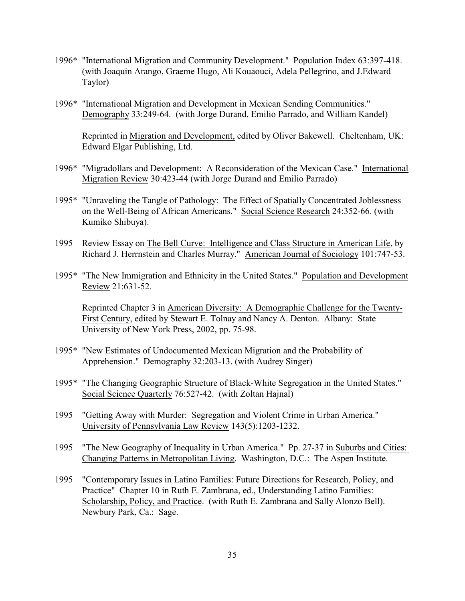- 1996\* "International Migration and Community Development." Population Index 63:397-418. (with Joaquin Arango, Graeme Hugo, Ali Kouaouci, Adela Pellegrino, and J.Edward Taylor)
- 1996\* "International Migration and Development in Mexican Sending Communities." Demography 33:249-64. (with Jorge Durand, Emilio Parrado, and William Kandel)

Reprinted in Migration and Development, edited by Oliver Bakewell. Cheltenham, UK: Edward Elgar Publishing, Ltd.

- 1996\* "Migradollars and Development: A Reconsideration of the Mexican Case." International Migration Review 30:423-44 (with Jorge Durand and Emilio Parrado)
- 1995\* "Unraveling the Tangle of Pathology: The Effect of Spatially Concentrated Joblessness on the Well-Being of African Americans." Social Science Research 24:352-66. (with Kumiko Shibuya).
- 1995 Review Essay on The Bell Curve: Intelligence and Class Structure in American Life, by Richard J. Herrnstein and Charles Murray." American Journal of Sociology 101:747-53.
- 1995\* "The New Immigration and Ethnicity in the United States." Population and Development Review 21:631-52.

Reprinted Chapter 3 in American Diversity: A Demographic Challenge for the Twenty-First Century, edited by Stewart E. Tolnay and Nancy A. Denton. Albany: State University of New York Press, 2002, pp. 75-98.

- 1995\* "New Estimates of Undocumented Mexican Migration and the Probability of Apprehension." Demography 32:203-13. (with Audrey Singer)
- 1995\* "The Changing Geographic Structure of Black-White Segregation in the United States." Social Science Quarterly 76:527-42. (with Zoltan Hajnal)
- 1995 "Getting Away with Murder: Segregation and Violent Crime in Urban America." University of Pennsylvania Law Review 143(5):1203-1232.
- 1995 "The New Geography of Inequality in Urban America." Pp. 27-37 in Suburbs and Cities: Changing Patterns in Metropolitan Living. Washington, D.C.: The Aspen Institute.
- 1995 "Contemporary Issues in Latino Families: Future Directions for Research, Policy, and Practice" Chapter 10 in Ruth E. Zambrana, ed., Understanding Latino Families: Scholarship, Policy, and Practice. (with Ruth E. Zambrana and Sally Alonzo Bell). Newbury Park, Ca.: Sage.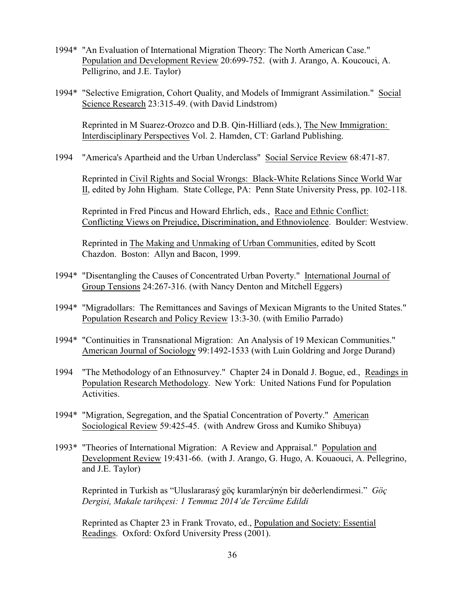- 1994\* "An Evaluation of International Migration Theory: The North American Case." Population and Development Review 20:699-752. (with J. Arango, A. Koucouci, A. Pelligrino, and J.E. Taylor)
- 1994\* "Selective Emigration, Cohort Quality, and Models of Immigrant Assimilation." Social Science Research 23:315-49. (with David Lindstrom)

Reprinted in M Suarez-Orozco and D.B. Qin-Hilliard (eds.), The New Immigration: Interdisciplinary Perspectives Vol. 2. Hamden, CT: Garland Publishing.

1994 "America's Apartheid and the Urban Underclass" Social Service Review 68:471-87.

Reprinted in Civil Rights and Social Wrongs: Black-White Relations Since World War II, edited by John Higham. State College, PA: Penn State University Press, pp. 102-118.

Reprinted in Fred Pincus and Howard Ehrlich, eds., Race and Ethnic Conflict: Conflicting Views on Prejudice, Discrimination, and Ethnoviolence. Boulder: Westview.

Reprinted in The Making and Unmaking of Urban Communities, edited by Scott Chazdon. Boston: Allyn and Bacon, 1999.

- 1994\* "Disentangling the Causes of Concentrated Urban Poverty." International Journal of Group Tensions 24:267-316. (with Nancy Denton and Mitchell Eggers)
- 1994\* "Migradollars: The Remittances and Savings of Mexican Migrants to the United States." Population Research and Policy Review 13:3-30. (with Emilio Parrado)
- 1994\* "Continuities in Transnational Migration: An Analysis of 19 Mexican Communities." American Journal of Sociology 99:1492-1533 (with Luin Goldring and Jorge Durand)
- 1994 "The Methodology of an Ethnosurvey." Chapter 24 in Donald J. Bogue, ed., Readings in Population Research Methodology. New York: United Nations Fund for Population Activities.
- 1994\* "Migration, Segregation, and the Spatial Concentration of Poverty." American Sociological Review 59:425-45. (with Andrew Gross and Kumiko Shibuya)
- 1993\* "Theories of International Migration: A Review and Appraisal." Population and Development Review 19:431-66. (with J. Arango, G. Hugo, A. Kouaouci, A. Pellegrino, and J.E. Taylor)

Reprinted in Turkish as "Uluslararasý göç kuramlarýnýn bir deðerlendirmesi." *Göç Dergisi, Makale tarihçesi: 1 Temmuz 2014'de Tercüme Edildi*

Reprinted as Chapter 23 in Frank Trovato, ed., Population and Society: Essential Readings. Oxford: Oxford University Press (2001).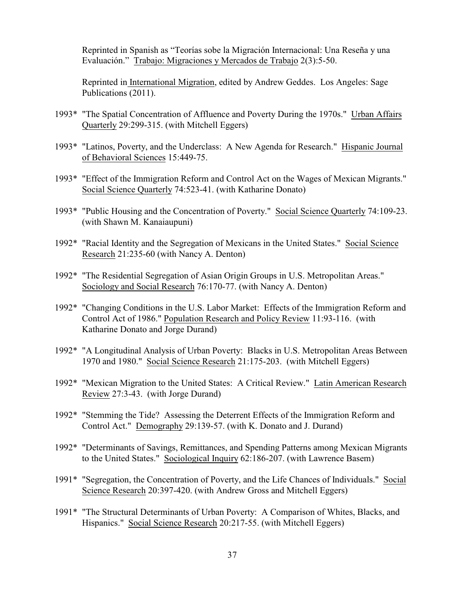Reprinted in Spanish as "Teorías sobe la Migración Internacional: Una Reseña y una Evaluación." Trabajo: Migraciones y Mercados de Trabajo 2(3):5-50.

Reprinted in International Migration, edited by Andrew Geddes. Los Angeles: Sage Publications (2011).

- 1993\* "The Spatial Concentration of Affluence and Poverty During the 1970s." Urban Affairs Quarterly 29:299-315. (with Mitchell Eggers)
- 1993\* "Latinos, Poverty, and the Underclass: A New Agenda for Research." Hispanic Journal of Behavioral Sciences 15:449-75.
- 1993\* "Effect of the Immigration Reform and Control Act on the Wages of Mexican Migrants." Social Science Quarterly 74:523-41. (with Katharine Donato)
- 1993\* "Public Housing and the Concentration of Poverty." Social Science Quarterly 74:109-23. (with Shawn M. Kanaiaupuni)
- 1992\* "Racial Identity and the Segregation of Mexicans in the United States." Social Science Research 21:235-60 (with Nancy A. Denton)
- 1992\* "The Residential Segregation of Asian Origin Groups in U.S. Metropolitan Areas." Sociology and Social Research 76:170-77. (with Nancy A. Denton)
- 1992\* "Changing Conditions in the U.S. Labor Market: Effects of the Immigration Reform and Control Act of 1986." Population Research and Policy Review 11:93-116. (with Katharine Donato and Jorge Durand)
- 1992\* "A Longitudinal Analysis of Urban Poverty: Blacks in U.S. Metropolitan Areas Between 1970 and 1980." Social Science Research 21:175-203. (with Mitchell Eggers)
- 1992\* "Mexican Migration to the United States: A Critical Review." Latin American Research Review 27:3-43. (with Jorge Durand)
- 1992\* "Stemming the Tide? Assessing the Deterrent Effects of the Immigration Reform and Control Act." Demography 29:139-57. (with K. Donato and J. Durand)
- 1992\* "Determinants of Savings, Remittances, and Spending Patterns among Mexican Migrants to the United States." Sociological Inquiry 62:186-207. (with Lawrence Basem)
- 1991\* "Segregation, the Concentration of Poverty, and the Life Chances of Individuals." Social Science Research 20:397-420. (with Andrew Gross and Mitchell Eggers)
- 1991\* "The Structural Determinants of Urban Poverty: A Comparison of Whites, Blacks, and Hispanics." Social Science Research 20:217-55. (with Mitchell Eggers)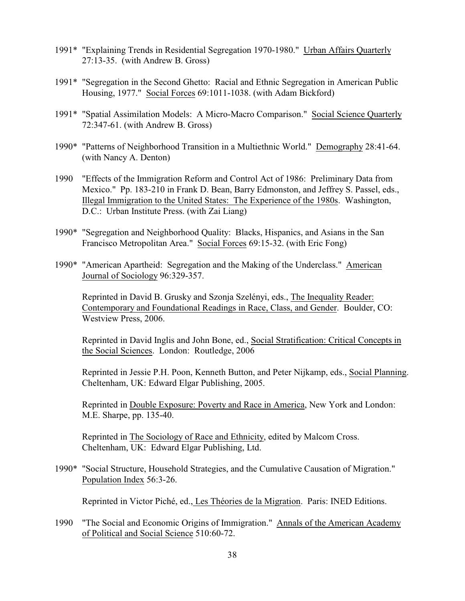- 1991\* "Explaining Trends in Residential Segregation 1970-1980." Urban Affairs Quarterly 27:13-35. (with Andrew B. Gross)
- 1991\* "Segregation in the Second Ghetto: Racial and Ethnic Segregation in American Public Housing, 1977." Social Forces 69:1011-1038. (with Adam Bickford)
- 1991\* "Spatial Assimilation Models: A Micro-Macro Comparison." Social Science Quarterly 72:347-61. (with Andrew B. Gross)
- 1990\* "Patterns of Neighborhood Transition in a Multiethnic World." Demography 28:41-64. (with Nancy A. Denton)
- 1990 "Effects of the Immigration Reform and Control Act of 1986: Preliminary Data from Mexico." Pp. 183-210 in Frank D. Bean, Barry Edmonston, and Jeffrey S. Passel, eds., Illegal Immigration to the United States: The Experience of the 1980s. Washington, D.C.: Urban Institute Press. (with Zai Liang)
- 1990\* "Segregation and Neighborhood Quality: Blacks, Hispanics, and Asians in the San Francisco Metropolitan Area." Social Forces 69:15-32. (with Eric Fong)
- 1990\* "American Apartheid: Segregation and the Making of the Underclass." American Journal of Sociology 96:329-357.

Reprinted in David B. Grusky and Szonja Szelényi, eds., The Inequality Reader: Contemporary and Foundational Readings in Race, Class, and Gender. Boulder, CO: Westview Press, 2006.

Reprinted in David Inglis and John Bone, ed., Social Stratification: Critical Concepts in the Social Sciences. London: Routledge, 2006

Reprinted in Jessie P.H. Poon, Kenneth Button, and Peter Nijkamp, eds., Social Planning. Cheltenham, UK: Edward Elgar Publishing, 2005.

Reprinted in Double Exposure: Poverty and Race in America, New York and London: M.E. Sharpe, pp. 135-40.

Reprinted in The Sociology of Race and Ethnicity, edited by Malcom Cross. Cheltenham, UK: Edward Elgar Publishing, Ltd.

1990\* "Social Structure, Household Strategies, and the Cumulative Causation of Migration." Population Index 56:3-26.

Reprinted in Victor Piché, ed., Les Théories de la Migration. Paris: INED Editions.

1990 "The Social and Economic Origins of Immigration." Annals of the American Academy of Political and Social Science 510:60-72.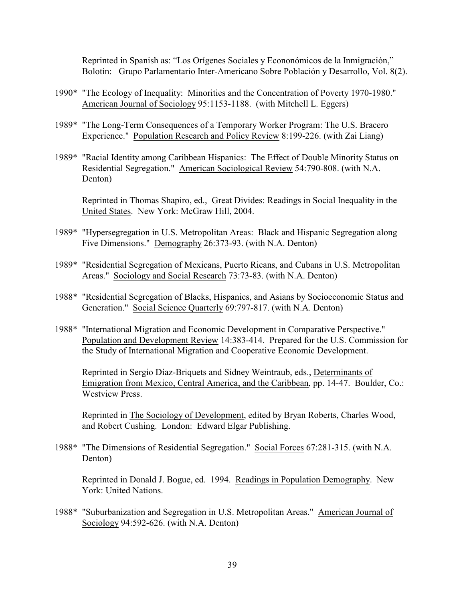Reprinted in Spanish as: "Los Orígenes Sociales y Econonómicos de la Inmigración," Bolotín: Grupo Parlamentario Inter-Americano Sobre Población y Desarrollo, Vol. 8(2).

- 1990\* "The Ecology of Inequality: Minorities and the Concentration of Poverty 1970-1980." American Journal of Sociology 95:1153-1188. (with Mitchell L. Eggers)
- 1989\* "The Long-Term Consequences of a Temporary Worker Program: The U.S. Bracero Experience." Population Research and Policy Review 8:199-226. (with Zai Liang)
- 1989\* "Racial Identity among Caribbean Hispanics: The Effect of Double Minority Status on Residential Segregation." American Sociological Review 54:790-808. (with N.A. Denton)

Reprinted in Thomas Shapiro, ed., Great Divides: Readings in Social Inequality in the United States. New York: McGraw Hill, 2004.

- 1989\* "Hypersegregation in U.S. Metropolitan Areas: Black and Hispanic Segregation along Five Dimensions." Demography 26:373-93. (with N.A. Denton)
- 1989\* "Residential Segregation of Mexicans, Puerto Ricans, and Cubans in U.S. Metropolitan Areas." Sociology and Social Research 73:73-83. (with N.A. Denton)
- 1988\* "Residential Segregation of Blacks, Hispanics, and Asians by Socioeconomic Status and Generation." Social Science Quarterly 69:797-817. (with N.A. Denton)
- 1988\* "International Migration and Economic Development in Comparative Perspective." Population and Development Review 14:383-414. Prepared for the U.S. Commission for the Study of International Migration and Cooperative Economic Development.

Reprinted in Sergio Díaz-Briquets and Sidney Weintraub, eds., Determinants of Emigration from Mexico, Central America, and the Caribbean, pp. 14-47. Boulder, Co.: Westview Press.

Reprinted in The Sociology of Development, edited by Bryan Roberts, Charles Wood, and Robert Cushing. London: Edward Elgar Publishing.

1988\* "The Dimensions of Residential Segregation." Social Forces 67:281-315. (with N.A. Denton)

Reprinted in Donald J. Bogue, ed. 1994. Readings in Population Demography. New York: United Nations.

1988\* "Suburbanization and Segregation in U.S. Metropolitan Areas." American Journal of Sociology 94:592-626. (with N.A. Denton)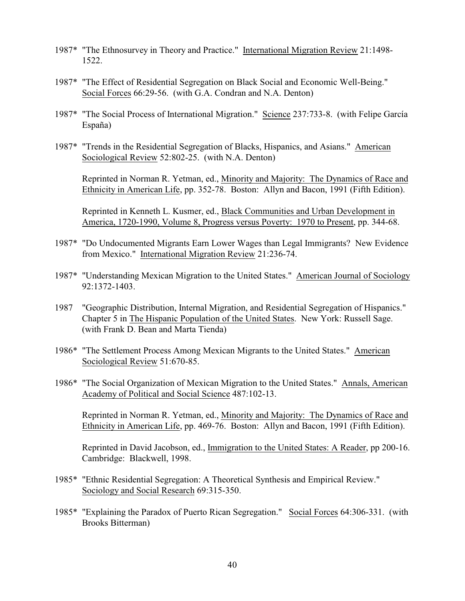- 1987\* "The Ethnosurvey in Theory and Practice." International Migration Review 21:1498- 1522.
- 1987\* "The Effect of Residential Segregation on Black Social and Economic Well-Being." Social Forces 66:29-56. (with G.A. Condran and N.A. Denton)
- 1987\* "The Social Process of International Migration." Science 237:733-8. (with Felipe García España)
- 1987\* "Trends in the Residential Segregation of Blacks, Hispanics, and Asians." American Sociological Review 52:802-25. (with N.A. Denton)

Reprinted in Norman R. Yetman, ed., Minority and Majority: The Dynamics of Race and Ethnicity in American Life, pp. 352-78. Boston: Allyn and Bacon, 1991 (Fifth Edition).

Reprinted in Kenneth L. Kusmer, ed., Black Communities and Urban Development in America, 1720-1990, Volume 8, Progress versus Poverty: 1970 to Present, pp. 344-68.

- 1987\* "Do Undocumented Migrants Earn Lower Wages than Legal Immigrants? New Evidence from Mexico." International Migration Review 21:236-74.
- 1987\* "Understanding Mexican Migration to the United States." American Journal of Sociology 92:1372-1403.
- 1987 "Geographic Distribution, Internal Migration, and Residential Segregation of Hispanics." Chapter 5 in The Hispanic Population of the United States. New York: Russell Sage. (with Frank D. Bean and Marta Tienda)
- 1986\* "The Settlement Process Among Mexican Migrants to the United States." American Sociological Review 51:670-85.
- 1986\* "The Social Organization of Mexican Migration to the United States." Annals, American Academy of Political and Social Science 487:102-13.

Reprinted in Norman R. Yetman, ed., Minority and Majority: The Dynamics of Race and Ethnicity in American Life, pp. 469-76. Boston: Allyn and Bacon, 1991 (Fifth Edition).

Reprinted in David Jacobson, ed., Immigration to the United States: A Reader, pp 200-16. Cambridge: Blackwell, 1998.

- 1985\* "Ethnic Residential Segregation: A Theoretical Synthesis and Empirical Review." Sociology and Social Research 69:315-350.
- 1985\* "Explaining the Paradox of Puerto Rican Segregation." Social Forces 64:306-331. (with Brooks Bitterman)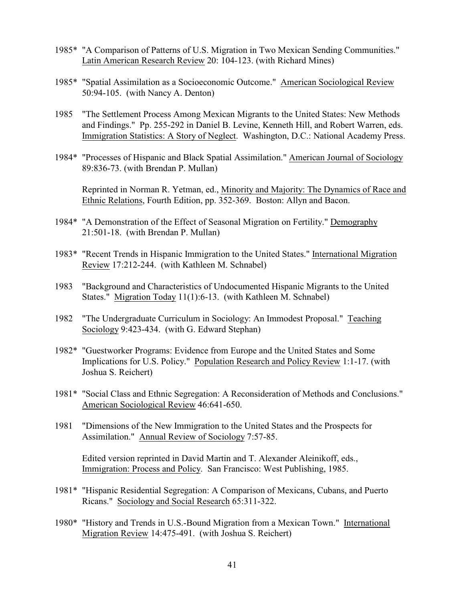- 1985\* "A Comparison of Patterns of U.S. Migration in Two Mexican Sending Communities." Latin American Research Review 20: 104-123. (with Richard Mines)
- 1985\* "Spatial Assimilation as a Socioeconomic Outcome." American Sociological Review 50:94-105. (with Nancy A. Denton)
- 1985 "The Settlement Process Among Mexican Migrants to the United States: New Methods and Findings." Pp. 255-292 in Daniel B. Levine, Kenneth Hill, and Robert Warren, eds. Immigration Statistics: A Story of Neglect. Washington, D.C.: National Academy Press.
- 1984\* "Processes of Hispanic and Black Spatial Assimilation." American Journal of Sociology 89:836-73. (with Brendan P. Mullan)

Reprinted in Norman R. Yetman, ed., Minority and Majority: The Dynamics of Race and Ethnic Relations, Fourth Edition, pp. 352-369. Boston: Allyn and Bacon.

- 1984\* "A Demonstration of the Effect of Seasonal Migration on Fertility." Demography 21:501-18. (with Brendan P. Mullan)
- 1983\* "Recent Trends in Hispanic Immigration to the United States." International Migration Review 17:212-244. (with Kathleen M. Schnabel)
- 1983 "Background and Characteristics of Undocumented Hispanic Migrants to the United States." Migration Today 11(1):6-13. (with Kathleen M. Schnabel)
- 1982 "The Undergraduate Curriculum in Sociology: An Immodest Proposal." Teaching Sociology 9:423-434. (with G. Edward Stephan)
- 1982\* "Guestworker Programs: Evidence from Europe and the United States and Some Implications for U.S. Policy." Population Research and Policy Review 1:1-17. (with Joshua S. Reichert)
- 1981\* "Social Class and Ethnic Segregation: A Reconsideration of Methods and Conclusions." American Sociological Review 46:641-650.
- 1981 "Dimensions of the New Immigration to the United States and the Prospects for Assimilation." Annual Review of Sociology 7:57-85.

Edited version reprinted in David Martin and T. Alexander Aleinikoff, eds., Immigration: Process and Policy. San Francisco: West Publishing, 1985.

- 1981\* "Hispanic Residential Segregation: A Comparison of Mexicans, Cubans, and Puerto Ricans." Sociology and Social Research 65:311-322.
- 1980\* "History and Trends in U.S.-Bound Migration from a Mexican Town." International Migration Review 14:475-491. (with Joshua S. Reichert)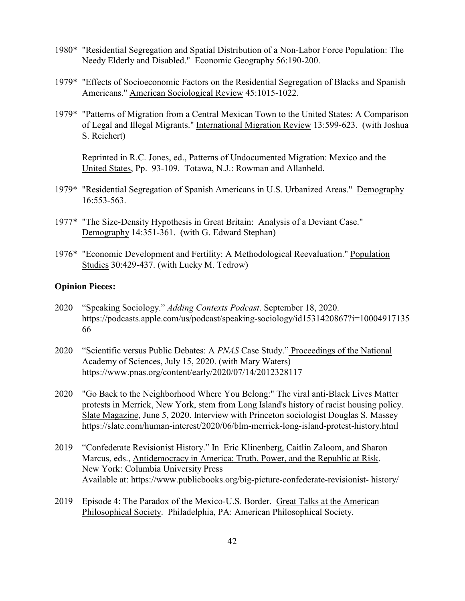- 1980\* "Residential Segregation and Spatial Distribution of a Non-Labor Force Population: The Needy Elderly and Disabled." Economic Geography 56:190-200.
- 1979\* "Effects of Socioeconomic Factors on the Residential Segregation of Blacks and Spanish Americans." American Sociological Review 45:1015-1022.
- 1979\* "Patterns of Migration from a Central Mexican Town to the United States: A Comparison of Legal and Illegal Migrants." International Migration Review 13:599-623. (with Joshua S. Reichert)

Reprinted in R.C. Jones, ed., Patterns of Undocumented Migration: Mexico and the United States, Pp. 93-109. Totawa, N.J.: Rowman and Allanheld.

- 1979\* "Residential Segregation of Spanish Americans in U.S. Urbanized Areas." Demography 16:553-563.
- 1977\* "The Size-Density Hypothesis in Great Britain: Analysis of a Deviant Case." Demography 14:351-361. (with G. Edward Stephan)
- 1976\* "Economic Development and Fertility: A Methodological Reevaluation." Population Studies 30:429-437. (with Lucky M. Tedrow)

## **Opinion Pieces:**

- 2020 "Speaking Sociology." *Adding Contexts Podcast*. September 18, 2020. https://podcasts.apple.com/us/podcast/speaking-sociology/id1531420867?i=10004917135 66
- 2020 "Scientific versus Public Debates: A *PNAS* Case Study." Proceedings of the National Academy of Sciences, July 15, 2020. (with Mary Waters) https://www.pnas.org/content/early/2020/07/14/2012328117
- 2020 "Go Back to the Neighborhood Where You Belong:" The viral anti-Black Lives Matter protests in Merrick, New York, stem from Long Island's history of racist housing policy. Slate Magazine, June 5, 2020. Interview with Princeton sociologist Douglas S. Massey https://slate.com/human-interest/2020/06/blm-merrick-long-island-protest-history.html
- 2019 "Confederate Revisionist History." In Eric Klinenberg, Caitlin Zaloom, and Sharon Marcus, eds., Antidemocracy in America: Truth, Power, and the Republic at Risk. New York: Columbia University Press Available at: https://www.publicbooks.org/big-picture-confederate-revisionist- history/
- 2019 Episode 4: The Paradox of the Mexico-U.S. Border. Great Talks at the American Philosophical Society. Philadelphia, PA: American Philosophical Society.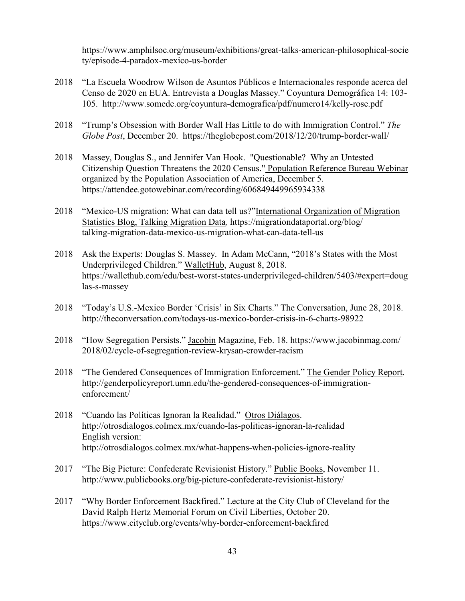https://www.amphilsoc.org/museum/exhibitions/great-talks-american-philosophical-socie ty/episode-4-paradox-mexico-us-border

- 2018 "La Escuela Woodrow Wilson de Asuntos Públicos e Internacionales responde acerca del Censo de 2020 en EUA. Entrevista a Douglas Massey." Coyuntura Demográfica 14: 103- 105. http://www.somede.org/coyuntura-demografica/pdf/numero14/kelly-rose.pdf
- 2018 "Trump's Obsession with Border Wall Has Little to do with Immigration Control." *The Globe Post*, December 20. https://theglobepost.com/2018/12/20/trump-border-wall/
- 2018 Massey, Douglas S., and Jennifer Van Hook. "Questionable? Why an Untested Citizenship Question Threatens the 2020 Census." Population Reference Bureau Webinar organized by the Population Association of America, December 5. https://attendee.gotowebinar.com/recording/606849449965934338
- 2018 "Mexico-US migration: What can data tell us?"International Organization of Migration Statistics Blog, Talking Migration Data*,* https://migrationdataportal.org/blog/ talking-migration-data-mexico-us-migration-what-can-data-tell-us
- 2018 Ask the Experts: Douglas S. Massey. In Adam McCann, "2018's States with the Most Underprivileged Children." WalletHub, August 8, 2018. https://wallethub.com/edu/best-worst-states-underprivileged-children/5403/#expert=doug las-s-massey
- 2018 "Today's U.S.-Mexico Border 'Crisis' in Six Charts." The Conversation, June 28, 2018. http://theconversation.com/todays-us-mexico-border-crisis-in-6-charts-98922
- 2018 "How Segregation Persists." Jacobin Magazine, Feb. 18. https://www.jacobinmag.com/ 2018/02/cycle-of-segregation-review-krysan-crowder-racism
- 2018 "The Gendered Consequences of Immigration Enforcement." The Gender Policy Report. http://genderpolicyreport.umn.edu/the-gendered-consequences-of-immigrationenforcement/
- 2018 "Cuando las Políticas Ignoran la Realidad." Otros Diálagos. http://otrosdialogos.colmex.mx/cuando-las-politicas-ignoran-la-realidad English version: http://otrosdialogos.colmex.mx/what-happens-when-policies-ignore-reality
- 2017 "The Big Picture: Confederate Revisionist History." Public Books, November 11. http://www.publicbooks.org/big-picture-confederate-revisionist-history/
- 2017 "Why Border Enforcement Backfired." Lecture at the City Club of Cleveland for the David Ralph Hertz Memorial Forum on Civil Liberties, October 20. https://www.cityclub.org/events/why-border-enforcement-backfired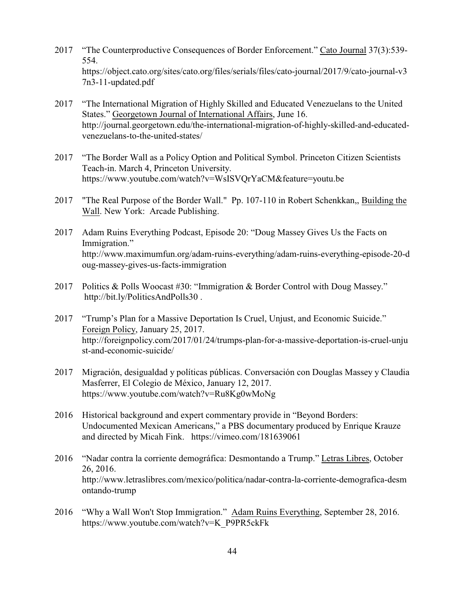- 2017 "The Counterproductive Consequences of Border Enforcement." Cato Journal 37(3):539- 554. https://object.cato.org/sites/cato.org/files/serials/files/cato-journal/2017/9/cato-journal-v3 7n3-11-updated.pdf
- 2017 "The International Migration of Highly Skilled and Educated Venezuelans to the United States." Georgetown Journal of International Affairs, June 16. http://journal.georgetown.edu/the-international-migration-of-highly-skilled-and-educatedvenezuelans-to-the-united-states/
- 2017 "The Border Wall as a Policy Option and Political Symbol. Princeton Citizen Scientists Teach-in. March 4, Princeton University. https://www.youtube.com/watch?v=WsISVQrYaCM&feature=youtu.be
- 2017 "The Real Purpose of the Border Wall." Pp. 107-110 in Robert Schenkkan,, Building the Wall. New York: Arcade Publishing.
- 2017 Adam Ruins Everything Podcast, Episode 20: "Doug Massey Gives Us the Facts on Immigration." http://www.maximumfun.org/adam-ruins-everything/adam-ruins-everything-episode-20-d oug-massey-gives-us-facts-immigration
- 2017 Politics & Polls Woocast #30: "Immigration & Border Control with Doug Massey." http://bit.ly/PoliticsAndPolls30 .
- 2017 "Trump's Plan for a Massive Deportation Is Cruel, Unjust, and Economic Suicide." Foreign Policy, January 25, 2017. http://foreignpolicy.com/2017/01/24/trumps-plan-for-a-massive-deportation-is-cruel-unju st-and-economic-suicide/
- 2017 Migración, desigualdad y políticas públicas. Conversación con Douglas Massey y Claudia Masferrer, El Colegio de México, January 12, 2017. https://www.youtube.com/watch?v=Ru8Kg0wMoNg
- 2016 Historical background and expert commentary provide in "Beyond Borders: Undocumented Mexican Americans," a PBS documentary produced by Enrique Krauze and directed by Micah Fink. https://vimeo.com/181639061
- 2016 "Nadar contra la corriente demográfica: Desmontando a Trump." Letras Libres, October 26, 2016. http://www.letraslibres.com/mexico/politica/nadar-contra-la-corriente-demografica-desm ontando-trump
- 2016 "Why a Wall Won't Stop Immigration."Adam Ruins Everything, September 28, 2016. https://www.youtube.com/watch?v=K\_P9PR5ckFk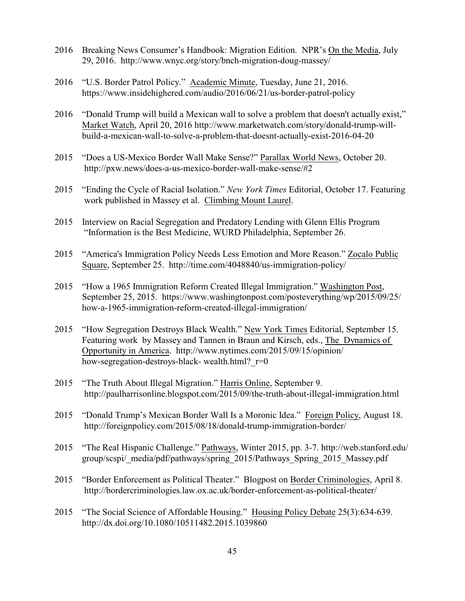- 2016 Breaking News Consumer's Handbook: Migration Edition. NPR's On the Media, July 29, 2016. http://www.wnyc.org/story/bnch-migration-doug-massey/
- 2016 "U.S. Border Patrol Policy." Academic Minute, Tuesday, June 21, 2016. https://www.insidehighered.com/audio/2016/06/21/us-border-patrol-policy
- 2016 "Donald Trump will build a Mexican wall to solve a problem that doesn't actually exist," Market Watch, April 20, 2016 http://www.marketwatch.com/story/donald-trump-willbuild-a-mexican-wall-to-solve-a-problem-that-doesnt-actually-exist-2016-04-20
- 2015 "Does a US-Mexico Border Wall Make Sense?" Parallax World News, October 20. http://pxw.news/does-a-us-mexico-border-wall-make-sense/#2
- 2015 "Ending the Cycle of Racial Isolation." *New York Times* Editorial, October 17. Featuring work published in Massey et al. Climbing Mount Laurel.
- 2015 Interview on Racial Segregation and Predatory Lending with Glenn Ellis Program "Information is the Best Medicine, WURD Philadelphia, September 26.
- 2015 "America's Immigration Policy Needs Less Emotion and More Reason." Zocalo Public Square, September 25. http://time.com/4048840/us-immigration-policy/
- 2015 "How a 1965 Immigration Reform Created Illegal Immigration." Washington Post, September 25, 2015. https://www.washingtonpost.com/posteverything/wp/2015/09/25/ how-a-1965-immigration-reform-created-illegal-immigration/
- 2015 "How Segregation Destroys Black Wealth." New York Times Editorial, September 15. Featuring work by Massey and Tannen in Braun and Kirsch, eds., The Dynamics of Opportunity in America. http://www.nytimes.com/2015/09/15/opinion/ how-segregation-destroys-black- wealth.html?  $r=0$
- 2015 "The Truth About Illegal Migration." Harris Online, September 9. http://paulharrisonline.blogspot.com/2015/09/the-truth-about-illegal-immigration.html
- 2015 "Donald Trump's Mexican Border Wall Is a Moronic Idea." Foreign Policy, August 18. http://foreignpolicy.com/2015/08/18/donald-trump-immigration-border/
- 2015 "The Real Hispanic Challenge." Pathways, Winter 2015, pp. 3-7. http://web.stanford.edu/ group/scspi/\_media/pdf/pathways/spring\_2015/Pathways\_Spring\_2015\_Massey.pdf
- 2015 "Border Enforcement as Political Theater." Blogpost on Border Criminologies, April 8. http://bordercriminologies.law.ox.ac.uk/border-enforcement-as-political-theater/
- 2015 "The Social Science of Affordable Housing." Housing Policy Debate 25(3):634-639. http://dx.doi.org/10.1080/10511482.2015.1039860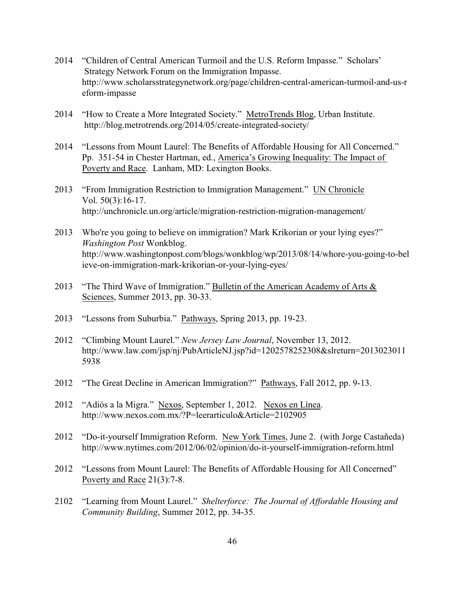- 2014 "Children of Central American Turmoil and the U.S. Reform Impasse." Scholars' Strategy Network Forum on the Immigration Impasse. http://www.scholarsstrategynetwork.org/page/children-central-american-turmoil-and-us-r eform-impasse
- 2014 "How to Create a More Integrated Society." MetroTrends Blog, Urban Institute. http://blog.metrotrends.org/2014/05/create-integrated-society/
- 2014 "Lessons from Mount Laurel: The Benefits of Affordable Housing for All Concerned." Pp. 351-54 in Chester Hartman, ed., America's Growing Inequality: The Impact of Poverty and Race. Lanham, MD: Lexington Books.
- 2013 "From Immigration Restriction to Immigration Management." UN Chronicle Vol. 50(3):16-17. http://unchronicle.un.org/article/migration-restriction-migration-management/
- 2013 Who're you going to believe on immigration? Mark Krikorian or your lying eyes?" *Washington Post* Wonkblog. http://www.washingtonpost.com/blogs/wonkblog/wp/2013/08/14/whore-you-going-to-bel ieve-on-immigration-mark-krikorian-or-your-lying-eyes/
- 2013 "The Third Wave of Immigration." Bulletin of the American Academy of Arts & Sciences, Summer 2013, pp. 30-33.
- 2013 "Lessons from Suburbia." Pathways, Spring 2013, pp. 19-23.
- 2012 "Climbing Mount Laurel." *New Jersey Law Journal*, November 13, 2012. http://www.law.com/jsp/nj/PubArticleNJ.jsp?id=1202578252308&slreturn=2013023011 5938
- 2012 "The Great Decline in American Immigration?" Pathways, Fall 2012, pp. 9-13.
- 2012 "Adiós a la Migra." Nexos, September 1, 2012. Nexos en Línea. http://www.nexos.com.mx/?P=leerarticulo&Article=2102905
- 2012 "Do-it-yourself Immigration Reform. New York Times, June 2. (with Jorge Castañeda) http://www.nytimes.com/2012/06/02/opinion/do-it-yourself-immigration-reform.html
- 2012 "Lessons from Mount Laurel: The Benefits of Affordable Housing for All Concerned" Poverty and Race 21(3):7-8.
- 2102 "Learning from Mount Laurel." *Shelterforce: The Journal of Affordable Housing and Community Building*, Summer 2012, pp. 34-35.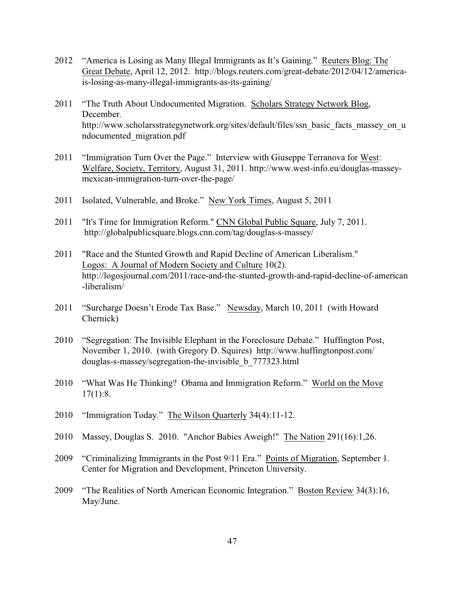- 2012 "America is Losing as Many Illegal Immigrants as It's Gaining." Reuters Blog: The Great Debate, April 12, 2012. http://blogs.reuters.com/great-debate/2012/04/12/americais-losing-as-many-illegal-immigrants-as-its-gaining/
- 2011 "The Truth About Undocumented Migration. Scholars Strategy Network Blog, December. http://www.scholarsstrategynetwork.org/sites/default/files/ssn\_basic\_facts\_massey\_on\_u ndocumented\_migration.pdf
- 2011 "Immigration Turn Over the Page." Interview with Giuseppe Terranova for West: Welfare, Society, Territory, August 31, 2011. http://www.west-info.eu/douglas-masseymexican-immigration-turn-over-the-page/
- 2011 Isolated, Vulnerable, and Broke." New York Times, August 5, 2011
- 2011 "It's Time for Immigration Reform." CNN Global Public Square, July 7, 2011. http://globalpublicsquare.blogs.cnn.com/tag/douglas-s-massey/
- 2011 "Race and the Stunted Growth and Rapid Decline of American Liberalism." Logos: A Journal of Modern Society and Culture 10(2). http://logosjournal.com/2011/race-and-the-stunted-growth-and-rapid-decline-of-american -liberalism/
- 2011 "Surcharge Doesn't Erode Tax Base." Newsday, March 10, 2011 (with Howard Chernick)
- 2010 "Segregation: The Invisible Elephant in the Foreclosure Debate." Huffington Post, November 1, 2010. (with Gregory D. Squires) http://www.huffingtonpost.com/ douglas-s-massey/segregation-the-invisible\_b\_777323.html
- 2010 "What Was He Thinking? Obama and Immigration Reform." World on the Move  $17(1):8.$
- 2010 "Immigration Today." The Wilson Quarterly 34(4):11-12.
- 2010 Massey, Douglas S. 2010. "Anchor Babies Aweigh!" The Nation 291(16):1,26.
- 2009 "Criminalizing Immigrants in the Post 9/11 Era." Points of Migration, September 1. Center for Migration and Development, Princeton University.
- 2009 "The Realities of North American Economic Integration." Boston Review 34(3):16, May/June.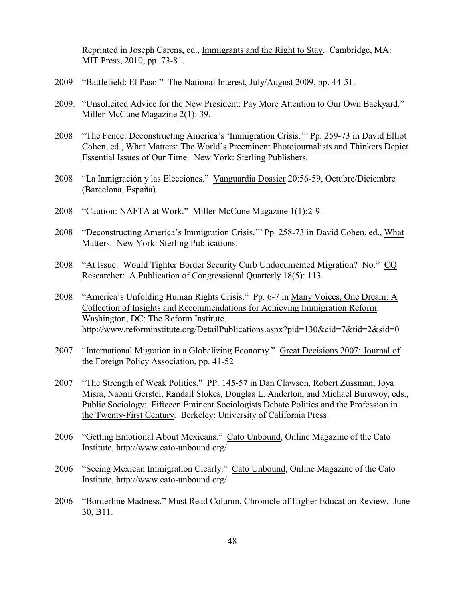Reprinted in Joseph Carens, ed., Immigrants and the Right to Stay. Cambridge, MA: MIT Press, 2010, pp. 73-81.

- 2009 "Battlefield: El Paso." The National Interest, July/August 2009, pp. 44-51.
- 2009. "Unsolicited Advice for the New President: Pay More Attention to Our Own Backyard." Miller-McCune Magazine 2(1): 39.
- 2008 "The Fence: Deconstructing America's 'Immigration Crisis.'" Pp. 259-73 in David Elliot Cohen, ed., What Matters: The World's Preeminent Photojournalists and Thinkers Depict Essential Issues of Our Time. New York: Sterling Publishers.
- 2008 "La Inmigración y las Elecciones." Vanguardia Dossier 20:56-59, Octubre/Diciembre (Barcelona, España).
- 2008 "Caution: NAFTA at Work." Miller-McCune Magazine 1(1):2-9.
- 2008 "Deconstructing America's Immigration Crisis.'" Pp. 258-73 in David Cohen, ed., What Matters. New York: Sterling Publications.
- 2008 "At Issue: Would Tighter Border Security Curb Undocumented Migration? No." CQ Researcher: A Publication of Congressional Quarterly 18(5): 113.
- 2008 "America's Unfolding Human Rights Crisis." Pp. 6-7 in Many Voices, One Dream: A Collection of Insights and Recommendations for Achieving Immigration Reform. Washington, DC: The Reform Institute. http://www.reforminstitute.org/DetailPublications.aspx?pid=130&cid=7&tid=2&sid=0
- 2007 "International Migration in a Globalizing Economy." Great Decisions 2007: Journal of the Foreign Policy Association, pp. 41-52
- 2007 "The Strength of Weak Politics." PP. 145-57 in Dan Clawson, Robert Zussman, Joya Misra, Naomi Gerstel, Randall Stokes, Douglas L. Anderton, and Michael Buruwoy, eds., Public Sociology: Fifteeen Eminent Sociologists Debate Politics and the Profession in the Twenty-First Century. Berkeley: University of California Press.
- 2006 "Getting Emotional About Mexicans." Cato Unbound, Online Magazine of the Cato Institute, http://www.cato-unbound.org/
- 2006 "Seeing Mexican Immigration Clearly." Cato Unbound, Online Magazine of the Cato Institute, http://www.cato-unbound.org/
- 2006 "Borderline Madness." Must Read Column, Chronicle of Higher Education Review, June 30, B11.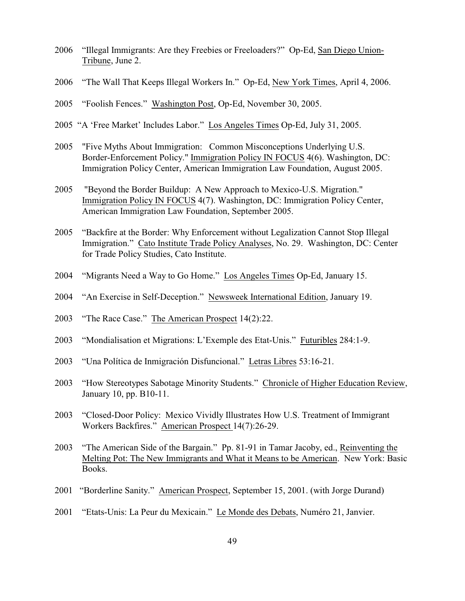- 2006 "Illegal Immigrants: Are they Freebies or Freeloaders?" Op-Ed, San Diego Union-Tribune, June 2.
- 2006 "The Wall That Keeps Illegal Workers In." Op-Ed, New York Times, April 4, 2006.
- 2005 "Foolish Fences." Washington Post, Op-Ed, November 30, 2005.
- 2005 "A 'Free Market' Includes Labor." Los Angeles Times Op-Ed, July 31, 2005.
- 2005 "Five Myths About Immigration: Common Misconceptions Underlying U.S. Border-Enforcement Policy." Immigration Policy IN FOCUS 4(6). Washington, DC: Immigration Policy Center, American Immigration Law Foundation, August 2005.
- 2005 "Beyond the Border Buildup: A New Approach to Mexico-U.S. Migration." Immigration Policy IN FOCUS 4(7). Washington, DC: Immigration Policy Center, American Immigration Law Foundation, September 2005.
- 2005 "Backfire at the Border: Why Enforcement without Legalization Cannot Stop Illegal Immigration." Cato Institute Trade Policy Analyses, No. 29. Washington, DC: Center for Trade Policy Studies, Cato Institute.
- 2004 "Migrants Need a Way to Go Home." Los Angeles Times Op-Ed, January 15.
- 2004 "An Exercise in Self-Deception." Newsweek International Edition, January 19.
- 2003 "The Race Case." The American Prospect 14(2):22.
- 2003 "Mondialisation et Migrations: L'Exemple des Etat-Unis." Futuribles 284:1-9.
- 2003 "Una Política de Inmigración Disfuncional." Letras Libres 53:16-21.
- 2003 "How Stereotypes Sabotage Minority Students." Chronicle of Higher Education Review, January 10, pp. B10-11.
- 2003 "Closed-Door Policy: Mexico Vividly Illustrates How U.S. Treatment of Immigrant Workers Backfires." American Prospect 14(7):26-29.
- 2003 "The American Side of the Bargain." Pp. 81-91 in Tamar Jacoby, ed., Reinventing the Melting Pot: The New Immigrants and What it Means to be American. New York: Basic Books.
- 2001 "Borderline Sanity." American Prospect, September 15, 2001. (with Jorge Durand)
- 2001 "Etats-Unis: La Peur du Mexicain." Le Monde des Debats, Numéro 21, Janvier.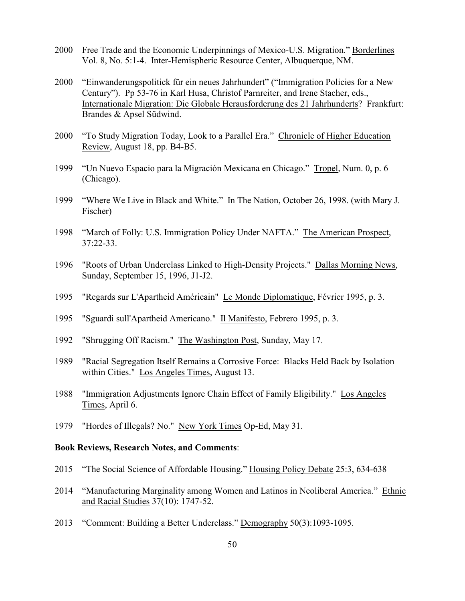- 2000 Free Trade and the Economic Underpinnings of Mexico-U.S. Migration." Borderlines Vol. 8, No. 5:1-4. Inter-Hemispheric Resource Center, Albuquerque, NM.
- 2000 "Einwanderungspolitick für ein neues Jahrhundert" ("Immigration Policies for a New Century"). Pp 53-76 in Karl Husa, Christof Parnreiter, and Irene Stacher, eds., Internationale Migration: Die Globale Herausforderung des 21 Jahrhunderts? Frankfurt: Brandes & Apsel Südwind.
- 2000 "To Study Migration Today, Look to a Parallel Era." Chronicle of Higher Education Review, August 18, pp. B4-B5.
- 1999 "Un Nuevo Espacio para la Migración Mexicana en Chicago." Tropel, Num. 0, p. 6 (Chicago).
- 1999 "Where We Live in Black and White." In The Nation, October 26, 1998. (with Mary J. Fischer)
- 1998 "March of Folly: U.S. Immigration Policy Under NAFTA." The American Prospect, 37:22-33.
- 1996 "Roots of Urban Underclass Linked to High-Density Projects." Dallas Morning News, Sunday, September 15, 1996, J1-J2.
- 1995 "Regards sur L'Apartheid Américain" Le Monde Diplomatique, Février 1995, p. 3.
- 1995 "Sguardi sull'Apartheid Americano." Il Manifesto, Febrero 1995, p. 3.
- 1992 "Shrugging Off Racism." The Washington Post, Sunday, May 17.
- 1989 "Racial Segregation Itself Remains a Corrosive Force: Blacks Held Back by Isolation within Cities." Los Angeles Times, August 13.
- 1988 "Immigration Adjustments Ignore Chain Effect of Family Eligibility." Los Angeles Times, April 6.
- 1979 "Hordes of Illegals? No." New York Times Op-Ed, May 31.

### **Book Reviews, Research Notes, and Comments**:

- 2015 "The Social Science of Affordable Housing." Housing Policy Debate 25:3, 634-638
- 2014 "Manufacturing Marginality among Women and Latinos in Neoliberal America." Ethnic and Racial Studies 37(10): 1747-52.
- 2013 "Comment: Building a Better Underclass." Demography 50(3):1093-1095.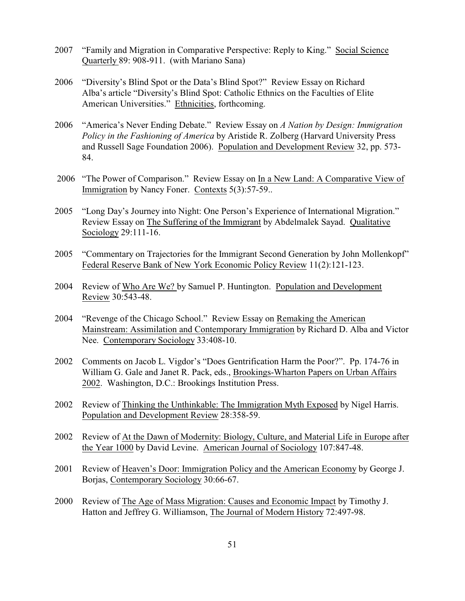- 2007 "Family and Migration in Comparative Perspective: Reply to King." Social Science Quarterly 89: 908-911. (with Mariano Sana)
- 2006 "Diversity's Blind Spot or the Data's Blind Spot?" Review Essay on Richard Alba's article "Diversity's Blind Spot: Catholic Ethnics on the Faculties of Elite American Universities." Ethnicities, forthcoming.
- 2006 "America's Never Ending Debate." Review Essay on *A Nation by Design: Immigration Policy in the Fashioning of America* by Aristide R. Zolberg (Harvard University Press and Russell Sage Foundation 2006). Population and Development Review 32, pp. 573- 84.
- 2006 "The Power of Comparison." Review Essay on In a New Land: A Comparative View of Immigration by Nancy Foner. Contexts 5(3):57-59..
- 2005 "Long Day's Journey into Night: One Person's Experience of International Migration." Review Essay on The Suffering of the Immigrant by Abdelmalek Sayad. Qualitative Sociology 29:111-16.
- 2005 "Commentary on Trajectories for the Immigrant Second Generation by John Mollenkopf" Federal Reserve Bank of New York Economic Policy Review 11(2):121-123.
- 2004 Review of Who Are We? by Samuel P. Huntington. Population and Development Review 30:543-48.
- 2004 "Revenge of the Chicago School." Review Essay on Remaking the American Mainstream: Assimilation and Contemporary Immigration by Richard D. Alba and Victor Nee. Contemporary Sociology 33:408-10.
- 2002 Comments on Jacob L. Vigdor's "Does Gentrification Harm the Poor?". Pp. 174-76 in William G. Gale and Janet R. Pack, eds., Brookings-Wharton Papers on Urban Affairs 2002. Washington, D.C.: Brookings Institution Press.
- 2002 Review of Thinking the Unthinkable: The Immigration Myth Exposed by Nigel Harris. Population and Development Review 28:358-59.
- 2002 Review of At the Dawn of Modernity: Biology, Culture, and Material Life in Europe after the Year 1000 by David Levine. American Journal of Sociology 107:847-48.
- 2001 Review of Heaven's Door: Immigration Policy and the American Economy by George J. Borjas, Contemporary Sociology 30:66-67.
- 2000 Review of The Age of Mass Migration: Causes and Economic Impact by Timothy J. Hatton and Jeffrey G. Williamson, The Journal of Modern History 72:497-98.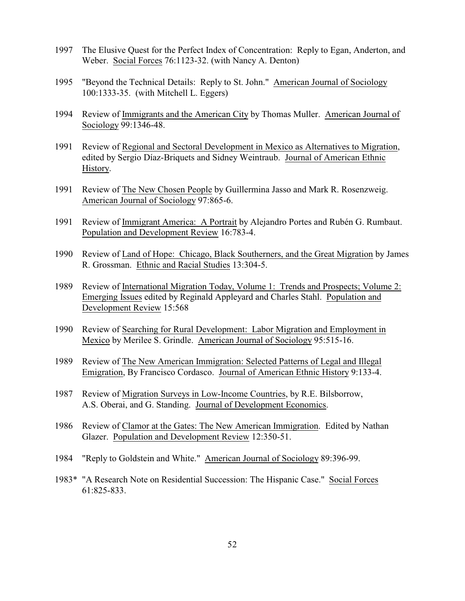- 1997 The Elusive Quest for the Perfect Index of Concentration: Reply to Egan, Anderton, and Weber. Social Forces 76:1123-32. (with Nancy A. Denton)
- 1995 "Beyond the Technical Details: Reply to St. John." American Journal of Sociology 100:1333-35. (with Mitchell L. Eggers)
- 1994 Review of Immigrants and the American City by Thomas Muller. American Journal of Sociology 99:1346-48.
- 1991 Review of Regional and Sectoral Development in Mexico as Alternatives to Migration, edited by Sergio Díaz-Briquets and Sidney Weintraub. Journal of American Ethnic History.
- 1991 Review of The New Chosen People by Guillermina Jasso and Mark R. Rosenzweig. American Journal of Sociology 97:865-6.
- 1991 Review of Immigrant America: A Portrait by Alejandro Portes and Rubén G. Rumbaut. Population and Development Review 16:783-4.
- 1990 Review of Land of Hope: Chicago, Black Southerners, and the Great Migration by James R. Grossman. Ethnic and Racial Studies 13:304-5.
- 1989 Review of International Migration Today, Volume 1: Trends and Prospects; Volume 2: Emerging Issues edited by Reginald Appleyard and Charles Stahl. Population and Development Review 15:568
- 1990 Review of Searching for Rural Development: Labor Migration and Employment in Mexico by Merilee S. Grindle. American Journal of Sociology 95:515-16.
- 1989 Review of The New American Immigration: Selected Patterns of Legal and Illegal Emigration, By Francisco Cordasco. Journal of American Ethnic History 9:133-4.
- 1987 Review of Migration Surveys in Low-Income Countries, by R.E. Bilsborrow, A.S. Oberai, and G. Standing. Journal of Development Economics.
- 1986 Review of Clamor at the Gates: The New American Immigration. Edited by Nathan Glazer. Population and Development Review 12:350-51.
- 1984 "Reply to Goldstein and White." American Journal of Sociology 89:396-99.
- 1983\* "A Research Note on Residential Succession: The Hispanic Case." Social Forces 61:825-833.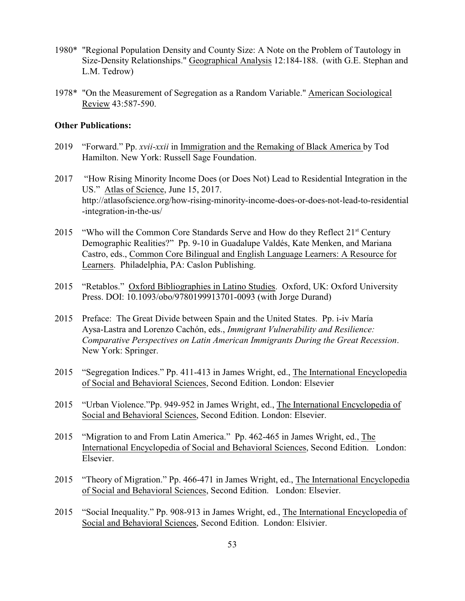- 1980\* "Regional Population Density and County Size: A Note on the Problem of Tautology in Size-Density Relationships." Geographical Analysis 12:184-188. (with G.E. Stephan and L.M. Tedrow)
- 1978\* "On the Measurement of Segregation as a Random Variable." American Sociological Review 43:587-590.

# **Other Publications:**

- 2019 "Forward." Pp. *xvii-xxii* in Immigration and the Remaking of Black America by Tod Hamilton. New York: Russell Sage Foundation.
- 2017 "How Rising Minority Income Does (or Does Not) Lead to Residential Integration in the US." Atlas of Science, June 15, 2017. http://atlasofscience.org/how-rising-minority-income-does-or-does-not-lead-to-residential -integration-in-the-us/
- 2015 "Who will the Common Core Standards Serve and How do they Reflect 21<sup>st</sup> Century Demographic Realities?" Pp. 9-10 in Guadalupe Valdés, Kate Menken, and Mariana Castro, eds., Common Core Bilingual and English Language Learners: A Resource for Learners. Philadelphia, PA: Caslon Publishing.
- 2015 "Retablos." Oxford Bibliographies in Latino Studies. Oxford, UK: Oxford University Press. DOI: 10.1093/obo/9780199913701-0093 (with Jorge Durand)
- 2015 Preface: The Great Divide between Spain and the United States. Pp. i-iv María Aysa-Lastra and Lorenzo Cachón, eds., *Immigrant Vulnerability and Resilience: Comparative Perspectives on Latin American Immigrants During the Great Recession*. New York: Springer.
- 2015 "Segregation Indices." Pp. 411-413 in James Wright, ed., The International Encyclopedia of Social and Behavioral Sciences, Second Edition. London: Elsevier
- 2015 "Urban Violence."Pp. 949-952 in James Wright, ed., The International Encyclopedia of Social and Behavioral Sciences, Second Edition. London: Elsevier.
- 2015 "Migration to and From Latin America." Pp. 462-465 in James Wright, ed., The International Encyclopedia of Social and Behavioral Sciences, Second Edition. London: Elsevier.
- 2015 "Theory of Migration." Pp. 466-471 in James Wright, ed., The International Encyclopedia of Social and Behavioral Sciences, Second Edition. London: Elsevier.
- 2015 "Social Inequality." Pp. 908-913 in James Wright, ed., The International Encyclopedia of Social and Behavioral Sciences, Second Edition. London: Elsivier.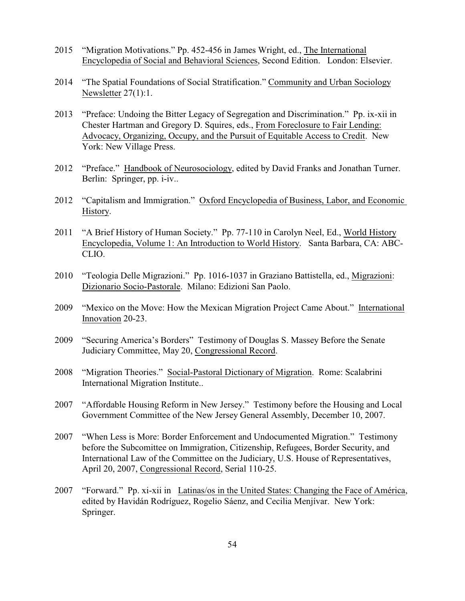- 2015 "Migration Motivations." Pp. 452-456 in James Wright, ed., The International Encyclopedia of Social and Behavioral Sciences, Second Edition. London: Elsevier.
- 2014 "The Spatial Foundations of Social Stratification." Community and Urban Sociology Newsletter 27(1):1.
- 2013 "Preface: Undoing the Bitter Legacy of Segregation and Discrimination." Pp. ix-xii in Chester Hartman and Gregory D. Squires, eds., From Foreclosure to Fair Lending: Advocacy, Organizing, Occupy, and the Pursuit of Equitable Access to Credit. New York: New Village Press.
- 2012 "Preface." Handbook of Neurosociology, edited by David Franks and Jonathan Turner. Berlin: Springer, pp. i-iv..
- 2012 "Capitalism and Immigration." Oxford Encyclopedia of Business, Labor, and Economic History.
- 2011 "A Brief History of Human Society." Pp. 77-110 in Carolyn Neel, Ed., World History Encyclopedia, Volume 1: An Introduction to World History. Santa Barbara, CA: ABC-CLIO.
- 2010 "Teologia Delle Migrazioni." Pp. 1016-1037 in Graziano Battistella, ed., Migrazioni: Dizionario Socio-Pastorale. Milano: Edizioni San Paolo.
- 2009 "Mexico on the Move: How the Mexican Migration Project Came About." International Innovation 20-23.
- 2009 "Securing America's Borders" Testimony of Douglas S. Massey Before the Senate Judiciary Committee, May 20, Congressional Record.
- 2008 "Migration Theories." Social-Pastoral Dictionary of Migration. Rome: Scalabrini International Migration Institute..
- 2007 "Affordable Housing Reform in New Jersey." Testimony before the Housing and Local Government Committee of the New Jersey General Assembly, December 10, 2007.
- 2007 "When Less is More: Border Enforcement and Undocumented Migration." Testimony before the Subcomittee on Immigration, Citizenship, Refugees, Border Security, and International Law of the Committee on the Judiciary, U.S. House of Representatives, April 20, 2007, Congressional Record, Serial 110-25.
- 2007 "Forward." Pp. xi-xii in Latinas/os in the United States: Changing the Face of América, edited by Havidán Rodríguez, Rogelio Sáenz, and Cecilia Menjívar. New York: Springer.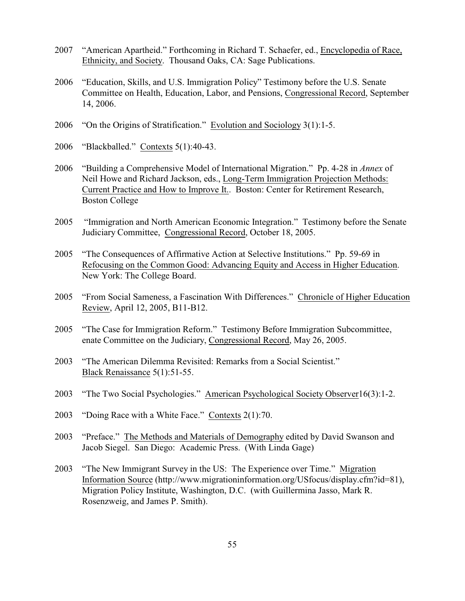- 2007 "American Apartheid." Forthcoming in Richard T. Schaefer, ed., Encyclopedia of Race, Ethnicity, and Society. Thousand Oaks, CA: Sage Publications.
- 2006 "Education, Skills, and U.S. Immigration Policy" Testimony before the U.S. Senate Committee on Health, Education, Labor, and Pensions, Congressional Record, September 14, 2006.
- 2006 "On the Origins of Stratification." Evolution and Sociology 3(1):1-5.
- 2006 "Blackballed." Contexts 5(1):40-43.
- 2006 "Building a Comprehensive Model of International Migration." Pp. 4-28 in *Annex* of Neil Howe and Richard Jackson, eds., Long-Term Immigration Projection Methods: Current Practice and How to Improve It.. Boston: Center for Retirement Research, Boston College
- 2005 "Immigration and North American Economic Integration." Testimony before the Senate Judiciary Committee, Congressional Record, October 18, 2005.
- 2005 "The Consequences of Affirmative Action at Selective Institutions." Pp. 59-69 in Refocusing on the Common Good: Advancing Equity and Access in Higher Education. New York: The College Board.
- 2005 "From Social Sameness, a Fascination With Differences." Chronicle of Higher Education Review, April 12, 2005, B11-B12.
- 2005 "The Case for Immigration Reform." Testimony Before Immigration Subcommittee, enate Committee on the Judiciary, Congressional Record, May 26, 2005.
- 2003 "The American Dilemma Revisited: Remarks from a Social Scientist." Black Renaissance 5(1):51-55.
- 2003 "The Two Social Psychologies." American Psychological Society Observer16(3):1-2.
- 2003 "Doing Race with a White Face." Contexts 2(1):70.
- 2003 "Preface." The Methods and Materials of Demography edited by David Swanson and Jacob Siegel. San Diego: Academic Press. (With Linda Gage)
- 2003 "The New Immigrant Survey in the US: The Experience over Time." Migration Information Source (http://www.migrationinformation.org/USfocus/display.cfm?id=81), Migration Policy Institute, Washington, D.C. (with Guillermina Jasso, Mark R. Rosenzweig, and James P. Smith).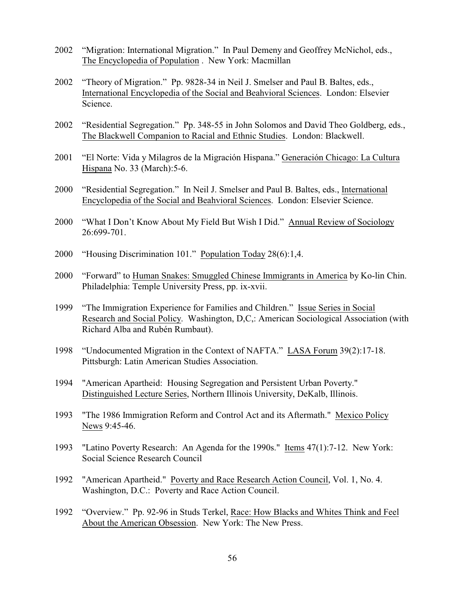- 2002 "Migration: International Migration." In Paul Demeny and Geoffrey McNichol, eds., The Encyclopedia of Population . New York: Macmillan
- 2002 "Theory of Migration." Pp. 9828-34 in Neil J. Smelser and Paul B. Baltes, eds., International Encyclopedia of the Social and Beahvioral Sciences. London: Elsevier Science.
- 2002 "Residential Segregation." Pp. 348-55 in John Solomos and David Theo Goldberg, eds., The Blackwell Companion to Racial and Ethnic Studies. London: Blackwell.
- 2001 "El Norte: Vida y Milagros de la Migración Hispana." Generación Chicago: La Cultura Hispana No. 33 (March):5-6.
- 2000 "Residential Segregation." In Neil J. Smelser and Paul B. Baltes, eds., International Encyclopedia of the Social and Beahvioral Sciences. London: Elsevier Science.
- 2000 "What I Don't Know About My Field But Wish I Did." Annual Review of Sociology 26:699-701.
- 2000 "Housing Discrimination 101." Population Today 28(6):1,4.
- 2000 "Forward" to Human Snakes: Smuggled Chinese Immigrants in America by Ko-lin Chin. Philadelphia: Temple University Press, pp. ix-xvii.
- 1999 "The Immigration Experience for Families and Children." Issue Series in Social Research and Social Policy. Washington, D,C,: American Sociological Association (with Richard Alba and Rubén Rumbaut).
- 1998 "Undocumented Migration in the Context of NAFTA." LASA Forum 39(2):17-18. Pittsburgh: Latin American Studies Association.
- 1994 "American Apartheid: Housing Segregation and Persistent Urban Poverty." Distinguished Lecture Series, Northern Illinois University, DeKalb, Illinois.
- 1993 "The 1986 Immigration Reform and Control Act and its Aftermath." Mexico Policy News 9:45-46.
- 1993 "Latino Poverty Research: An Agenda for the 1990s." Items 47(1):7-12. New York: Social Science Research Council
- 1992 "American Apartheid." Poverty and Race Research Action Council, Vol. 1, No. 4. Washington, D.C.: Poverty and Race Action Council.
- 1992 "Overview." Pp. 92-96 in Studs Terkel, Race: How Blacks and Whites Think and Feel About the American Obsession. New York: The New Press.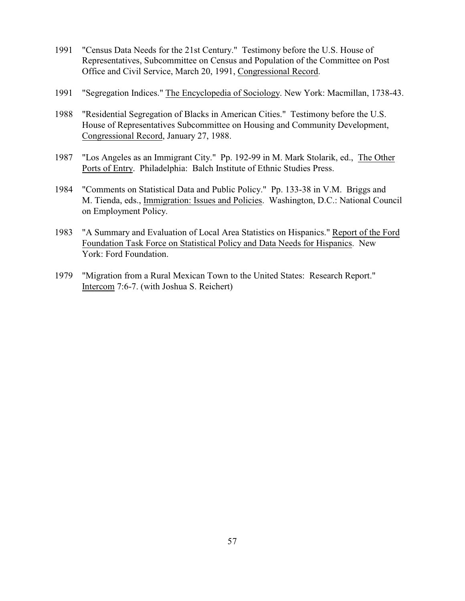- 1991 "Census Data Needs for the 21st Century." Testimony before the U.S. House of Representatives, Subcommittee on Census and Population of the Committee on Post Office and Civil Service, March 20, 1991, Congressional Record.
- 1991 "Segregation Indices." The Encyclopedia of Sociology. New York: Macmillan, 1738-43.
- 1988 "Residential Segregation of Blacks in American Cities." Testimony before the U.S. House of Representatives Subcommittee on Housing and Community Development, Congressional Record, January 27, 1988.
- 1987 "Los Angeles as an Immigrant City." Pp. 192-99 in M. Mark Stolarik, ed., The Other Ports of Entry. Philadelphia: Balch Institute of Ethnic Studies Press.
- 1984 "Comments on Statistical Data and Public Policy." Pp. 133-38 in V.M. Briggs and M. Tienda, eds., Immigration: Issues and Policies. Washington, D.C.: National Council on Employment Policy.
- 1983 "A Summary and Evaluation of Local Area Statistics on Hispanics." Report of the Ford Foundation Task Force on Statistical Policy and Data Needs for Hispanics. New York: Ford Foundation.
- 1979 "Migration from a Rural Mexican Town to the United States: Research Report." Intercom 7:6-7. (with Joshua S. Reichert)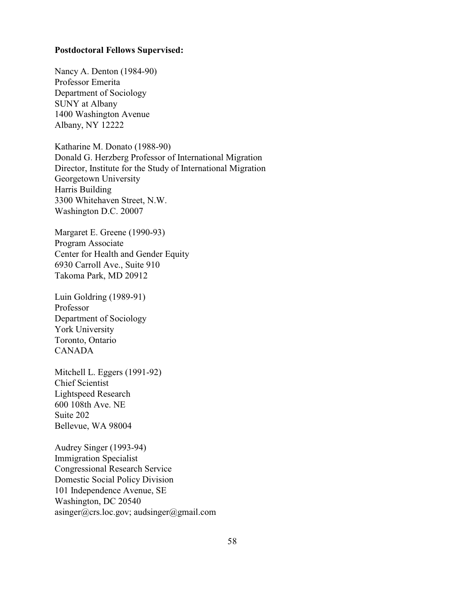#### **Postdoctoral Fellows Supervised:**

Nancy A. Denton (1984-90) Professor Emerita Department of Sociology SUNY at Albany 1400 Washington Avenue Albany, NY 12222

Katharine M. Donato (1988-90) Donald G. Herzberg Professor of International Migration Director, Institute for the Study of International Migration Georgetown University Harris Building 3300 Whitehaven Street, N.W. Washington D.C. 20007

Margaret E. Greene (1990-93) Program Associate Center for Health and Gender Equity 6930 Carroll Ave., Suite 910 Takoma Park, MD 20912

Luin Goldring (1989-91) Professor Department of Sociology York University Toronto, Ontario CANADA

Mitchell L. Eggers (1991-92) Chief Scientist Lightspeed Research 600 108th Ave. NE Suite 202 Bellevue, WA 98004

Audrey Singer (1993-94) Immigration Specialist Congressional Research Service Domestic Social Policy Division 101 Independence Avenue, SE Washington, DC 20540 asinger@crs.loc.gov; audsinger@gmail.com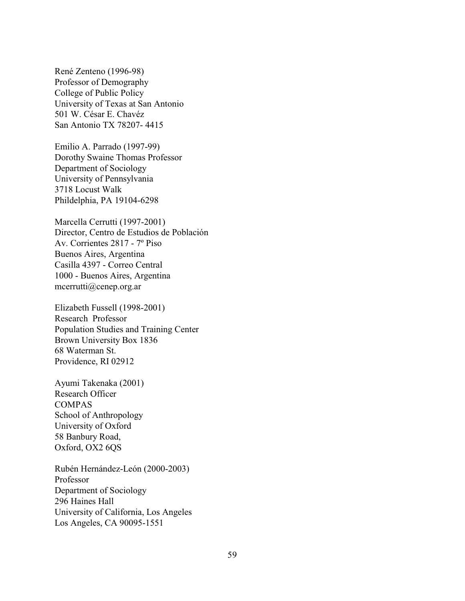René Zenteno (1996-98) Professor of Demography College of Public Policy University of Texas at San Antonio 501 W. César E. Chavéz San Antonio TX 78207- 4415

Emilio A. Parrado (1997-99) Dorothy Swaine Thomas Professor Department of Sociology University of Pennsylvania 3718 Locust Walk Phildelphia, PA 19104-6298

Marcella Cerrutti (1997-2001) Director, Centro de Estudios de Población Av. Corrientes 2817 - 7º Piso Buenos Aires, Argentina Casilla 4397 - Correo Central 1000 - Buenos Aires, Argentina mcerrutti@cenep.org.ar

Elizabeth Fussell (1998-2001) Research Professor Population Studies and Training Center Brown University Box 1836 68 Waterman St. Providence, RI 02912

Ayumi Takenaka (2001) Research Officer COMPAS School of Anthropology University of Oxford 58 Banbury Road, Oxford, OX2 6QS

Rubén Hernández-León (2000-2003) Professor Department of Sociology 296 Haines Hall University of California, Los Angeles Los Angeles, CA 90095-1551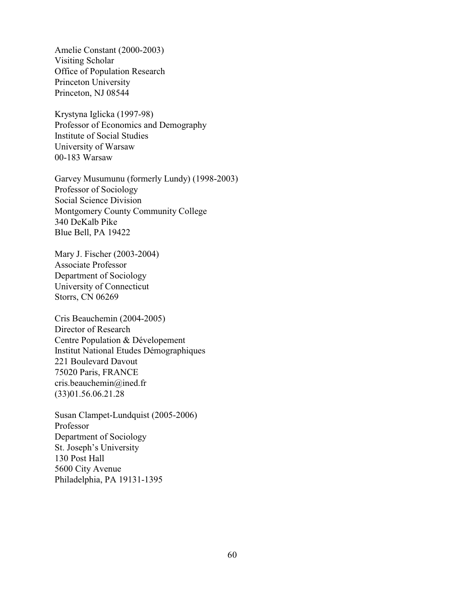Amelie Constant (2000-2003) Visiting Scholar Office of Population Research Princeton University Princeton, NJ 08544

Krystyna Iglicka (1997-98) Professor of Economics and Demography Institute of Social Studies University of Warsaw 00-183 Warsaw

Garvey Musumunu (formerly Lundy) (1998-2003) Professor of Sociology Social Science Division Montgomery County Community College 340 DeKalb Pike Blue Bell, PA 19422

Mary J. Fischer (2003-2004) Associate Professor Department of Sociology University of Connecticut Storrs, CN 06269

Cris Beauchemin (2004-2005) Director of Research Centre Population & Dévelopement Institut National Etudes Démographiques 221 Boulevard Davout 75020 Paris, FRANCE cris.beauchemin@ined.fr (33)01.56.06.21.28

Susan Clampet-Lundquist (2005-2006) Professor Department of Sociology St. Joseph's University 130 Post Hall 5600 City Avenue Philadelphia, PA 19131-1395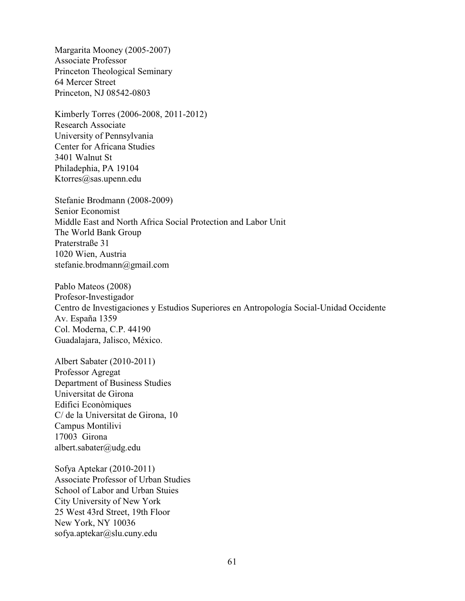Margarita Mooney (2005-2007) Associate Professor Princeton Theological Seminary 64 Mercer Street Princeton, NJ 08542-0803

Kimberly Torres (2006-2008, 2011-2012) Research Associate University of Pennsylvania Center for Africana Studies 3401 Walnut St Philadephia, PA 19104 Ktorres@sas.upenn.edu

Stefanie Brodmann (2008-2009) Senior Economist Middle East and North Africa Social Protection and Labor Unit The World Bank Group Praterstraße 31 1020 Wien, Austria stefanie.brodmann@gmail.com

Pablo Mateos (2008) Profesor-Investigador Centro de Investigaciones y Estudios Superiores en Antropología Social-Unidad Occidente Av. España 1359 Col. Moderna, C.P. 44190 Guadalajara, Jalisco, México.

Albert Sabater (2010-2011) Professor Agregat Department of Business Studies Universitat de Girona Edifici Econòmiques C/ de la Universitat de Girona, 10 Campus Montilivi 17003 Girona albert.sabater@udg.edu

Sofya Aptekar (2010-2011) Associate Professor of Urban Studies School of Labor and Urban Stuies City University of New York 25 West 43rd Street, 19th Floor New York, NY 10036 sofya.aptekar@slu.cuny.edu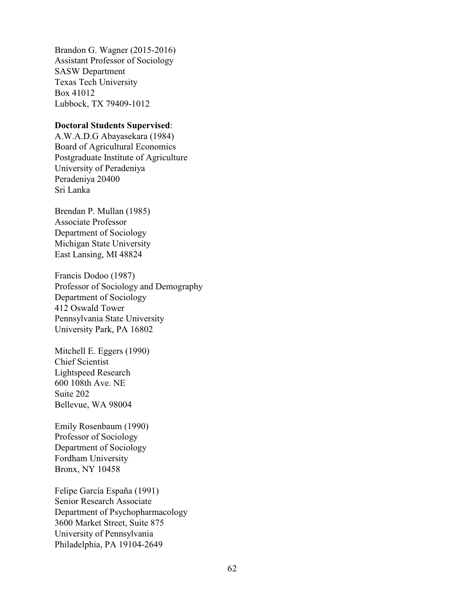Brandon G. Wagner (2015-2016) Assistant Professor of Sociology SASW Department Texas Tech University Box 41012 Lubbock, TX 79409-1012

# **Doctoral Students Supervised**:

A.W.A.D.G Abayasekara (1984) Board of Agricultural Economics Postgraduate Institute of Agriculture University of Peradeniya Peradeniya 20400 Sri Lanka

Brendan P. Mullan (1985) Associate Professor Department of Sociology Michigan State University East Lansing, MI 48824

Francis Dodoo (1987) Professor of Sociology and Demography Department of Sociology 412 Oswald Tower Pennsylvania State University University Park, PA 16802

Mitchell E. Eggers (1990) Chief Scientist Lightspeed Research 600 108th Ave. NE Suite 202 Bellevue, WA 98004

Emily Rosenbaum (1990) Professor of Sociology Department of Sociology Fordham University Bronx, NY 10458

Felipe García España (1991) Senior Research Associate Department of Psychopharmacology 3600 Market Street, Suite 875 University of Pennsylvania Philadelphia, PA 19104-2649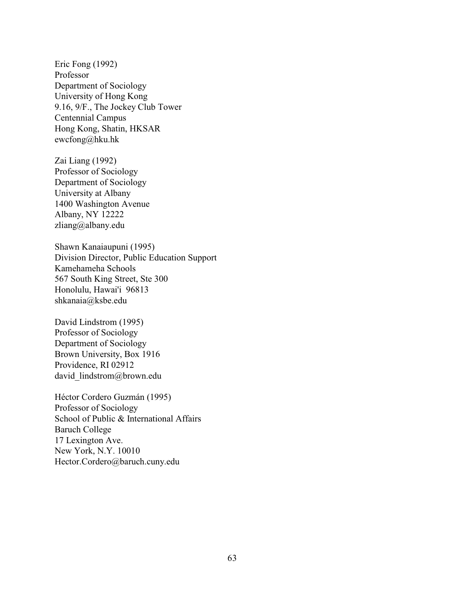Eric Fong (1992) Professor Department of Sociology University of Hong Kong 9.16, 9/F., The Jockey Club Tower Centennial Campus Hong Kong, Shatin, HKSAR ewcfong@hku.hk

Zai Liang (1992) Professor of Sociology Department of Sociology University at Albany 1400 Washington Avenue Albany, NY 12222 zliang@albany.edu

Shawn Kanaiaupuni (1995) Division Director, Public Education Support Kamehameha Schools 567 South King Street, Ste 300 Honolulu, Hawai'i 96813 shkanaia@ksbe.edu

David Lindstrom (1995) Professor of Sociology Department of Sociology Brown University, Box 1916 Providence, RI 02912 david lindstrom@brown.edu

Héctor Cordero Guzmán (1995) Professor of Sociology School of Public & International Affairs Baruch College 17 Lexington Ave. New York, N.Y. 10010 Hector.Cordero@baruch.cuny.edu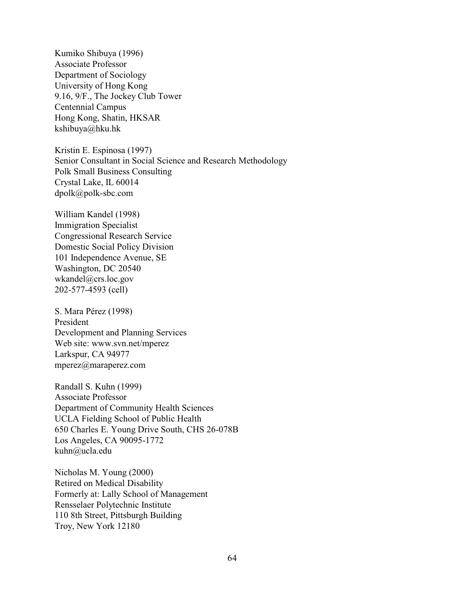Kumiko Shibuya (1996) Associate Professor Department of Sociology University of Hong Kong 9.16, 9/F., The Jockey Club Tower Centennial Campus Hong Kong, Shatin, HKSAR kshibuya@hku.hk

Kristin E. Espinosa (1997) Senior Consultant in Social Science and Research Methodology Polk Small Business Consulting Crystal Lake, IL 60014 dpolk@polk-sbc.com

William Kandel (1998) Immigration Specialist Congressional Research Service Domestic Social Policy Division 101 Independence Avenue, SE Washington, DC 20540 wkandel@crs.loc.gov 202-577-4593 (cell)

S. Mara Pérez (1998) President Development and Planning Services Web site: www.svn.net/mperez Larkspur, CA 94977 mperez@maraperez.com

Randall S. Kuhn (1999) Associate Professor Department of Community Health Sciences UCLA Fielding School of Public Health 650 Charles E. Young Drive South, CHS 26-078B Los Angeles, CA 90095-1772 kuhn@ucla.edu

Nicholas M. Young (2000) Retired on Medical Disability Formerly at: Lally School of Management Rensselaer Polytechnic Institute 110 8th Street, Pittsburgh Building Troy, New York 12180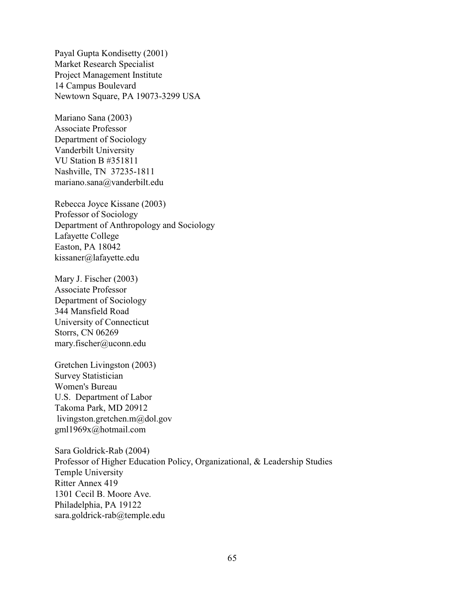Payal Gupta Kondisetty (2001) Market Research Specialist Project Management Institute 14 Campus Boulevard Newtown Square, PA 19073-3299 USA

Mariano Sana (2003) Associate Professor Department of Sociology Vanderbilt University VU Station B #351811 Nashville, TN 37235-1811 mariano.sana@vanderbilt.edu

Rebecca Joyce Kissane (2003) Professor of Sociology Department of Anthropology and Sociology Lafayette College Easton, PA 18042 kissaner@lafayette.edu

Mary J. Fischer (2003) Associate Professor Department of Sociology 344 Mansfield Road University of Connecticut Storrs, CN 06269 mary.fischer@uconn.edu

Gretchen Livingston (2003) Survey Statistician Women's Bureau U.S. Department of Labor Takoma Park, MD 20912 livingston.gretchen.m@dol.gov gml1969x@hotmail.com

Sara Goldrick-Rab (2004) Professor of Higher Education Policy, Organizational, & Leadership Studies Temple University Ritter Annex 419 1301 Cecil B. Moore Ave. Philadelphia, PA 19122 sara.goldrick-rab@temple.edu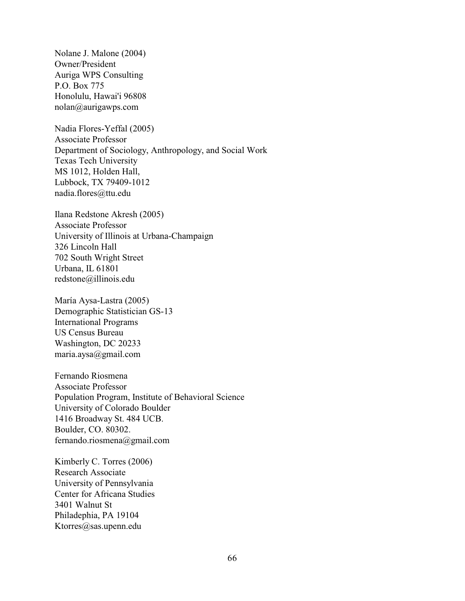Nolane J. Malone (2004) Owner/President Auriga WPS Consulting P.O. Box 775 Honolulu, Hawai'i 96808 nolan@aurigawps.com

Nadia Flores-Yeffal (2005) Associate Professor Department of Sociology, Anthropology, and Social Work Texas Tech University MS 1012, Holden Hall, Lubbock, TX 79409-1012 nadia.flores@ttu.edu

Ilana Redstone Akresh (2005) Associate Professor University of Illinois at Urbana-Champaign 326 Lincoln Hall 702 South Wright Street Urbana, IL 61801 redstone@illinois.edu

María Aysa-Lastra (2005) Demographic Statistician GS-13 International Programs US Census Bureau Washington, DC 20233 maria.aysa@gmail.com

Fernando Riosmena Associate Professor Population Program, Institute of Behavioral Science University of Colorado Boulder 1416 Broadway St. 484 UCB. Boulder, CO. 80302. fernando.riosmena@gmail.com

Kimberly C. Torres (2006) Research Associate University of Pennsylvania Center for Africana Studies 3401 Walnut St Philadephia, PA 19104 Ktorres@sas.upenn.edu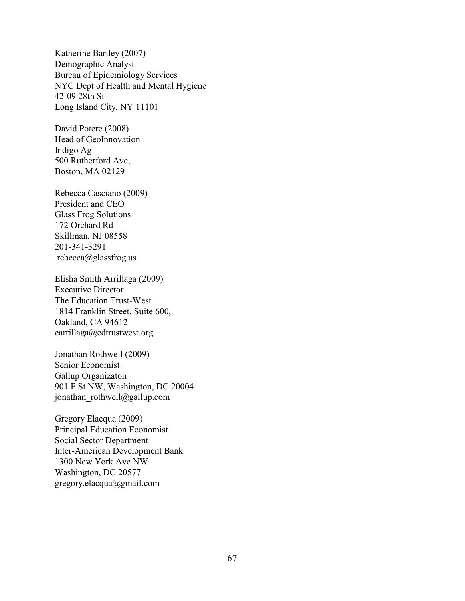Katherine Bartley (2007) Demographic Analyst Bureau of Epidemiology Services NYC Dept of Health and Mental Hygiene 42-09 28th St Long Island City, NY 11101

David Potere (2008) Head of GeoInnovation Indigo Ag 500 Rutherford Ave, Boston, MA 02129

Rebecca Casciano (2009) President and CEO Glass Frog Solutions 172 Orchard Rd Skillman, NJ 08558 201-341-3291 rebecca@glassfrog.us

Elisha Smith Arrillaga (2009) Executive Director The Education Trust-West 1814 Franklin Street, Suite 600, Oakland, CA 94612 earrillaga@edtrustwest.org

Jonathan Rothwell (2009) Senior Economist Gallup Organizaton 901 F St NW, Washington, DC 20004 jonathan\_rothwell@gallup.com

Gregory Elacqua (2009) Principal Education Economist Social Sector Department Inter-American Development Bank 1300 New York Ave NW Washington, DC 20577 gregory.elacqua@gmail.com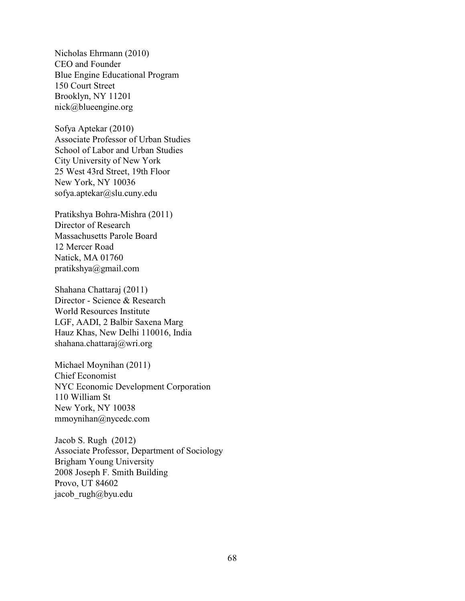Nicholas Ehrmann (2010) CEO and Founder Blue Engine Educational Program 150 Court Street Brooklyn, NY 11201 nick@blueengine.org

Sofya Aptekar (2010) Associate Professor of Urban Studies School of Labor and Urban Studies City University of New York 25 West 43rd Street, 19th Floor New York, NY 10036 sofya.aptekar@slu.cuny.edu

Pratikshya Bohra-Mishra (2011) Director of Research Massachusetts Parole Board 12 Mercer Road Natick, MA 01760 pratikshya@gmail.com

Shahana Chattaraj (2011) Director - Science & Research World Resources Institute LGF, AADI, 2 Balbir Saxena Marg Hauz Khas, New Delhi 110016, India shahana.chattaraj@wri.org

Michael Moynihan (2011) Chief Economist NYC Economic Development Corporation 110 William St New York, NY 10038 mmoynihan@nycedc.com

Jacob S. Rugh (2012) Associate Professor, Department of Sociology Brigham Young University 2008 Joseph F. Smith Building Provo, UT 84602 jacob\_rugh@byu.edu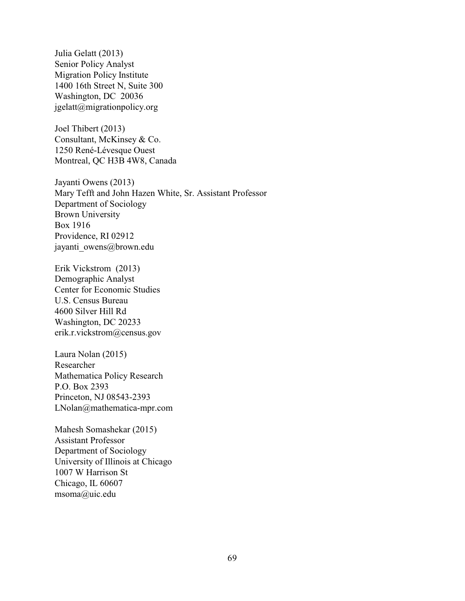Julia Gelatt (2013) Senior Policy Analyst Migration Policy Institute 1400 16th Street N, Suite 300 Washington, DC 20036 jgelatt@migrationpolicy.org

Joel Thibert (2013) Consultant, McKinsey & Co. 1250 René-Lévesque Ouest Montreal, QC H3B 4W8, Canada

Jayanti Owens (2013) Mary Tefft and John Hazen White, Sr. Assistant Professor Department of Sociology Brown University Box 1916 Providence, RI 02912 jayanti\_owens@brown.edu

Erik Vickstrom (2013) Demographic Analyst Center for Economic Studies U.S. Census Bureau 4600 Silver Hill Rd Washington, DC 20233 erik.r.vickstrom@census.gov

Laura Nolan (2015) Researcher Mathematica Policy Research P.O. Box 2393 Princeton, NJ 08543-2393 LNolan@mathematica-mpr.com

Mahesh Somashekar (2015) Assistant Professor Department of Sociology University of Illinois at Chicago 1007 W Harrison St Chicago, IL 60607 msoma@uic.edu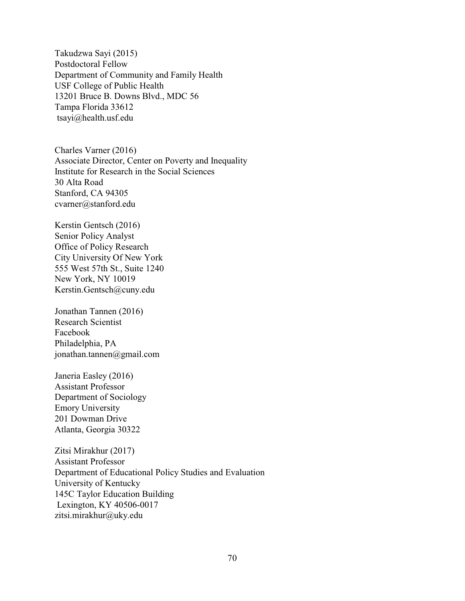Takudzwa Sayi (2015) Postdoctoral Fellow Department of Community and Family Health USF College of Public Health 13201 Bruce B. Downs Blvd., MDC 56 Tampa Florida 33612 tsayi@health.usf.edu

Charles Varner (2016) Associate Director, Center on Poverty and Inequality Institute for Research in the Social Sciences 30 Alta Road Stanford, CA 94305 cvarner@stanford.edu

Kerstin Gentsch (2016) Senior Policy Analyst Office of Policy Research City University Of New York 555 West 57th St., Suite 1240 New York, NY 10019 Kerstin.Gentsch@cuny.edu

Jonathan Tannen (2016) Research Scientist Facebook Philadelphia, PA jonathan.tannen@gmail.com

Janeria Easley (2016) Assistant Professor Department of Sociology Emory University 201 Dowman Drive Atlanta, Georgia 30322

Zitsi Mirakhur (2017) Assistant Professor Department of Educational Policy Studies and Evaluation University of Kentucky 145C Taylor Education Building Lexington, KY 40506-0017 zitsi.mirakhur@uky.edu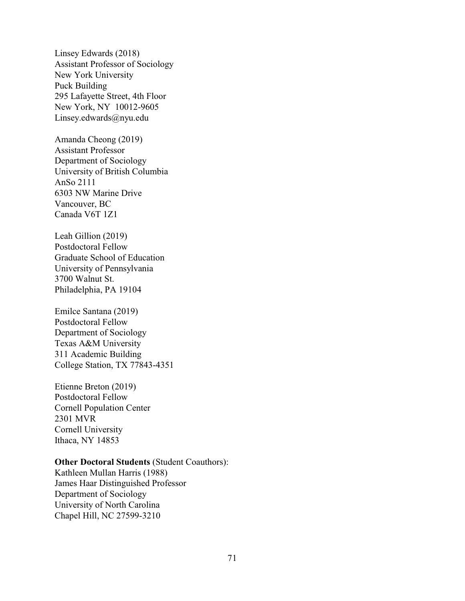Linsey Edwards (2018) Assistant Professor of Sociology New York University Puck Building 295 Lafayette Street, 4th Floor New York, NY 10012-9605 Linsey.edwards@nyu.edu

Amanda Cheong (2019) Assistant Professor Department of Sociology University of British Columbia AnSo 2111 6303 NW Marine Drive Vancouver, BC Canada V6T 1Z1

Leah Gillion (2019) Postdoctoral Fellow Graduate School of Education University of Pennsylvania 3700 Walnut St. Philadelphia, PA 19104

Emilce Santana (2019) Postdoctoral Fellow Department of Sociology Texas A&M University 311 Academic Building College Station, TX 77843-4351

Etienne Breton (2019) Postdoctoral Fellow Cornell Population Center 2301 MVR Cornell University Ithaca, NY 14853

### **Other Doctoral Students** (Student Coauthors):

Kathleen Mullan Harris (1988) James Haar Distinguished Professor Department of Sociology University of North Carolina Chapel Hill, NC 27599-3210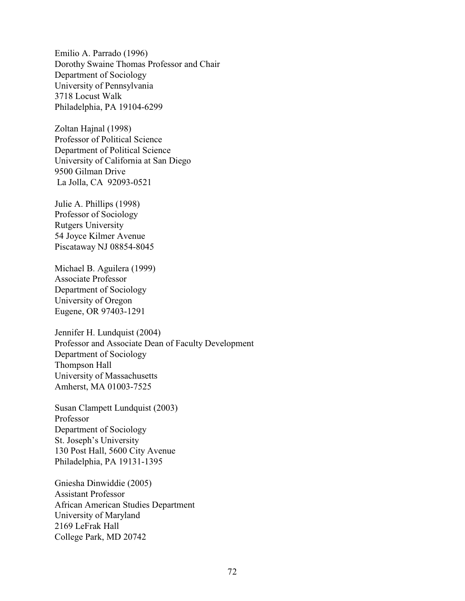Emilio A. Parrado (1996) Dorothy Swaine Thomas Professor and Chair Department of Sociology University of Pennsylvania 3718 Locust Walk Philadelphia, PA 19104-6299

Zoltan Hajnal (1998) Professor of Political Science Department of Political Science University of California at San Diego 9500 Gilman Drive La Jolla, CA 92093-0521

Julie A. Phillips (1998) Professor of Sociology Rutgers University 54 Joyce Kilmer Avenue Piscataway NJ 08854-8045

Michael B. Aguilera (1999) Associate Professor Department of Sociology University of Oregon Eugene, OR 97403-1291

Jennifer H. Lundquist (2004) Professor and Associate Dean of Faculty Development Department of Sociology Thompson Hall University of Massachusetts Amherst, MA 01003-7525

Susan Clampett Lundquist (2003) Professor Department of Sociology St. Joseph's University 130 Post Hall, 5600 City Avenue Philadelphia, PA 19131-1395

Gniesha Dinwiddie (2005) Assistant Professor African American Studies Department University of Maryland 2169 LeFrak Hall College Park, MD 20742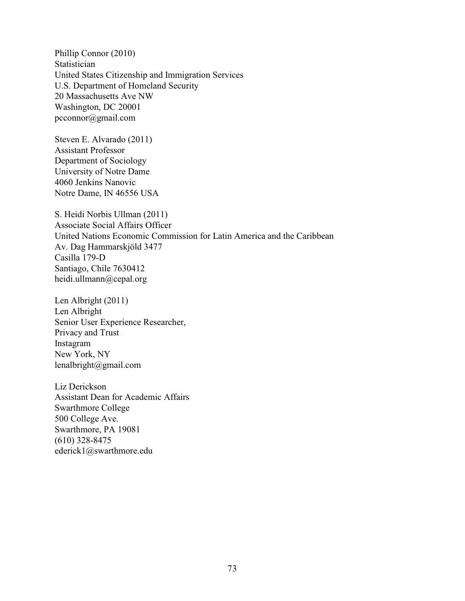Phillip Connor (2010) Statistician United States Citizenship and Immigration Services U.S. Department of Homeland Security 20 Massachusetts Ave NW Washington, DC 20001 pcconnor@gmail.com

Steven E. Alvarado (2011) Assistant Professor Department of Sociology University of Notre Dame 4060 Jenkins Nanovic Notre Dame, IN 46556 USA

S. Heidi Norbis Ullman (2011) Associate Social Affairs Officer United Nations Economic Commission for Latin America and the Caribbean Av. Dag Hammarskjöld 3477 Casilla 179-D Santiago, Chile 7630412 heidi.ullmann@cepal.org

Len Albright (2011) Len Albright Senior User Experience Researcher, Privacy and Trust Instagram New York, NY lenalbright@gmail.com

Liz Derickson Assistant Dean for Academic Affairs Swarthmore College 500 College Ave. Swarthmore, PA 19081 (610) 328-8475 ederick1@swarthmore.edu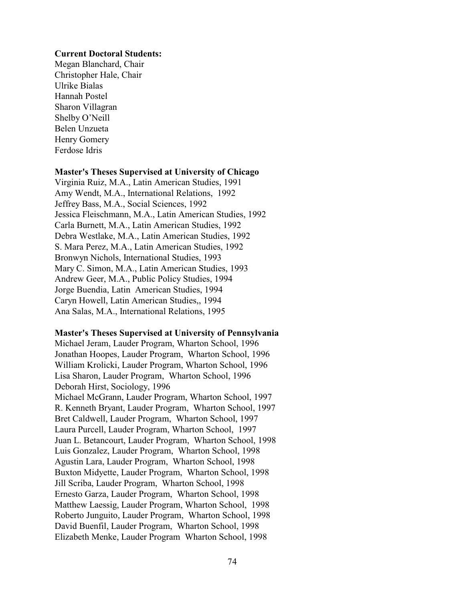#### **Current Doctoral Students:**

Megan Blanchard, Chair Christopher Hale, Chair Ulrike Bialas Hannah Postel Sharon Villagran Shelby O'Neill Belen Unzueta Henry Gomery Ferdose Idris

#### **Master's Theses Supervised at University of Chicago**

Virginia Ruiz, M.A., Latin American Studies, 1991 Amy Wendt, M.A., International Relations, 1992 Jeffrey Bass, M.A., Social Sciences, 1992 Jessica Fleischmann, M.A., Latin American Studies, 1992 Carla Burnett, M.A., Latin American Studies, 1992 Debra Westlake, M.A., Latin American Studies, 1992 S. Mara Perez, M.A., Latin American Studies, 1992 Bronwyn Nichols, International Studies, 1993 Mary C. Simon, M.A., Latin American Studies, 1993 Andrew Geer, M.A., Public Policy Studies, 1994 Jorge Buendia, Latin American Studies, 1994 Caryn Howell, Latin American Studies,, 1994 Ana Salas, M.A., International Relations, 1995

#### **Master's Theses Supervised at University of Pennsylvania**

Michael Jeram, Lauder Program, Wharton School, 1996 Jonathan Hoopes, Lauder Program, Wharton School, 1996 William Krolicki, Lauder Program, Wharton School, 1996 Lisa Sharon, Lauder Program, Wharton School, 1996 Deborah Hirst, Sociology, 1996 Michael McGrann, Lauder Program, Wharton School, 1997 R. Kenneth Bryant, Lauder Program, Wharton School, 1997 Bret Caldwell, Lauder Program, Wharton School, 1997 Laura Purcell, Lauder Program, Wharton School, 1997 Juan L. Betancourt, Lauder Program, Wharton School, 1998 Luis Gonzalez, Lauder Program, Wharton School, 1998 Agustin Lara, Lauder Program, Wharton School, 1998 Buxton Midyette, Lauder Program, Wharton School, 1998 Jill Scriba, Lauder Program, Wharton School, 1998 Ernesto Garza, Lauder Program, Wharton School, 1998 Matthew Laessig, Lauder Program, Wharton School, 1998 Roberto Junguito, Lauder Program, Wharton School, 1998 David Buenfil, Lauder Program, Wharton School, 1998 Elizabeth Menke, Lauder Program Wharton School, 1998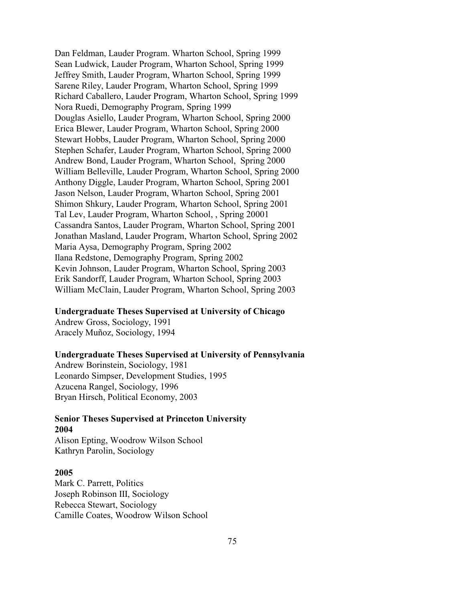Dan Feldman, Lauder Program. Wharton School, Spring 1999 Sean Ludwick, Lauder Program, Wharton School, Spring 1999 Jeffrey Smith, Lauder Program, Wharton School, Spring 1999 Sarene Riley, Lauder Program, Wharton School, Spring 1999 Richard Caballero, Lauder Program, Wharton School, Spring 1999 Nora Ruedi, Demography Program, Spring 1999 Douglas Asiello, Lauder Program, Wharton School, Spring 2000 Erica Blewer, Lauder Program, Wharton School, Spring 2000 Stewart Hobbs, Lauder Program, Wharton School, Spring 2000 Stephen Schafer, Lauder Program, Wharton School, Spring 2000 Andrew Bond, Lauder Program, Wharton School, Spring 2000 William Belleville, Lauder Program, Wharton School, Spring 2000 Anthony Diggle, Lauder Program, Wharton School, Spring 2001 Jason Nelson, Lauder Program, Wharton School, Spring 2001 Shimon Shkury, Lauder Program, Wharton School, Spring 2001 Tal Lev, Lauder Program, Wharton School, , Spring 20001 Cassandra Santos, Lauder Program, Wharton School, Spring 2001 Jonathan Masland, Lauder Program, Wharton School, Spring 2002 Maria Aysa, Demography Program, Spring 2002 Ilana Redstone, Demography Program, Spring 2002 Kevin Johnson, Lauder Program, Wharton School, Spring 2003 Erik Sandorff, Lauder Program, Wharton School, Spring 2003 William McClain, Lauder Program, Wharton School, Spring 2003

#### **Undergraduate Theses Supervised at University of Chicago**

Andrew Gross, Sociology, 1991 Aracely Muñoz, Sociology, 1994

#### **Undergraduate Theses Supervised at University of Pennsylvania**

Andrew Borinstein, Sociology, 1981 Leonardo Simpser, Development Studies, 1995 Azucena Rangel, Sociology, 1996 Bryan Hirsch, Political Economy, 2003

## **Senior Theses Supervised at Princeton University 2004**

Alison Epting, Woodrow Wilson School Kathryn Parolin, Sociology

#### **2005**

Mark C. Parrett, Politics Joseph Robinson III, Sociology Rebecca Stewart, Sociology Camille Coates, Woodrow Wilson School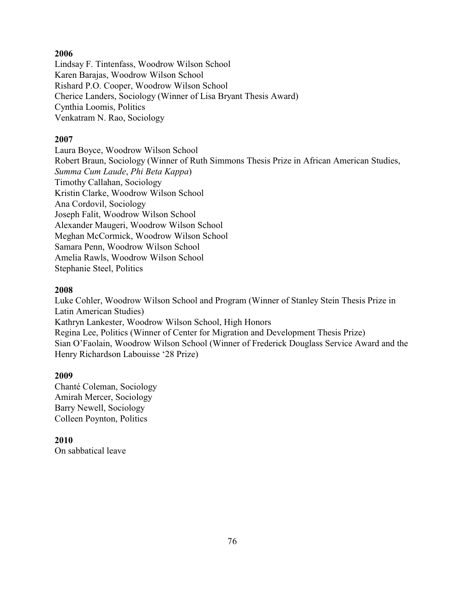### **2006**

Lindsay F. Tintenfass, Woodrow Wilson School Karen Barajas, Woodrow Wilson School Rishard P.O. Cooper, Woodrow Wilson School Cherice Landers, Sociology (Winner of Lisa Bryant Thesis Award) Cynthia Loomis, Politics Venkatram N. Rao, Sociology

## **2007**

Laura Boyce, Woodrow Wilson School Robert Braun, Sociology (Winner of Ruth Simmons Thesis Prize in African American Studies, *Summa Cum Laude*, *Phi Beta Kappa*) Timothy Callahan, Sociology Kristin Clarke, Woodrow Wilson School Ana Cordovil, Sociology Joseph Falit, Woodrow Wilson School Alexander Maugeri, Woodrow Wilson School Meghan McCormick, Woodrow Wilson School Samara Penn, Woodrow Wilson School Amelia Rawls, Woodrow Wilson School Stephanie Steel, Politics

## **2008**

Luke Cohler, Woodrow Wilson School and Program (Winner of Stanley Stein Thesis Prize in Latin American Studies) Kathryn Lankester, Woodrow Wilson School, High Honors Regina Lee, Politics (Winner of Center for Migration and Development Thesis Prize) Sian O'Faolain, Woodrow Wilson School (Winner of Frederick Douglass Service Award and the Henry Richardson Labouisse '28 Prize)

# **2009**

Chanté Coleman, Sociology Amirah Mercer, Sociology Barry Newell, Sociology Colleen Poynton, Politics

**2010** On sabbatical leave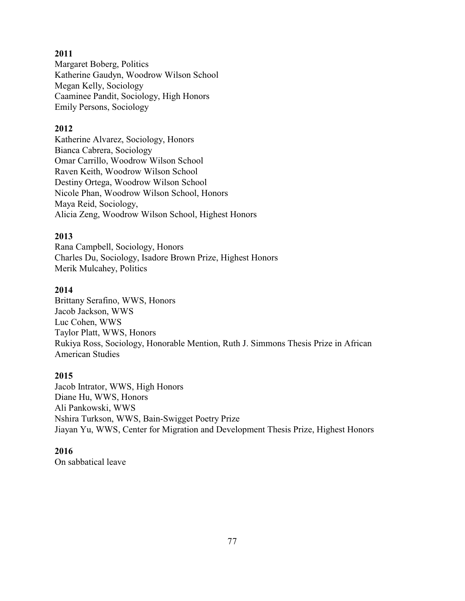## **2011**

Margaret Boberg, Politics Katherine Gaudyn, Woodrow Wilson School Megan Kelly, Sociology Caaminee Pandit, Sociology, High Honors Emily Persons, Sociology

## **2012**

Katherine Alvarez, Sociology, Honors Bianca Cabrera, Sociology Omar Carrillo, Woodrow Wilson School Raven Keith, Woodrow Wilson School Destiny Ortega, Woodrow Wilson School Nicole Phan, Woodrow Wilson School, Honors Maya Reid, Sociology, Alicia Zeng, Woodrow Wilson School, Highest Honors

## **2013**

Rana Campbell, Sociology, Honors Charles Du, Sociology, Isadore Brown Prize, Highest Honors Merik Mulcahey, Politics

### **2014**

Brittany Serafino, WWS, Honors Jacob Jackson, WWS Luc Cohen, WWS Taylor Platt, WWS, Honors Rukiya Ross, Sociology, Honorable Mention, Ruth J. Simmons Thesis Prize in African American Studies

### **2015**

Jacob Intrator, WWS, High Honors Diane Hu, WWS, Honors Ali Pankowski, WWS Nshira Turkson, WWS, Bain-Swigget Poetry Prize Jiayan Yu, WWS, Center for Migration and Development Thesis Prize, Highest Honors

# **2016**

On sabbatical leave